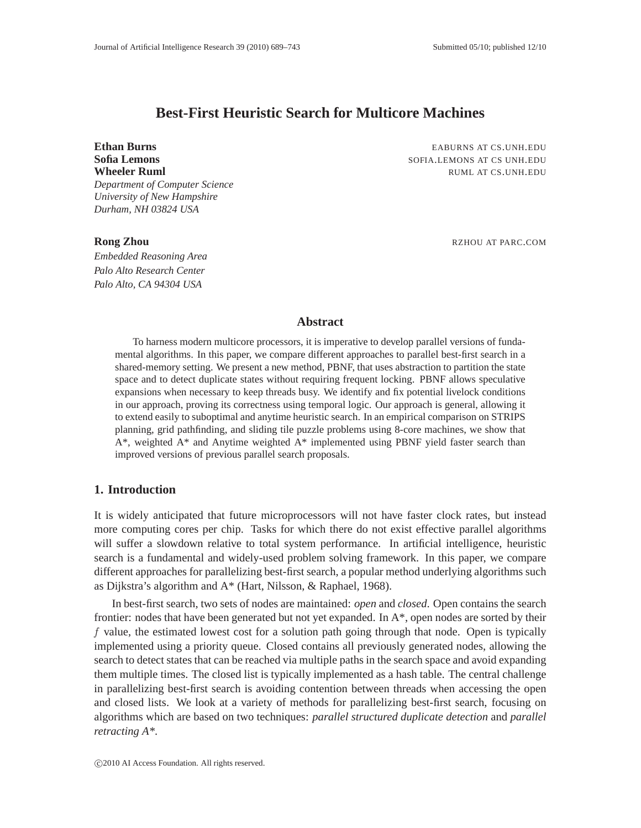# **Best-First Heuristic Search for Multicore Machines**

*Department of Computer Science*

*University of New Hampshire Durham, NH 03824 USA*

*Embedded Reasoning Area Palo Alto Research Center Palo Alto, CA 94304 USA*

**Ethan Burns** EABURNS AT CS.UNH.EDU **Sofia Lemons** SOFIA.LEMONS AT CS UNH.EDU **Wheeler Ruml** RUML AT CS.UNH.EDU

**Rong Zhou** RZHOU AT PARC.COM

# **Abstract**

To harness modern multicore processors, it is imperative to develop parallel versions of fundamental algorithms. In this paper, we compare different approaches to parallel best-first search in a shared-memory setting. We present a new method, PBNF, that uses abstraction to partition the state space and to detect duplicate states without requiring frequent locking. PBNF allows speculative expansions when necessary to keep threads busy. We identify and fix potential livelock conditions in our approach, proving its correctness using temporal logic. Our approach is general, allowing it to extend easily to suboptimal and anytime heuristic search. In an empirical comparison on STRIPS planning, grid pathfinding, and sliding tile puzzle problems using 8-core machines, we show that A\*, weighted A\* and Anytime weighted A\* implemented using PBNF yield faster search than improved versions of previous parallel search proposals.

# **1. Introduction**

It is widely anticipated that future microprocessors will not have faster clock rates, but instead more computing cores per chip. Tasks for which there do not exist effective parallel algorithms will suffer a slowdown relative to total system performance. In artificial intelligence, heuristic search is a fundamental and widely-used problem solving framework. In this paper, we compare different approaches for parallelizing best-first search, a popular method underlying algorithms such as Dijkstra's algorithm and A\* (Hart, Nilsson, & Raphael, 1968).

In best-first search, two sets of nodes are maintained: *open* and *closed*. Open contains the search frontier: nodes that have been generated but not yet expanded. In A\*, open nodes are sorted by their  $f$  value, the estimated lowest cost for a solution path going through that node. Open is typically implemented using a priority queue. Closed contains all previously generated nodes, allowing the search to detect states that can be reached via multiple paths in the search space and avoid expanding them multiple times. The closed list is typically implemented as a hash table. The central challenge in parallelizing best-first search is avoiding contention between threads when accessing the open and closed lists. We look at a variety of methods for parallelizing best-first search, focusing on algorithms which are based on two techniques: *parallel structured duplicate detection* and *parallel retracting A\**.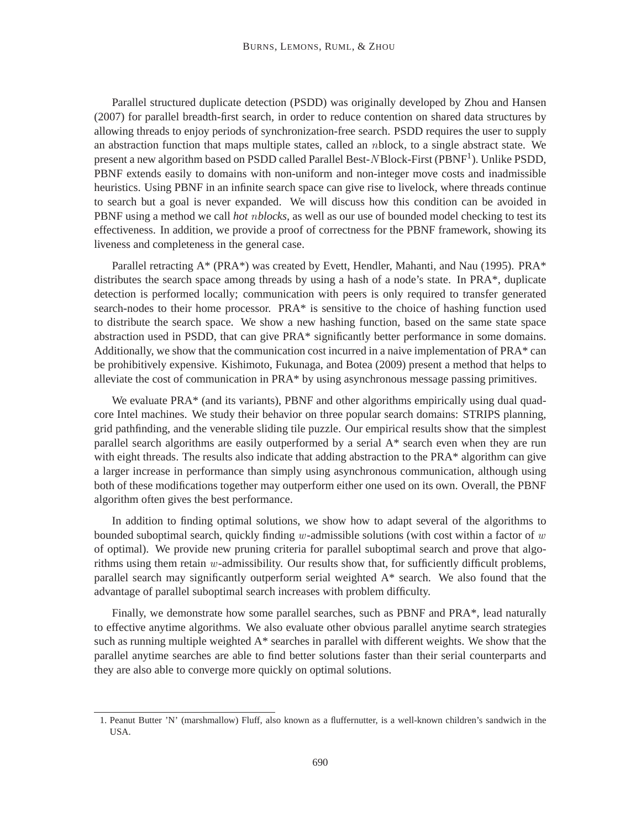Parallel structured duplicate detection (PSDD) was originally developed by Zhou and Hansen (2007) for parallel breadth-first search, in order to reduce contention on shared data structures by allowing threads to enjoy periods of synchronization-free search. PSDD requires the user to supply an abstraction function that maps multiple states, called an nblock, to a single abstract state. We present a new algorithm based on PSDD called Parallel Best-NBlock-First (PBNF<sup>1</sup>). Unlike PSDD, PBNF extends easily to domains with non-uniform and non-integer move costs and inadmissible heuristics. Using PBNF in an infinite search space can give rise to livelock, where threads continue to search but a goal is never expanded. We will discuss how this condition can be avoided in PBNF using a method we call *hot* n*blocks*, as well as our use of bounded model checking to test its effectiveness. In addition, we provide a proof of correctness for the PBNF framework, showing its liveness and completeness in the general case.

Parallel retracting A\* (PRA\*) was created by Evett, Hendler, Mahanti, and Nau (1995). PRA\* distributes the search space among threads by using a hash of a node's state. In PRA\*, duplicate detection is performed locally; communication with peers is only required to transfer generated search-nodes to their home processor. PRA\* is sensitive to the choice of hashing function used to distribute the search space. We show a new hashing function, based on the same state space abstraction used in PSDD, that can give PRA\* significantly better performance in some domains. Additionally, we show that the communication cost incurred in a naive implementation of PRA\* can be prohibitively expensive. Kishimoto, Fukunaga, and Botea (2009) present a method that helps to alleviate the cost of communication in PRA\* by using asynchronous message passing primitives.

We evaluate PRA<sup>\*</sup> (and its variants), PBNF and other algorithms empirically using dual quadcore Intel machines. We study their behavior on three popular search domains: STRIPS planning, grid pathfinding, and the venerable sliding tile puzzle. Our empirical results show that the simplest parallel search algorithms are easily outperformed by a serial A\* search even when they are run with eight threads. The results also indicate that adding abstraction to the PRA\* algorithm can give a larger increase in performance than simply using asynchronous communication, although using both of these modifications together may outperform either one used on its own. Overall, the PBNF algorithm often gives the best performance.

In addition to finding optimal solutions, we show how to adapt several of the algorithms to bounded suboptimal search, quickly finding w-admissible solutions (with cost within a factor of  $w$ of optimal). We provide new pruning criteria for parallel suboptimal search and prove that algorithms using them retain w-admissibility. Our results show that, for sufficiently difficult problems, parallel search may significantly outperform serial weighted A\* search. We also found that the advantage of parallel suboptimal search increases with problem difficulty.

Finally, we demonstrate how some parallel searches, such as PBNF and PRA\*, lead naturally to effective anytime algorithms. We also evaluate other obvious parallel anytime search strategies such as running multiple weighted  $A^*$  searches in parallel with different weights. We show that the parallel anytime searches are able to find better solutions faster than their serial counterparts and they are also able to converge more quickly on optimal solutions.

<sup>1.</sup> Peanut Butter 'N' (marshmallow) Fluff, also known as a fluffernutter, is a well-known children's sandwich in the USA.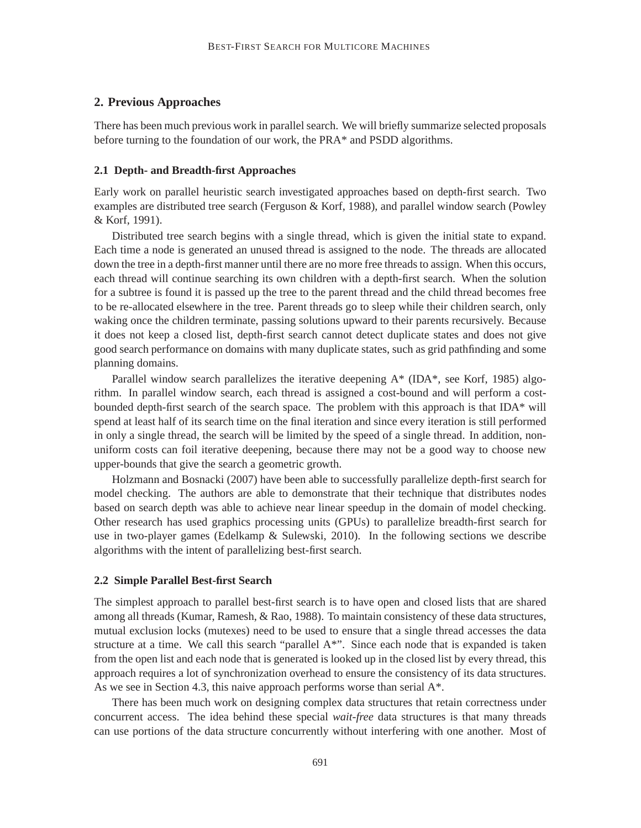# **2. Previous Approaches**

There has been much previous work in parallel search. We will briefly summarize selected proposals before turning to the foundation of our work, the PRA\* and PSDD algorithms.

#### **2.1 Depth- and Breadth-first Approaches**

Early work on parallel heuristic search investigated approaches based on depth-first search. Two examples are distributed tree search (Ferguson & Korf, 1988), and parallel window search (Powley & Korf, 1991).

Distributed tree search begins with a single thread, which is given the initial state to expand. Each time a node is generated an unused thread is assigned to the node. The threads are allocated down the tree in a depth-first manner until there are no more free threads to assign. When this occurs, each thread will continue searching its own children with a depth-first search. When the solution for a subtree is found it is passed up the tree to the parent thread and the child thread becomes free to be re-allocated elsewhere in the tree. Parent threads go to sleep while their children search, only waking once the children terminate, passing solutions upward to their parents recursively. Because it does not keep a closed list, depth-first search cannot detect duplicate states and does not give good search performance on domains with many duplicate states, such as grid pathfinding and some planning domains.

Parallel window search parallelizes the iterative deepening A\* (IDA\*, see Korf, 1985) algorithm. In parallel window search, each thread is assigned a cost-bound and will perform a costbounded depth-first search of the search space. The problem with this approach is that IDA\* will spend at least half of its search time on the final iteration and since every iteration is still performed in only a single thread, the search will be limited by the speed of a single thread. In addition, nonuniform costs can foil iterative deepening, because there may not be a good way to choose new upper-bounds that give the search a geometric growth.

Holzmann and Bosnacki (2007) have been able to successfully parallelize depth-first search for model checking. The authors are able to demonstrate that their technique that distributes nodes based on search depth was able to achieve near linear speedup in the domain of model checking. Other research has used graphics processing units (GPUs) to parallelize breadth-first search for use in two-player games (Edelkamp  $\&$  Sulewski, 2010). In the following sections we describe algorithms with the intent of parallelizing best-first search.

#### **2.2 Simple Parallel Best-first Search**

The simplest approach to parallel best-first search is to have open and closed lists that are shared among all threads (Kumar, Ramesh, & Rao, 1988). To maintain consistency of these data structures, mutual exclusion locks (mutexes) need to be used to ensure that a single thread accesses the data structure at a time. We call this search "parallel A\*". Since each node that is expanded is taken from the open list and each node that is generated is looked up in the closed list by every thread, this approach requires a lot of synchronization overhead to ensure the consistency of its data structures. As we see in Section 4.3, this naive approach performs worse than serial A\*.

There has been much work on designing complex data structures that retain correctness under concurrent access. The idea behind these special *wait-free* data structures is that many threads can use portions of the data structure concurrently without interfering with one another. Most of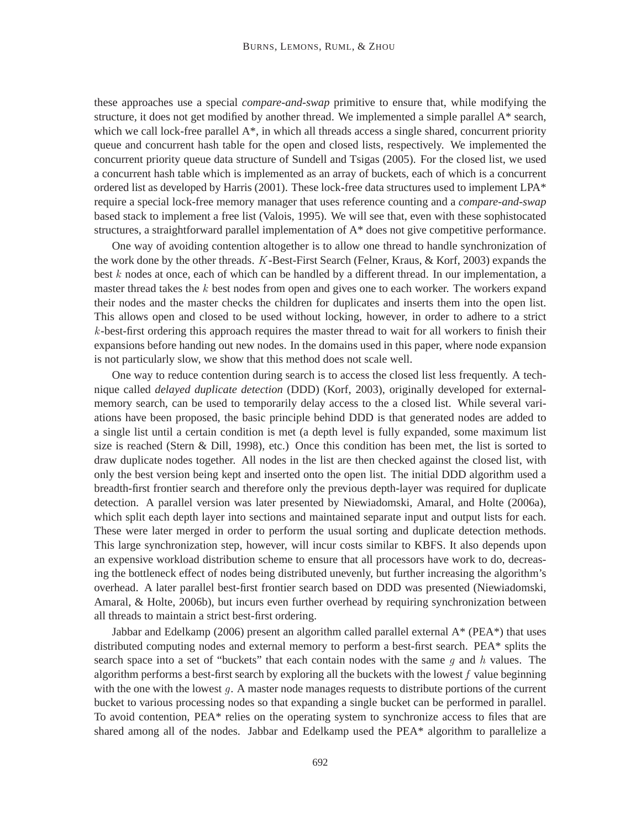these approaches use a special *compare-and-swap* primitive to ensure that, while modifying the structure, it does not get modified by another thread. We implemented a simple parallel A\* search, which we call lock-free parallel  $A^*$ , in which all threads access a single shared, concurrent priority queue and concurrent hash table for the open and closed lists, respectively. We implemented the concurrent priority queue data structure of Sundell and Tsigas (2005). For the closed list, we used a concurrent hash table which is implemented as an array of buckets, each of which is a concurrent ordered list as developed by Harris (2001). These lock-free data structures used to implement LPA\* require a special lock-free memory manager that uses reference counting and a *compare-and-swap* based stack to implement a free list (Valois, 1995). We will see that, even with these sophistocated structures, a straightforward parallel implementation of A\* does not give competitive performance.

One way of avoiding contention altogether is to allow one thread to handle synchronization of the work done by the other threads. K-Best-First Search (Felner, Kraus, & Korf, 2003) expands the best  $k$  nodes at once, each of which can be handled by a different thread. In our implementation, a master thread takes the  $k$  best nodes from open and gives one to each worker. The workers expand their nodes and the master checks the children for duplicates and inserts them into the open list. This allows open and closed to be used without locking, however, in order to adhere to a strict k-best-first ordering this approach requires the master thread to wait for all workers to finish their expansions before handing out new nodes. In the domains used in this paper, where node expansion is not particularly slow, we show that this method does not scale well.

One way to reduce contention during search is to access the closed list less frequently. A technique called *delayed duplicate detection* (DDD) (Korf, 2003), originally developed for externalmemory search, can be used to temporarily delay access to the a closed list. While several variations have been proposed, the basic principle behind DDD is that generated nodes are added to a single list until a certain condition is met (a depth level is fully expanded, some maximum list size is reached (Stern & Dill, 1998), etc.) Once this condition has been met, the list is sorted to draw duplicate nodes together. All nodes in the list are then checked against the closed list, with only the best version being kept and inserted onto the open list. The initial DDD algorithm used a breadth-first frontier search and therefore only the previous depth-layer was required for duplicate detection. A parallel version was later presented by Niewiadomski, Amaral, and Holte (2006a), which split each depth layer into sections and maintained separate input and output lists for each. These were later merged in order to perform the usual sorting and duplicate detection methods. This large synchronization step, however, will incur costs similar to KBFS. It also depends upon an expensive workload distribution scheme to ensure that all processors have work to do, decreasing the bottleneck effect of nodes being distributed unevenly, but further increasing the algorithm's overhead. A later parallel best-first frontier search based on DDD was presented (Niewiadomski, Amaral, & Holte, 2006b), but incurs even further overhead by requiring synchronization between all threads to maintain a strict best-first ordering.

Jabbar and Edelkamp (2006) present an algorithm called parallel external A\* (PEA\*) that uses distributed computing nodes and external memory to perform a best-first search. PEA\* splits the search space into a set of "buckets" that each contain nodes with the same g and h values. The algorithm performs a best-first search by exploring all the buckets with the lowest  $f$  value beginning with the one with the lowest  $g$ . A master node manages requests to distribute portions of the current bucket to various processing nodes so that expanding a single bucket can be performed in parallel. To avoid contention, PEA\* relies on the operating system to synchronize access to files that are shared among all of the nodes. Jabbar and Edelkamp used the PEA\* algorithm to parallelize a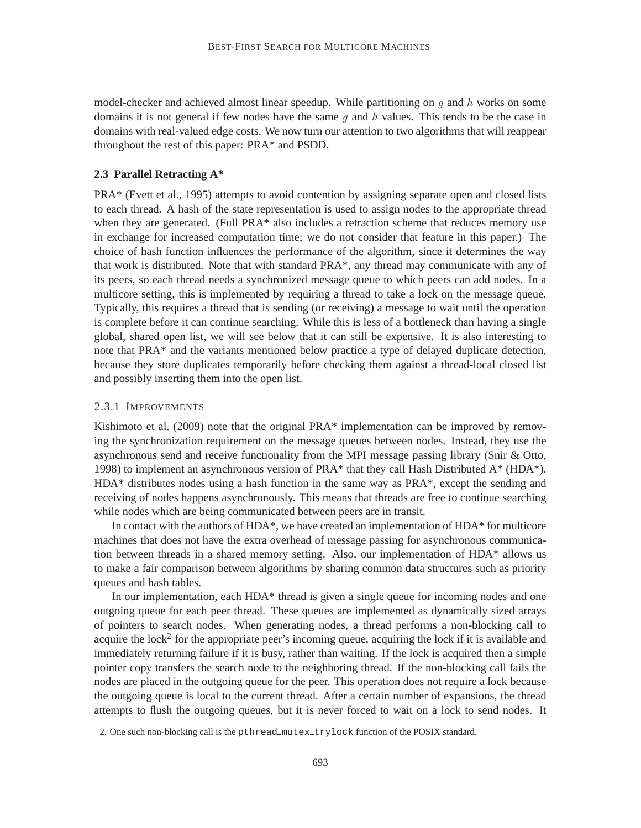model-checker and achieved almost linear speedup. While partitioning on  $q$  and  $h$  works on some domains it is not general if few nodes have the same q and  $h$  values. This tends to be the case in domains with real-valued edge costs. We now turn our attention to two algorithms that will reappear throughout the rest of this paper: PRA\* and PSDD.

## **2.3 Parallel Retracting A\***

PRA\* (Evett et al., 1995) attempts to avoid contention by assigning separate open and closed lists to each thread. A hash of the state representation is used to assign nodes to the appropriate thread when they are generated. (Full PRA<sup>\*</sup> also includes a retraction scheme that reduces memory use in exchange for increased computation time; we do not consider that feature in this paper.) The choice of hash function influences the performance of the algorithm, since it determines the way that work is distributed. Note that with standard PRA\*, any thread may communicate with any of its peers, so each thread needs a synchronized message queue to which peers can add nodes. In a multicore setting, this is implemented by requiring a thread to take a lock on the message queue. Typically, this requires a thread that is sending (or receiving) a message to wait until the operation is complete before it can continue searching. While this is less of a bottleneck than having a single global, shared open list, we will see below that it can still be expensive. It is also interesting to note that PRA\* and the variants mentioned below practice a type of delayed duplicate detection, because they store duplicates temporarily before checking them against a thread-local closed list and possibly inserting them into the open list.

#### 2.3.1 IMPROVEMENTS

Kishimoto et al. (2009) note that the original PRA\* implementation can be improved by removing the synchronization requirement on the message queues between nodes. Instead, they use the asynchronous send and receive functionality from the MPI message passing library (Snir & Otto, 1998) to implement an asynchronous version of PRA\* that they call Hash Distributed  $A^*$  (HDA\*). HDA\* distributes nodes using a hash function in the same way as PRA\*, except the sending and receiving of nodes happens asynchronously. This means that threads are free to continue searching while nodes which are being communicated between peers are in transit.

In contact with the authors of HDA\*, we have created an implementation of HDA\* for multicore machines that does not have the extra overhead of message passing for asynchronous communication between threads in a shared memory setting. Also, our implementation of HDA\* allows us to make a fair comparison between algorithms by sharing common data structures such as priority queues and hash tables.

In our implementation, each HDA\* thread is given a single queue for incoming nodes and one outgoing queue for each peer thread. These queues are implemented as dynamically sized arrays of pointers to search nodes. When generating nodes, a thread performs a non-blocking call to acquire the lock<sup>2</sup> for the appropriate peer's incoming queue, acquiring the lock if it is available and immediately returning failure if it is busy, rather than waiting. If the lock is acquired then a simple pointer copy transfers the search node to the neighboring thread. If the non-blocking call fails the nodes are placed in the outgoing queue for the peer. This operation does not require a lock because the outgoing queue is local to the current thread. After a certain number of expansions, the thread attempts to flush the outgoing queues, but it is never forced to wait on a lock to send nodes. It

<sup>2.</sup> One such non-blocking call is the pthread mutex trylock function of the POSIX standard.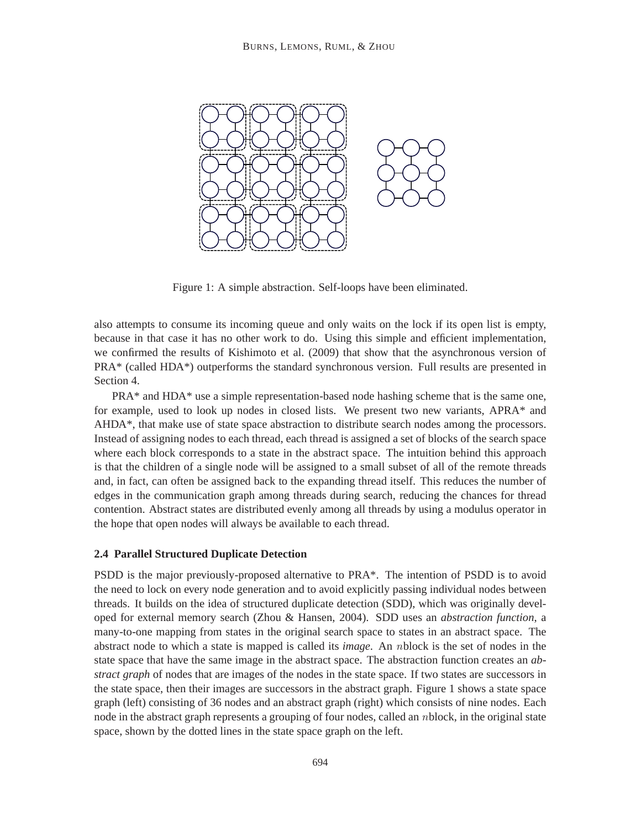

Figure 1: A simple abstraction. Self-loops have been eliminated.

also attempts to consume its incoming queue and only waits on the lock if its open list is empty, because in that case it has no other work to do. Using this simple and efficient implementation, we confirmed the results of Kishimoto et al. (2009) that show that the asynchronous version of PRA\* (called HDA\*) outperforms the standard synchronous version. Full results are presented in Section 4.

PRA\* and HDA\* use a simple representation-based node hashing scheme that is the same one, for example, used to look up nodes in closed lists. We present two new variants, APRA\* and AHDA\*, that make use of state space abstraction to distribute search nodes among the processors. Instead of assigning nodes to each thread, each thread is assigned a set of blocks of the search space where each block corresponds to a state in the abstract space. The intuition behind this approach is that the children of a single node will be assigned to a small subset of all of the remote threads and, in fact, can often be assigned back to the expanding thread itself. This reduces the number of edges in the communication graph among threads during search, reducing the chances for thread contention. Abstract states are distributed evenly among all threads by using a modulus operator in the hope that open nodes will always be available to each thread.

#### **2.4 Parallel Structured Duplicate Detection**

PSDD is the major previously-proposed alternative to PRA\*. The intention of PSDD is to avoid the need to lock on every node generation and to avoid explicitly passing individual nodes between threads. It builds on the idea of structured duplicate detection (SDD), which was originally developed for external memory search (Zhou & Hansen, 2004). SDD uses an *abstraction function*, a many-to-one mapping from states in the original search space to states in an abstract space. The abstract node to which a state is mapped is called its *image*. An nblock is the set of nodes in the state space that have the same image in the abstract space. The abstraction function creates an *abstract graph* of nodes that are images of the nodes in the state space. If two states are successors in the state space, then their images are successors in the abstract graph. Figure 1 shows a state space graph (left) consisting of 36 nodes and an abstract graph (right) which consists of nine nodes. Each node in the abstract graph represents a grouping of four nodes, called an nblock, in the original state space, shown by the dotted lines in the state space graph on the left.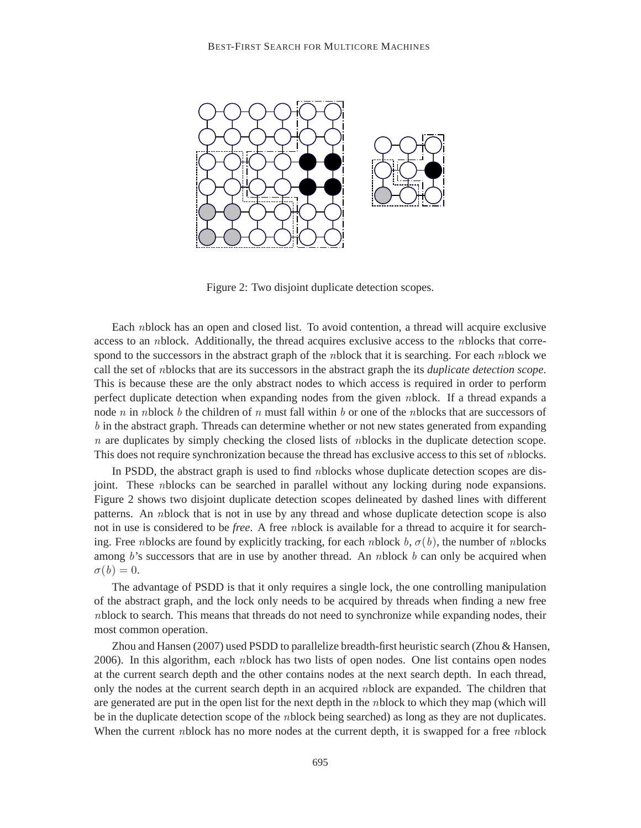

Figure 2: Two disjoint duplicate detection scopes.

Each nblock has an open and closed list. To avoid contention, a thread will acquire exclusive access to an nblock. Additionally, the thread acquires exclusive access to the nblocks that correspond to the successors in the abstract graph of the *nblock* that it is searching. For each *nblock* we call the set of nblocks that are its successors in the abstract graph the its *duplicate detection scope*. This is because these are the only abstract nodes to which access is required in order to perform perfect duplicate detection when expanding nodes from the given nblock. If a thread expands a node n in nblock b the children of n must fall within b or one of the nblocks that are successors of b in the abstract graph. Threads can determine whether or not new states generated from expanding  $n$  are duplicates by simply checking the closed lists of nblocks in the duplicate detection scope. This does not require synchronization because the thread has exclusive access to this set of nblocks.

In PSDD, the abstract graph is used to find nblocks whose duplicate detection scopes are disjoint. These nblocks can be searched in parallel without any locking during node expansions. Figure 2 shows two disjoint duplicate detection scopes delineated by dashed lines with different patterns. An nblock that is not in use by any thread and whose duplicate detection scope is also not in use is considered to be *free*. A free nblock is available for a thread to acquire it for searching. Free nblocks are found by explicitly tracking, for each nblock  $b, \sigma(b)$ , the number of nblocks among  $b$ 's successors that are in use by another thread. An *n*block  $b$  can only be acquired when  $\sigma(b) = 0.$ 

The advantage of PSDD is that it only requires a single lock, the one controlling manipulation of the abstract graph, and the lock only needs to be acquired by threads when finding a new free nblock to search. This means that threads do not need to synchronize while expanding nodes, their most common operation.

Zhou and Hansen (2007) used PSDD to parallelize breadth-first heuristic search (Zhou & Hansen, 2006). In this algorithm, each nblock has two lists of open nodes. One list contains open nodes at the current search depth and the other contains nodes at the next search depth. In each thread, only the nodes at the current search depth in an acquired nblock are expanded. The children that are generated are put in the open list for the next depth in the nblock to which they map (which will be in the duplicate detection scope of the nblock being searched) as long as they are not duplicates. When the current nblock has no more nodes at the current depth, it is swapped for a free nblock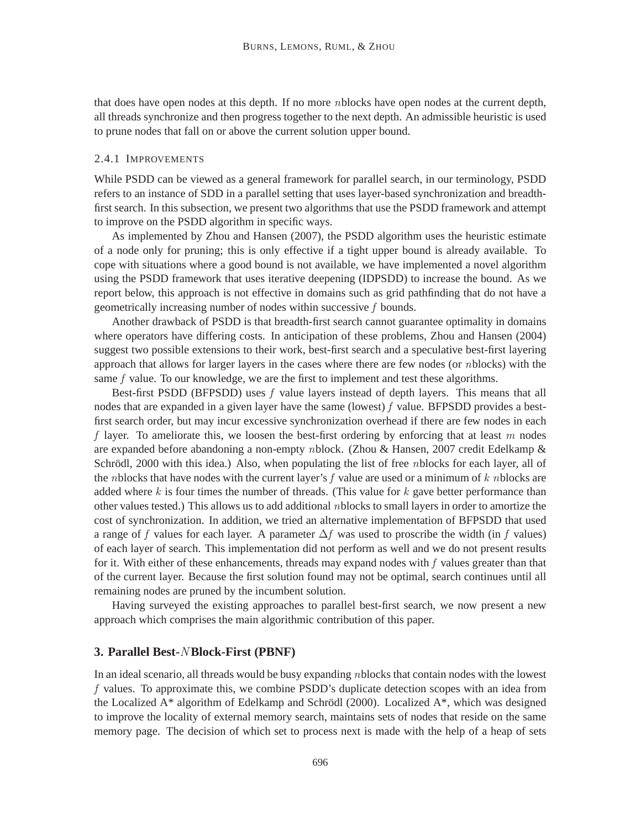that does have open nodes at this depth. If no more nblocks have open nodes at the current depth, all threads synchronize and then progress together to the next depth. An admissible heuristic is used to prune nodes that fall on or above the current solution upper bound.

#### 2.4.1 IMPROVEMENTS

While PSDD can be viewed as a general framework for parallel search, in our terminology, PSDD refers to an instance of SDD in a parallel setting that uses layer-based synchronization and breadthfirst search. In this subsection, we present two algorithms that use the PSDD framework and attempt to improve on the PSDD algorithm in specific ways.

As implemented by Zhou and Hansen (2007), the PSDD algorithm uses the heuristic estimate of a node only for pruning; this is only effective if a tight upper bound is already available. To cope with situations where a good bound is not available, we have implemented a novel algorithm using the PSDD framework that uses iterative deepening (IDPSDD) to increase the bound. As we report below, this approach is not effective in domains such as grid pathfinding that do not have a geometrically increasing number of nodes within successive f bounds.

Another drawback of PSDD is that breadth-first search cannot guarantee optimality in domains where operators have differing costs. In anticipation of these problems, Zhou and Hansen (2004) suggest two possible extensions to their work, best-first search and a speculative best-first layering approach that allows for larger layers in the cases where there are few nodes (or nblocks) with the same  $f$  value. To our knowledge, we are the first to implement and test these algorithms.

Best-first PSDD (BFPSDD) uses  $f$  value layers instead of depth layers. This means that all nodes that are expanded in a given layer have the same (lowest)  $f$  value. BFPSDD provides a bestfirst search order, but may incur excessive synchronization overhead if there are few nodes in each f layer. To ameliorate this, we loosen the best-first ordering by enforcing that at least  $m$  nodes are expanded before abandoning a non-empty nblock. (Zhou & Hansen, 2007 credit Edelkamp & Schrödl,  $2000$  with this idea.) Also, when populating the list of free *n*blocks for each layer, all of the nblocks that have nodes with the current layer's f value are used or a minimum of  $k$  nblocks are added where  $k$  is four times the number of threads. (This value for  $k$  gave better performance than other values tested.) This allows us to add additional nblocks to small layers in order to amortize the cost of synchronization. In addition, we tried an alternative implementation of BFPSDD that used a range of f values for each layer. A parameter  $\Delta f$  was used to proscribe the width (in f values) of each layer of search. This implementation did not perform as well and we do not present results for it. With either of these enhancements, threads may expand nodes with  $f$  values greater than that of the current layer. Because the first solution found may not be optimal, search continues until all remaining nodes are pruned by the incumbent solution.

Having surveyed the existing approaches to parallel best-first search, we now present a new approach which comprises the main algorithmic contribution of this paper.

### **3. Parallel Best-**N **Block-First (PBNF)**

In an ideal scenario, all threads would be busy expanding nblocks that contain nodes with the lowest f values. To approximate this, we combine PSDD's duplicate detection scopes with an idea from the Localized  $A^*$  algorithm of Edelkamp and Schrödl (2000). Localized  $A^*$ , which was designed to improve the locality of external memory search, maintains sets of nodes that reside on the same memory page. The decision of which set to process next is made with the help of a heap of sets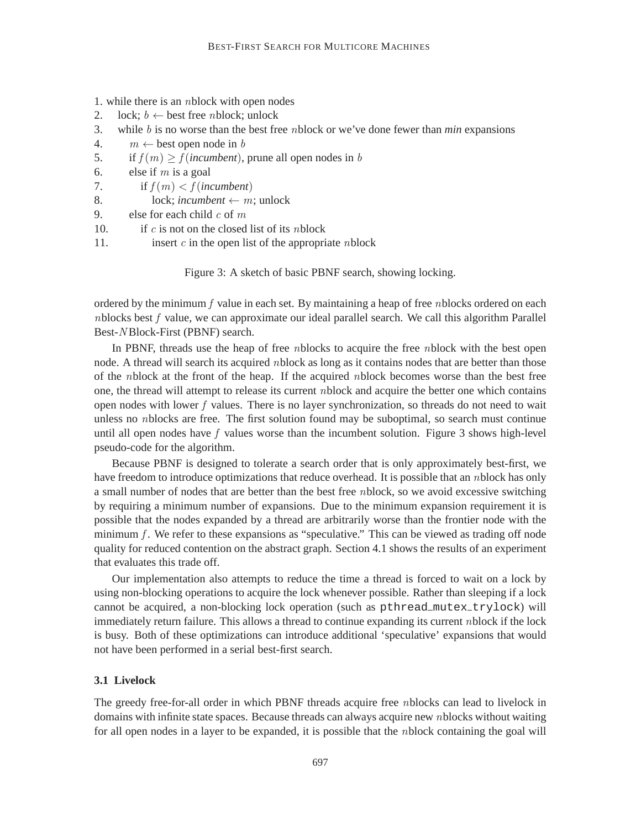- 1. while there is an nblock with open nodes
- 2. lock;  $b \leftarrow$  best free *n* block; unlock<br>3. while *b* is no worse than the best free
- while  $b$  is no worse than the best free *n*block or we've done fewer than *min* expansions
- 4.  $m \leftarrow$  best open node in b<br>5. if  $f(m) > f(incumber)$ .
- 5. if  $f(m) \ge f(incumbent)$ , prune all open nodes in b<br>6. else if m is a goal
- else if  $m$  is a goal
- 7. if  $f(m) < f$  (*incumbent*)
- 8. lock; *incumbent*  $\leftarrow$  *m*; unlock<br>9. else for each child *c* of *m*
- else for each child  $c$  of  $m$
- 10. if c is not on the closed list of its nblock
- 11. insert  $c$  in the open list of the appropriate *n*block

Figure 3: A sketch of basic PBNF search, showing locking.

ordered by the minimum  $f$  value in each set. By maintaining a heap of free *n*blocks ordered on each  $n$ blocks best  $f$  value, we can approximate our ideal parallel search. We call this algorithm Parallel Best-N Block-First (PBNF) search.

In PBNF, threads use the heap of free nblocks to acquire the free nblock with the best open node. A thread will search its acquired nblock as long as it contains nodes that are better than those of the nblock at the front of the heap. If the acquired nblock becomes worse than the best free one, the thread will attempt to release its current nblock and acquire the better one which contains open nodes with lower  $f$  values. There is no layer synchronization, so threads do not need to wait unless no *n*blocks are free. The first solution found may be suboptimal, so search must continue until all open nodes have  $f$  values worse than the incumbent solution. Figure 3 shows high-level pseudo-code for the algorithm.

Because PBNF is designed to tolerate a search order that is only approximately best-first, we have freedom to introduce optimizations that reduce overhead. It is possible that an nblock has only a small number of nodes that are better than the best free nblock, so we avoid excessive switching by requiring a minimum number of expansions. Due to the minimum expansion requirement it is possible that the nodes expanded by a thread are arbitrarily worse than the frontier node with the minimum  $f$ . We refer to these expansions as "speculative." This can be viewed as trading off node quality for reduced contention on the abstract graph. Section 4.1 shows the results of an experiment that evaluates this trade off.

Our implementation also attempts to reduce the time a thread is forced to wait on a lock by using non-blocking operations to acquire the lock whenever possible. Rather than sleeping if a lock cannot be acquired, a non-blocking lock operation (such as pthread\_mutex\_trylock) will immediately return failure. This allows a thread to continue expanding its current nblock if the lock is busy. Both of these optimizations can introduce additional 'speculative' expansions that would not have been performed in a serial best-first search.

# **3.1 Livelock**

The greedy free-for-all order in which PBNF threads acquire free nblocks can lead to livelock in domains with infinite state spaces. Because threads can always acquire new nblocks without waiting for all open nodes in a layer to be expanded, it is possible that the nblock containing the goal will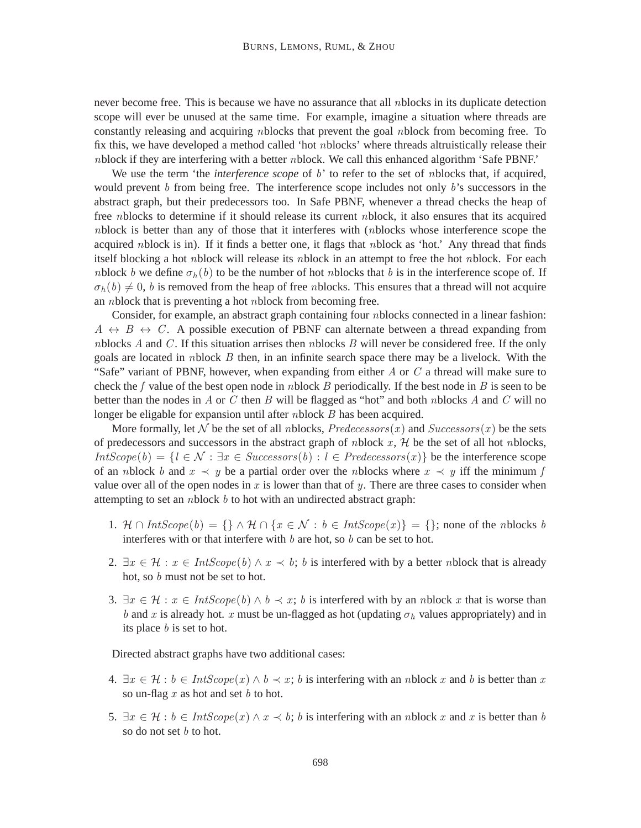never become free. This is because we have no assurance that all nblocks in its duplicate detection scope will ever be unused at the same time. For example, imagine a situation where threads are constantly releasing and acquiring nblocks that prevent the goal nblock from becoming free. To fix this, we have developed a method called 'hot nblocks' where threads altruistically release their nblock if they are interfering with a better nblock. We call this enhanced algorithm 'Safe PBNF.'

We use the term 'the *interference scope* of b' to refer to the set of *n*blocks that, if acquired, would prevent  $b$  from being free. The interference scope includes not only  $b$ 's successors in the abstract graph, but their predecessors too. In Safe PBNF, whenever a thread checks the heap of free nblocks to determine if it should release its current nblock, it also ensures that its acquired nblock is better than any of those that it interferes with (nblocks whose interference scope the acquired nblock is in). If it finds a better one, it flags that nblock as 'hot.' Any thread that finds itself blocking a hot nblock will release its nblock in an attempt to free the hot nblock. For each nblock b we define  $\sigma_h(b)$  to be the number of hot nblocks that b is in the interference scope of. If  $\sigma_h(b) \neq 0$ , b is removed from the heap of free nblocks. This ensures that a thread will not acquire an nblock that is preventing a hot nblock from becoming free.

Consider, for example, an abstract graph containing four nblocks connected in a linear fashion:  $A \leftrightarrow B \leftrightarrow C$ . A possible execution of PBNF can alternate between a thread expanding from nblocks A and C. If this situation arrises then nblocks B will never be considered free. If the only goals are located in nblock  $B$  then, in an infinite search space there may be a livelock. With the "Safe" variant of PBNF, however, when expanding from either  $A$  or  $C$  a thread will make sure to check the f value of the best open node in nblock B periodically. If the best node in B is seen to be better than the nodes in A or C then B will be flagged as "hot" and both nblocks A and C will no longer be eligable for expansion until after *n*block *B* has been acquired.

More formally, let N be the set of all nblocks,  $Predecessors(x)$  and  $Successors(x)$  be the sets of predecessors and successors in the abstract graph of *nblock*  $x$ ,  $H$  be the set of all hot *nblocks*,  $IntScope(b) = \{l \in \mathcal{N} : \exists x \in Successors(b) : l \in Predecessors(x)\}\$  be the interference scope of an nblock b and  $x \prec y$  be a partial order over the nblocks where  $x \prec y$  iff the minimum f value over all of the open nodes in x is lower than that of y. There are three cases to consider when attempting to set an *n*block  $b$  to hot with an undirected abstract graph:

- 1.  $\mathcal{H} \cap IntScope(b) = \{\} \wedge \mathcal{H} \cap \{x \in \mathcal{N} : b \in IntScope(x)\} = \{\}$ ; none of the nblocks b interferes with or that interfere with  $b$  are hot, so  $b$  can be set to hot.
- 2.  $\exists x \in \mathcal{H} : x \in IntScope(b) \land x \prec b$ ; b is interfered with by a better nblock that is already hot, so b must not be set to hot.
- 3.  $\exists x \in \mathcal{H} : x \in IntScope(b) \land b \prec x$ ; b is interfered with by an nblock x that is worse than b and x is already hot. x must be un-flagged as hot (updating  $\sigma_h$  values appropriately) and in its place b is set to hot.

Directed abstract graphs have two additional cases:

- 4.  $\exists x \in \mathcal{H} : b \in IntScope(x) \land b \prec x$ ; b is interfering with an nblock x and b is better than x so un-flag  $x$  as hot and set  $b$  to hot.
- 5.  $\exists x \in \mathcal{H} : b \in IntScope(x) \wedge x \prec b$ ; b is interfering with an nblock x and x is better than b so do not set *b* to hot.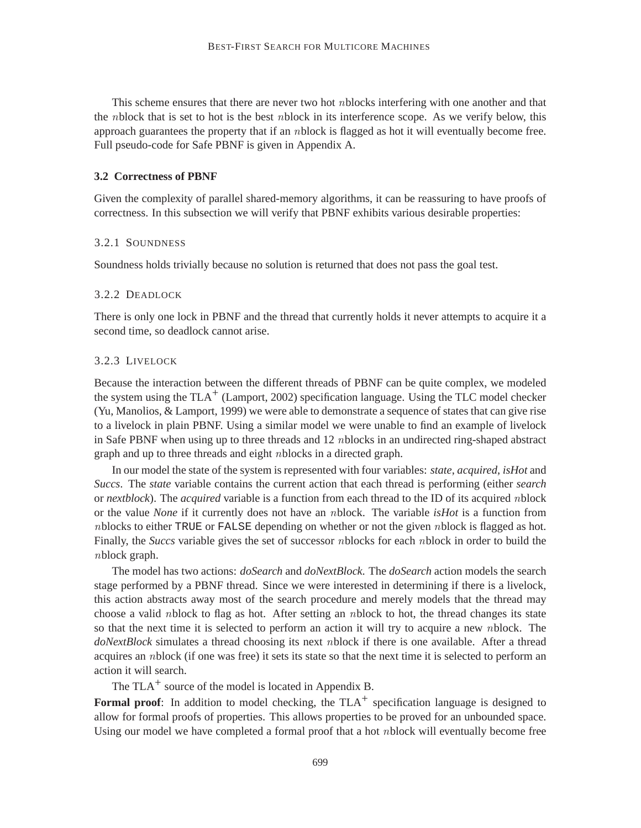This scheme ensures that there are never two hot nblocks interfering with one another and that the nblock that is set to hot is the best nblock in its interference scope. As we verify below, this approach guarantees the property that if an nblock is flagged as hot it will eventually become free. Full pseudo-code for Safe PBNF is given in Appendix A.

#### **3.2 Correctness of PBNF**

Given the complexity of parallel shared-memory algorithms, it can be reassuring to have proofs of correctness. In this subsection we will verify that PBNF exhibits various desirable properties:

### 3.2.1 SOUNDNESS

Soundness holds trivially because no solution is returned that does not pass the goal test.

#### 3.2.2 DEADLOCK

There is only one lock in PBNF and the thread that currently holds it never attempts to acquire it a second time, so deadlock cannot arise.

#### 3.2.3 LIVELOCK

Because the interaction between the different threads of PBNF can be quite complex, we modeled the system using the  $TLA<sup>+</sup>$  (Lamport, 2002) specification language. Using the TLC model checker (Yu, Manolios,  $&$  Lamport, 1999) we were able to demonstrate a sequence of states that can give rise to a livelock in plain PBNF. Using a similar model we were unable to find an example of livelock in Safe PBNF when using up to three threads and 12 nblocks in an undirected ring-shaped abstract graph and up to three threads and eight nblocks in a directed graph.

In our model the state of the system is represented with four variables: *state*, *acquired*, *isHot* and *Succs*. The *state* variable contains the current action that each thread is performing (either *search* or *nextblock*). The *acquired* variable is a function from each thread to the ID of its acquired nblock or the value *None* if it currently does not have an nblock. The variable *isHot* is a function from nblocks to either TRUE or FALSE depending on whether or not the given nblock is flagged as hot. Finally, the *Succs* variable gives the set of successor nblocks for each nblock in order to build the nblock graph.

The model has two actions: *doSearch* and *doNextBlock*. The *doSearch* action models the search stage performed by a PBNF thread. Since we were interested in determining if there is a livelock, this action abstracts away most of the search procedure and merely models that the thread may choose a valid nblock to flag as hot. After setting an nblock to hot, the thread changes its state so that the next time it is selected to perform an action it will try to acquire a new nblock. The *doNextBlock* simulates a thread choosing its next nblock if there is one available. After a thread acquires an nblock (if one was free) it sets its state so that the next time it is selected to perform an action it will search.

The  $TLA<sup>+</sup>$  source of the model is located in Appendix B.

**Formal proof:** In addition to model checking, the TLA<sup>+</sup> specification language is designed to allow for formal proofs of properties. This allows properties to be proved for an unbounded space. Using our model we have completed a formal proof that a hot nblock will eventually become free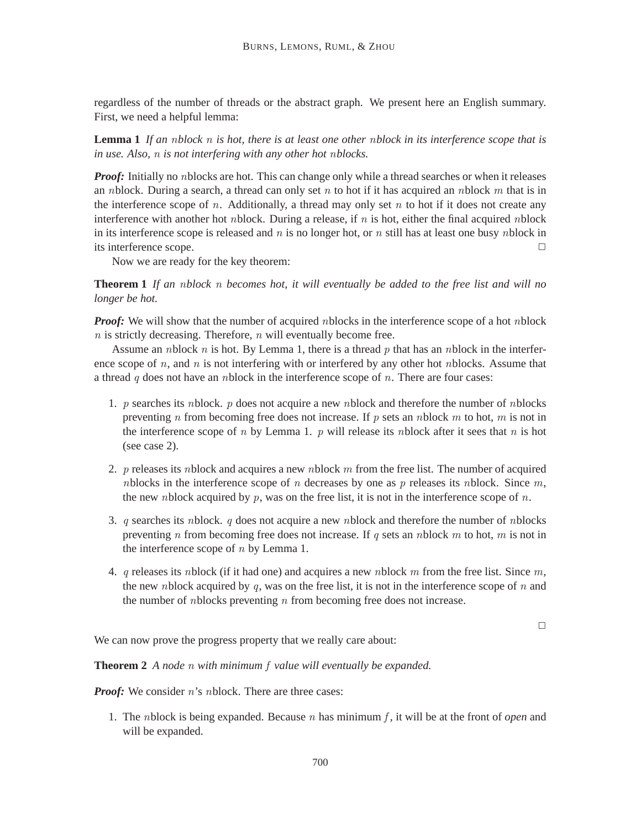regardless of the number of threads or the abstract graph. We present here an English summary. First, we need a helpful lemma:

**Lemma 1** *If an* n*block* n *is hot, there is at least one other* n*block in its interference scope that is in use. Also,* n *is not interfering with any other hot* n*blocks.*

*Proof:* Initially no nblocks are hot. This can change only while a thread searches or when it releases an nblock. During a search, a thread can only set n to hot if it has acquired an nblock m that is in the interference scope of  $n$ . Additionally, a thread may only set  $n$  to hot if it does not create any interference with another hot *n*block. During a release, if *n* is hot, either the final acquired *nblock* in its interference scope is released and  $n$  is no longer hot, or  $n$  still has at least one busy nblock in its interference scope.

Now we are ready for the key theorem:

**Theorem 1** *If an* n*block* n *becomes hot, it will eventually be added to the free list and will no longer be hot.*

*Proof:* We will show that the number of acquired nblocks in the interference scope of a hot nblock  $n$  is strictly decreasing. Therefore,  $n$  will eventually become free.

Assume an nblock n is hot. By Lemma 1, there is a thread p that has an nblock in the interference scope of n, and n is not interfering with or interfered by any other hot nblocks. Assume that a thread  $q$  does not have an *n*block in the interference scope of  $n$ . There are four cases:

- 1. p searches its nblock. p does not acquire a new nblock and therefore the number of nblocks preventing n from becoming free does not increase. If p sets an nblock m to hot, m is not in the interference scope of n by Lemma 1. p will release its nblock after it sees that n is hot (see case 2).
- 2. p releases its nblock and acquires a new nblock m from the free list. The number of acquired nblocks in the interference scope of n decreases by one as  $p$  releases its nblock. Since  $m$ , the new nblock acquired by  $p$ , was on the free list, it is not in the interference scope of  $n$ .
- 3. q searches its nblock. q does not acquire a new nblock and therefore the number of nblocks preventing n from becoming free does not increase. If q sets an nblock  $m$  to hot,  $m$  is not in the interference scope of  $n$  by Lemma 1.
- 4. q releases its nblock (if it had one) and acquires a new nblock m from the free list. Since m, the new nblock acquired by q, was on the free list, it is not in the interference scope of  $n$  and the number of *n*blocks preventing  $n$  from becoming free does not increase.

 $\Box$ 

We can now prove the progress property that we really care about:

**Theorem 2** *A node* n *with minimum* f *value will eventually be expanded.*

*Proof:* We consider n's nblock. There are three cases:

1. The nblock is being expanded. Because  $n$  has minimum  $f$ , it will be at the front of *open* and will be expanded.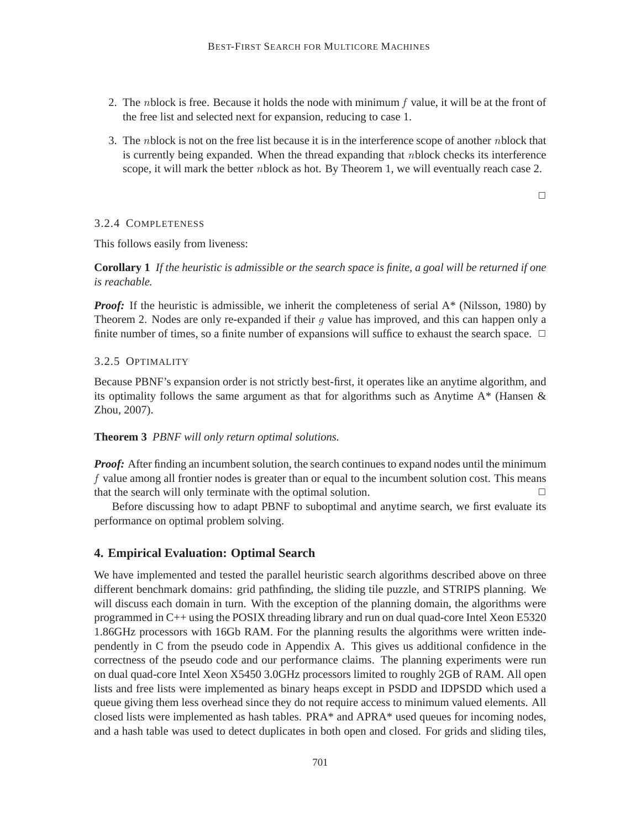- 2. The nblock is free. Because it holds the node with minimum  $f$  value, it will be at the front of the free list and selected next for expansion, reducing to case 1.
- 3. The nblock is not on the free list because it is in the interference scope of another nblock that is currently being expanded. When the thread expanding that nblock checks its interference scope, it will mark the better nblock as hot. By Theorem 1, we will eventually reach case 2.

 $\Box$ 

## 3.2.4 COMPLETENESS

This follows easily from liveness:

**Corollary 1** *If the heuristic is admissible or the search space is finite, a goal will be returned if one is reachable.*

*Proof:* If the heuristic is admissible, we inherit the completeness of serial A\* (Nilsson, 1980) by Theorem 2. Nodes are only re-expanded if their  $q$  value has improved, and this can happen only a finite number of times, so a finite number of expansions will suffice to exhaust the search space.  $\Box$ 

## 3.2.5 OPTIMALITY

Because PBNF's expansion order is not strictly best-first, it operates like an anytime algorithm, and its optimality follows the same argument as that for algorithms such as Anytime  $A^*$  (Hansen  $\&$ Zhou, 2007).

## **Theorem 3** *PBNF will only return optimal solutions.*

*Proof:* After finding an incumbent solution, the search continues to expand nodes until the minimum f value among all frontier nodes is greater than or equal to the incumbent solution cost. This means that the search will only terminate with the optimal solution.  $\Box$ 

Before discussing how to adapt PBNF to suboptimal and anytime search, we first evaluate its performance on optimal problem solving.

## **4. Empirical Evaluation: Optimal Search**

We have implemented and tested the parallel heuristic search algorithms described above on three different benchmark domains: grid pathfinding, the sliding tile puzzle, and STRIPS planning. We will discuss each domain in turn. With the exception of the planning domain, the algorithms were programmed in C++ using the POSIX threading library and run on dual quad-core Intel Xeon E5320 1.86GHz processors with 16Gb RAM. For the planning results the algorithms were written independently in C from the pseudo code in Appendix A. This gives us additional confidence in the correctness of the pseudo code and our performance claims. The planning experiments were run on dual quad-core Intel Xeon X5450 3.0GHz processors limited to roughly 2GB of RAM. All open lists and free lists were implemented as binary heaps except in PSDD and IDPSDD which used a queue giving them less overhead since they do not require access to minimum valued elements. All closed lists were implemented as hash tables. PRA\* and APRA\* used queues for incoming nodes, and a hash table was used to detect duplicates in both open and closed. For grids and sliding tiles,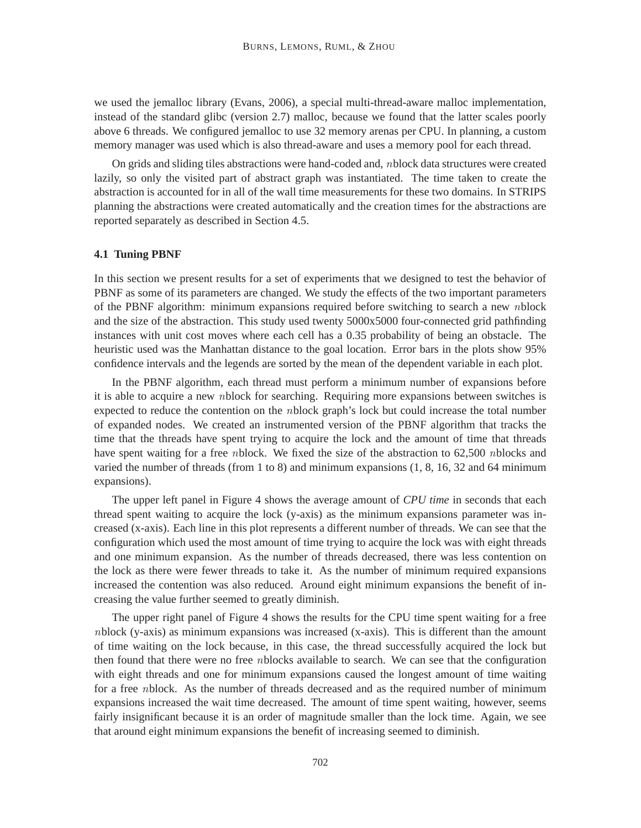we used the jemalloc library (Evans, 2006), a special multi-thread-aware malloc implementation, instead of the standard glibc (version 2.7) malloc, because we found that the latter scales poorly above 6 threads. We configured jemalloc to use 32 memory arenas per CPU. In planning, a custom memory manager was used which is also thread-aware and uses a memory pool for each thread.

On grids and sliding tiles abstractions were hand-coded and, nblock data structures were created lazily, so only the visited part of abstract graph was instantiated. The time taken to create the abstraction is accounted for in all of the wall time measurements for these two domains. In STRIPS planning the abstractions were created automatically and the creation times for the abstractions are reported separately as described in Section 4.5.

#### **4.1 Tuning PBNF**

In this section we present results for a set of experiments that we designed to test the behavior of PBNF as some of its parameters are changed. We study the effects of the two important parameters of the PBNF algorithm: minimum expansions required before switching to search a new nblock and the size of the abstraction. This study used twenty 5000x5000 four-connected grid pathfinding instances with unit cost moves where each cell has a 0.35 probability of being an obstacle. The heuristic used was the Manhattan distance to the goal location. Error bars in the plots show 95% confidence intervals and the legends are sorted by the mean of the dependent variable in each plot.

In the PBNF algorithm, each thread must perform a minimum number of expansions before it is able to acquire a new nblock for searching. Requiring more expansions between switches is expected to reduce the contention on the nblock graph's lock but could increase the total number of expanded nodes. We created an instrumented version of the PBNF algorithm that tracks the time that the threads have spent trying to acquire the lock and the amount of time that threads have spent waiting for a free *nblock*. We fixed the size of the abstraction to 62,500 *nblocks* and varied the number of threads (from 1 to 8) and minimum expansions (1, 8, 16, 32 and 64 minimum expansions).

The upper left panel in Figure 4 shows the average amount of *CPU time* in seconds that each thread spent waiting to acquire the lock (y-axis) as the minimum expansions parameter was increased (x-axis). Each line in this plot represents a different number of threads. We can see that the configuration which used the most amount of time trying to acquire the lock was with eight threads and one minimum expansion. As the number of threads decreased, there was less contention on the lock as there were fewer threads to take it. As the number of minimum required expansions increased the contention was also reduced. Around eight minimum expansions the benefit of increasing the value further seemed to greatly diminish.

The upper right panel of Figure 4 shows the results for the CPU time spent waiting for a free nblock (y-axis) as minimum expansions was increased (x-axis). This is different than the amount of time waiting on the lock because, in this case, the thread successfully acquired the lock but then found that there were no free nblocks available to search. We can see that the configuration with eight threads and one for minimum expansions caused the longest amount of time waiting for a free nblock. As the number of threads decreased and as the required number of minimum expansions increased the wait time decreased. The amount of time spent waiting, however, seems fairly insignificant because it is an order of magnitude smaller than the lock time. Again, we see that around eight minimum expansions the benefit of increasing seemed to diminish.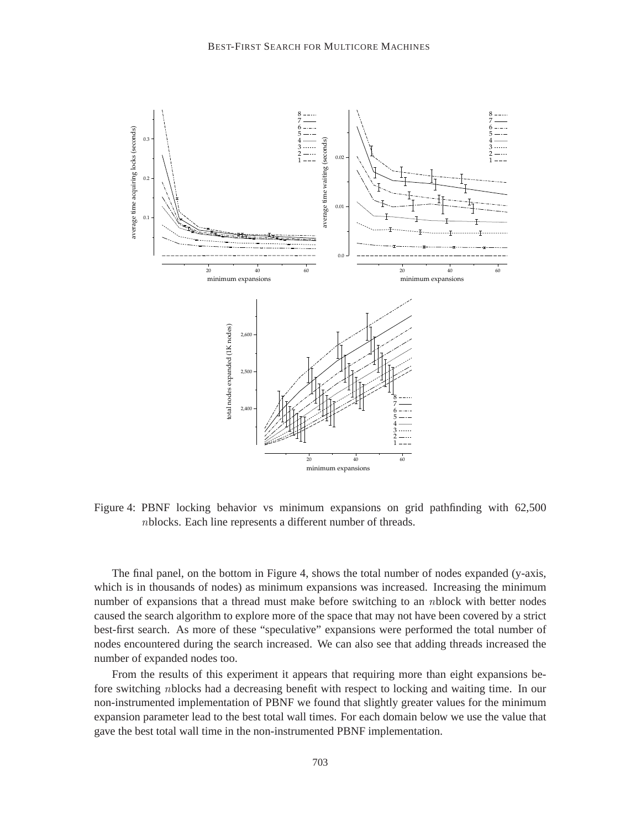

Figure 4: PBNF locking behavior vs minimum expansions on grid pathfinding with 62,500 nblocks. Each line represents a different number of threads.

The final panel, on the bottom in Figure 4, shows the total number of nodes expanded (y-axis, which is in thousands of nodes) as minimum expansions was increased. Increasing the minimum number of expansions that a thread must make before switching to an *n*block with better nodes caused the search algorithm to explore more of the space that may not have been covered by a strict best-first search. As more of these "speculative" expansions were performed the total number of nodes encountered during the search increased. We can also see that adding threads increased the number of expanded nodes too.

From the results of this experiment it appears that requiring more than eight expansions before switching nblocks had a decreasing benefit with respect to locking and waiting time. In our non-instrumented implementation of PBNF we found that slightly greater values for the minimum expansion parameter lead to the best total wall times. For each domain below we use the value that gave the best total wall time in the non-instrumented PBNF implementation.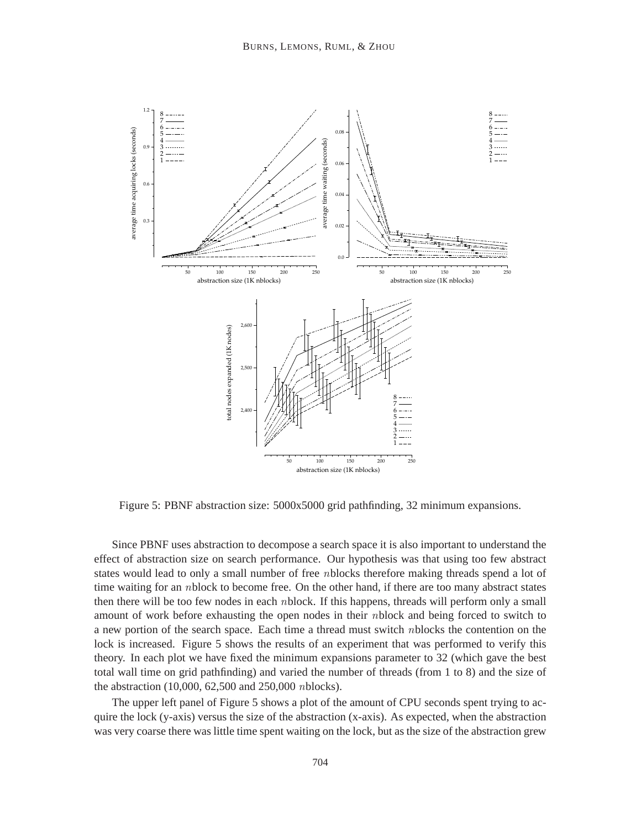

Figure 5: PBNF abstraction size: 5000x5000 grid pathfinding, 32 minimum expansions.

Since PBNF uses abstraction to decompose a search space it is also important to understand the effect of abstraction size on search performance. Our hypothesis was that using too few abstract states would lead to only a small number of free *n*blocks therefore making threads spend a lot of time waiting for an *n*block to become free. On the other hand, if there are too many abstract states then there will be too few nodes in each nblock. If this happens, threads will perform only a small amount of work before exhausting the open nodes in their nblock and being forced to switch to a new portion of the search space. Each time a thread must switch nblocks the contention on the lock is increased. Figure 5 shows the results of an experiment that was performed to verify this theory. In each plot we have fixed the minimum expansions parameter to 32 (which gave the best total wall time on grid pathfinding) and varied the number of threads (from 1 to 8) and the size of the abstraction (10,000, 62,500 and 250,000 nblocks).

The upper left panel of Figure 5 shows a plot of the amount of CPU seconds spent trying to acquire the lock (y-axis) versus the size of the abstraction (x-axis). As expected, when the abstraction was very coarse there was little time spent waiting on the lock, but as the size of the abstraction grew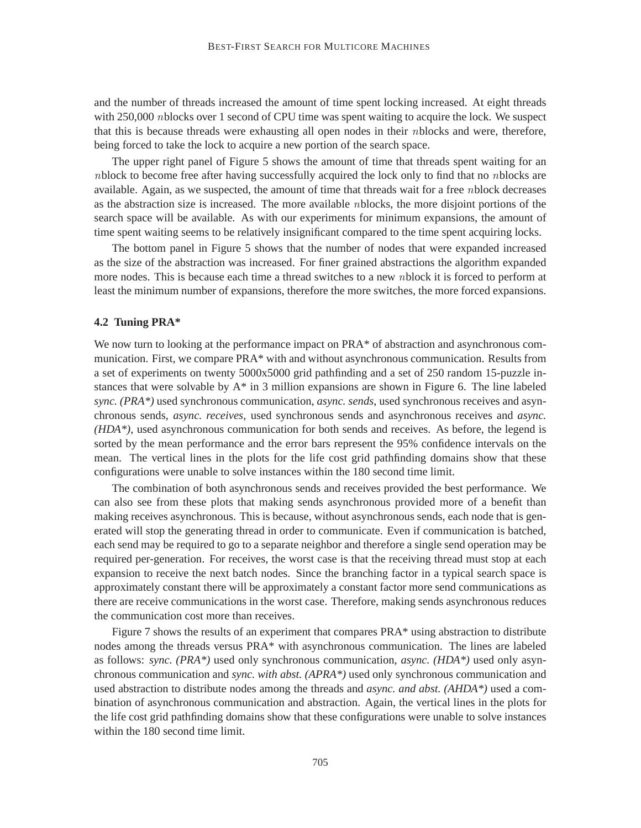and the number of threads increased the amount of time spent locking increased. At eight threads with 250,000 nblocks over 1 second of CPU time was spent waiting to acquire the lock. We suspect that this is because threads were exhausting all open nodes in their nblocks and were, therefore, being forced to take the lock to acquire a new portion of the search space.

The upper right panel of Figure 5 shows the amount of time that threads spent waiting for an nblock to become free after having successfully acquired the lock only to find that no nblocks are available. Again, as we suspected, the amount of time that threads wait for a free nblock decreases as the abstraction size is increased. The more available nblocks, the more disjoint portions of the search space will be available. As with our experiments for minimum expansions, the amount of time spent waiting seems to be relatively insignificant compared to the time spent acquiring locks.

The bottom panel in Figure 5 shows that the number of nodes that were expanded increased as the size of the abstraction was increased. For finer grained abstractions the algorithm expanded more nodes. This is because each time a thread switches to a new *n*block it is forced to perform at least the minimum number of expansions, therefore the more switches, the more forced expansions.

#### **4.2 Tuning PRA\***

We now turn to looking at the performance impact on PRA<sup>\*</sup> of abstraction and asynchronous communication. First, we compare PRA\* with and without asynchronous communication. Results from a set of experiments on twenty 5000x5000 grid pathfinding and a set of 250 random 15-puzzle instances that were solvable by  $A^*$  in 3 million expansions are shown in Figure 6. The line labeled *sync. (PRA\*)* used synchronous communication, *async. sends*, used synchronous receives and asynchronous sends, *async. receives*, used synchronous sends and asynchronous receives and *async. (HDA\*)*, used asynchronous communication for both sends and receives. As before, the legend is sorted by the mean performance and the error bars represent the 95% confidence intervals on the mean. The vertical lines in the plots for the life cost grid pathfinding domains show that these configurations were unable to solve instances within the 180 second time limit.

The combination of both asynchronous sends and receives provided the best performance. We can also see from these plots that making sends asynchronous provided more of a benefit than making receives asynchronous. This is because, without asynchronous sends, each node that is generated will stop the generating thread in order to communicate. Even if communication is batched, each send may be required to go to a separate neighbor and therefore a single send operation may be required per-generation. For receives, the worst case is that the receiving thread must stop at each expansion to receive the next batch nodes. Since the branching factor in a typical search space is approximately constant there will be approximately a constant factor more send communications as there are receive communications in the worst case. Therefore, making sends asynchronous reduces the communication cost more than receives.

Figure 7 shows the results of an experiment that compares PRA\* using abstraction to distribute nodes among the threads versus PRA\* with asynchronous communication. The lines are labeled as follows: *sync. (PRA\*)* used only synchronous communication, *async. (HDA\*)* used only asynchronous communication and *sync. with abst. (APRA\*)* used only synchronous communication and used abstraction to distribute nodes among the threads and *async. and abst. (AHDA\*)* used a combination of asynchronous communication and abstraction. Again, the vertical lines in the plots for the life cost grid pathfinding domains show that these configurations were unable to solve instances within the 180 second time limit.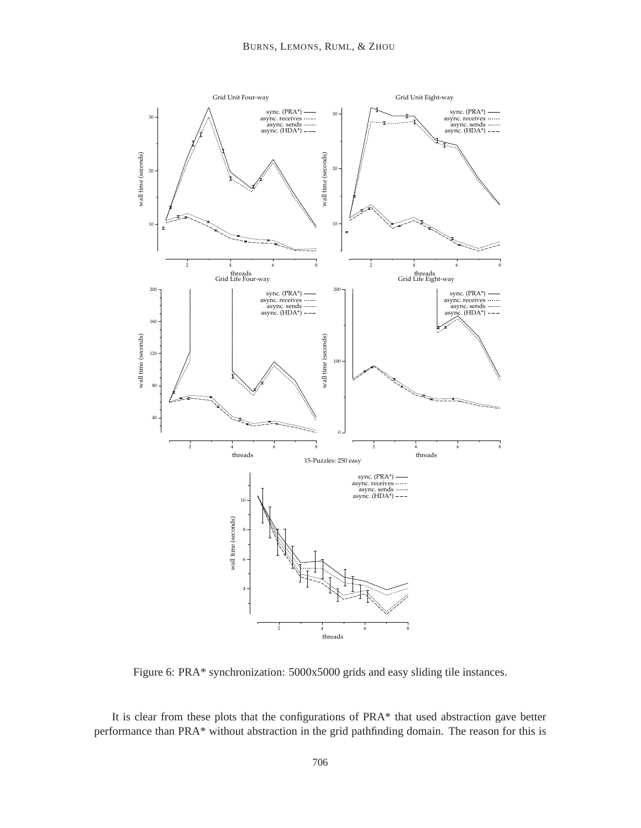

Figure 6: PRA\* synchronization: 5000x5000 grids and easy sliding tile instances.

It is clear from these plots that the configurations of PRA\* that used abstraction gave better performance than PRA\* without abstraction in the grid pathfinding domain. The reason for this is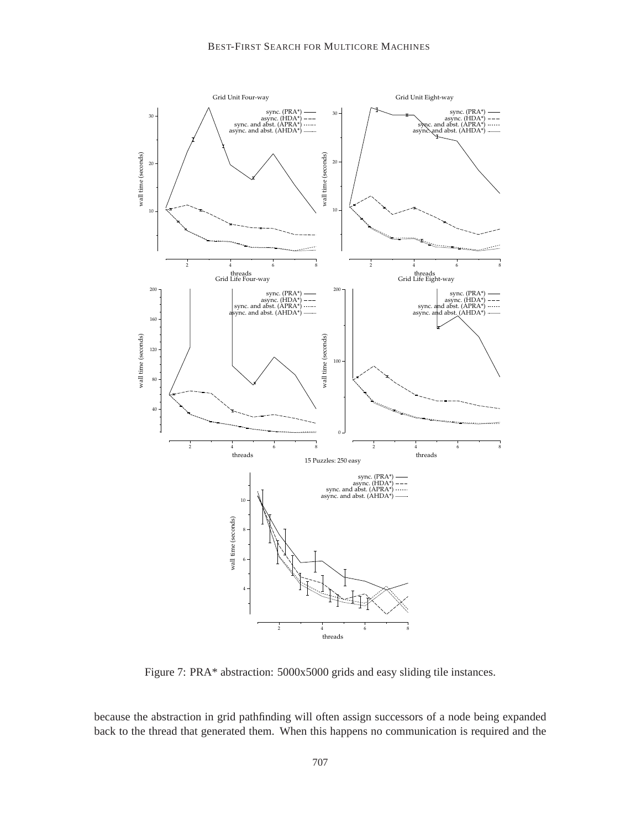

Figure 7: PRA\* abstraction: 5000x5000 grids and easy sliding tile instances.

because the abstraction in grid pathfinding will often assign successors of a node being expanded back to the thread that generated them. When this happens no communication is required and the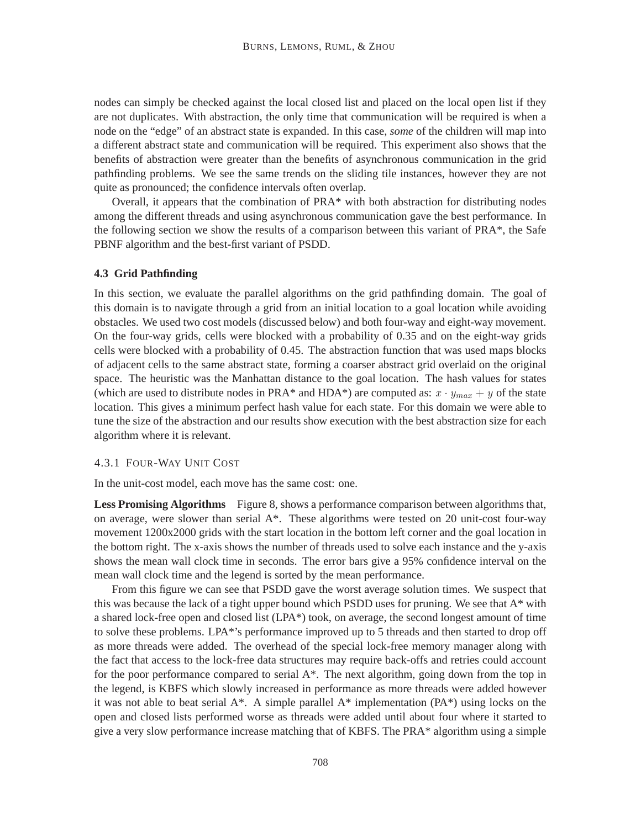nodes can simply be checked against the local closed list and placed on the local open list if they are not duplicates. With abstraction, the only time that communication will be required is when a node on the "edge" of an abstract state is expanded. In this case, *some* of the children will map into a different abstract state and communication will be required. This experiment also shows that the benefits of abstraction were greater than the benefits of asynchronous communication in the grid pathfinding problems. We see the same trends on the sliding tile instances, however they are not quite as pronounced; the confidence intervals often overlap.

Overall, it appears that the combination of PRA\* with both abstraction for distributing nodes among the different threads and using asynchronous communication gave the best performance. In the following section we show the results of a comparison between this variant of PRA\*, the Safe PBNF algorithm and the best-first variant of PSDD.

#### **4.3 Grid Pathfinding**

In this section, we evaluate the parallel algorithms on the grid pathfinding domain. The goal of this domain is to navigate through a grid from an initial location to a goal location while avoiding obstacles. We used two cost models (discussed below) and both four-way and eight-way movement. On the four-way grids, cells were blocked with a probability of 0.35 and on the eight-way grids cells were blocked with a probability of 0.45. The abstraction function that was used maps blocks of adjacent cells to the same abstract state, forming a coarser abstract grid overlaid on the original space. The heuristic was the Manhattan distance to the goal location. The hash values for states (which are used to distribute nodes in PRA\* and HDA\*) are computed as:  $x \cdot y_{max} + y$  of the state location. This gives a minimum perfect hash value for each state. For this domain we were able to tune the size of the abstraction and our results show execution with the best abstraction size for each algorithm where it is relevant.

#### 4.3.1 FOUR-WAY UNIT COST

In the unit-cost model, each move has the same cost: one.

Less Promising Algorithms Figure 8, shows a performance comparison between algorithms that, on average, were slower than serial  $A^*$ . These algorithms were tested on 20 unit-cost four-way movement 1200x2000 grids with the start location in the bottom left corner and the goal location in the bottom right. The x-axis shows the number of threads used to solve each instance and the y-axis shows the mean wall clock time in seconds. The error bars give a 95% confidence interval on the mean wall clock time and the legend is sorted by the mean performance.

From this figure we can see that PSDD gave the worst average solution times. We suspect that this was because the lack of a tight upper bound which PSDD uses for pruning. We see that A\* with a shared lock-free open and closed list (LPA\*) took, on average, the second longest amount of time to solve these problems. LPA\*'s performance improved up to 5 threads and then started to drop off as more threads were added. The overhead of the special lock-free memory manager along with the fact that access to the lock-free data structures may require back-offs and retries could account for the poor performance compared to serial A\*. The next algorithm, going down from the top in the legend, is KBFS which slowly increased in performance as more threads were added however it was not able to beat serial  $A^*$ . A simple parallel  $A^*$  implementation ( $PA^*$ ) using locks on the open and closed lists performed worse as threads were added until about four where it started to give a very slow performance increase matching that of KBFS. The PRA\* algorithm using a simple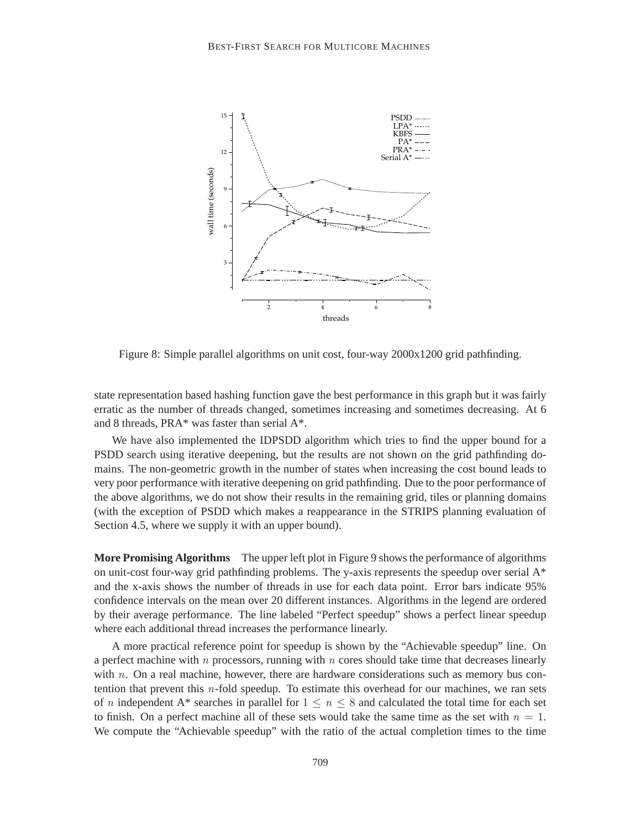

Figure 8: Simple parallel algorithms on unit cost, four-way 2000x1200 grid pathfinding.

state representation based hashing function gave the best performance in this graph but it was fairly erratic as the number of threads changed, sometimes increasing and sometimes decreasing. At 6 and 8 threads, PRA\* was faster than serial A\*.

We have also implemented the IDPSDD algorithm which tries to find the upper bound for a PSDD search using iterative deepening, but the results are not shown on the grid pathfinding domains. The non-geometric growth in the number of states when increasing the cost bound leads to very poor performance with iterative deepening on grid pathfinding. Due to the poor performance of the above algorithms, we do not show their results in the remaining grid, tiles or planning domains (with the exception of PSDD which makes a reappearance in the STRIPS planning evaluation of Section 4.5, where we supply it with an upper bound).

**More Promising Algorithms** The upper left plot in Figure 9 shows the performance of algorithms on unit-cost four-way grid pathfinding problems. The y-axis represents the speedup over serial  $A^*$ and the x-axis shows the number of threads in use for each data point. Error bars indicate 95% confidence intervals on the mean over 20 different instances. Algorithms in the legend are ordered by their average performance. The line labeled "Perfect speedup" shows a perfect linear speedup where each additional thread increases the performance linearly.

A more practical reference point for speedup is shown by the "Achievable speedup" line. On a perfect machine with  $n$  processors, running with  $n$  cores should take time that decreases linearly with  $n$ . On a real machine, however, there are hardware considerations such as memory bus contention that prevent this n-fold speedup. To estimate this overhead for our machines, we ran sets of n independent A\* searches in parallel for  $1 \leq n \leq 8$  and calculated the total time for each set to finish. On a perfect machine all of these sets would take the same time as the set with  $n = 1$ . We compute the "Achievable speedup" with the ratio of the actual completion times to the time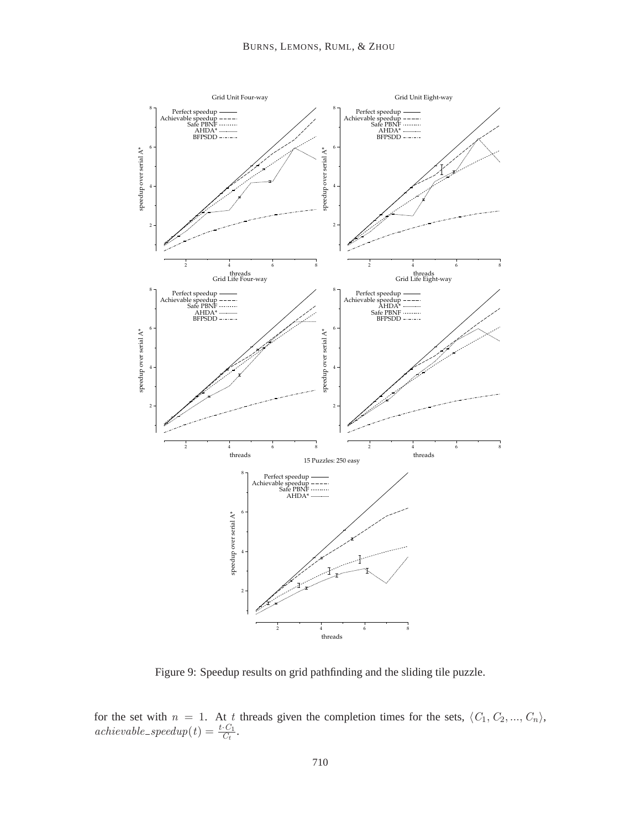

Figure 9: Speedup results on grid pathfinding and the sliding tile puzzle.

for the set with  $n = 1$ . At t threads given the completion times for the sets,  $\langle C_1, C_2, ..., C_n \rangle$ ,  $\text{achiewable\_speedup}(t) = \frac{t \cdot C_1}{C_t}.$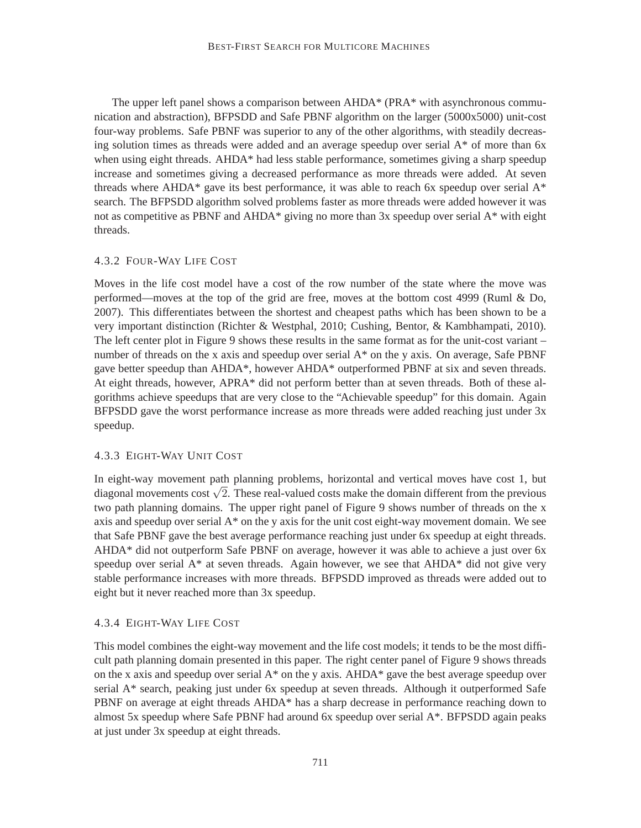The upper left panel shows a comparison between AHDA\* (PRA\* with asynchronous communication and abstraction), BFPSDD and Safe PBNF algorithm on the larger (5000x5000) unit-cost four-way problems. Safe PBNF was superior to any of the other algorithms, with steadily decreasing solution times as threads were added and an average speedup over serial  $A^*$  of more than 6x when using eight threads. AHDA\* had less stable performance, sometimes giving a sharp speedup increase and sometimes giving a decreased performance as more threads were added. At seven threads where AHDA\* gave its best performance, it was able to reach 6x speedup over serial  $A^*$ search. The BFPSDD algorithm solved problems faster as more threads were added however it was not as competitive as PBNF and AHDA\* giving no more than 3x speedup over serial A\* with eight threads.

#### 4.3.2 FOUR-WAY LIFE COST

Moves in the life cost model have a cost of the row number of the state where the move was performed—moves at the top of the grid are free, moves at the bottom cost 4999 (Ruml & Do, 2007). This differentiates between the shortest and cheapest paths which has been shown to be a very important distinction (Richter & Westphal, 2010; Cushing, Bentor, & Kambhampati, 2010). The left center plot in Figure 9 shows these results in the same format as for the unit-cost variant – number of threads on the x axis and speedup over serial A<sup>\*</sup> on the y axis. On average, Safe PBNF gave better speedup than AHDA\*, however AHDA\* outperformed PBNF at six and seven threads. At eight threads, however, APRA\* did not perform better than at seven threads. Both of these algorithms achieve speedups that are very close to the "Achievable speedup" for this domain. Again BFPSDD gave the worst performance increase as more threads were added reaching just under 3x speedup.

#### 4.3.3 EIGHT-WAY UNIT COST

In eight-way movement path planning problems, horizontal and vertical moves have cost 1, but diagonal movements cost  $\sqrt{2}$ . These real-valued costs make the domain different from the previous two path planning domains. The upper right panel of Figure 9 shows number of threads on the x axis and speedup over serial A\* on the y axis for the unit cost eight-way movement domain. We see that Safe PBNF gave the best average performance reaching just under 6x speedup at eight threads. AHDA\* did not outperform Safe PBNF on average, however it was able to achieve a just over 6x speedup over serial A\* at seven threads. Again however, we see that AHDA\* did not give very stable performance increases with more threads. BFPSDD improved as threads were added out to eight but it never reached more than 3x speedup.

# 4.3.4 EIGHT-WAY LIFE COST

This model combines the eight-way movement and the life cost models; it tends to be the most difficult path planning domain presented in this paper. The right center panel of Figure 9 shows threads on the x axis and speedup over serial  $A^*$  on the y axis. AHD $A^*$  gave the best average speedup over serial A\* search, peaking just under 6x speedup at seven threads. Although it outperformed Safe PBNF on average at eight threads AHDA\* has a sharp decrease in performance reaching down to almost 5x speedup where Safe PBNF had around 6x speedup over serial A\*. BFPSDD again peaks at just under 3x speedup at eight threads.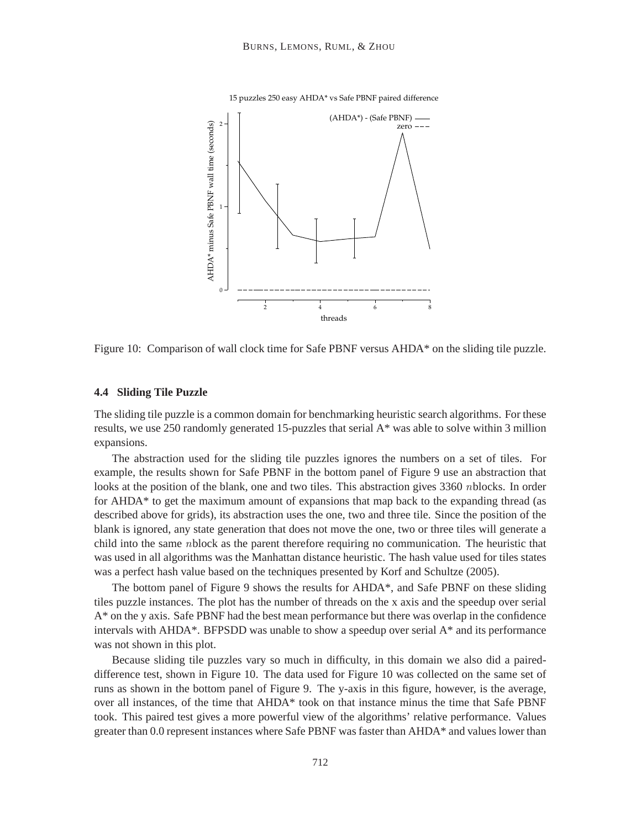

15 puzzles 250 easy AHDA\* vs Safe PBNF paired difference

Figure 10: Comparison of wall clock time for Safe PBNF versus AHDA\* on the sliding tile puzzle.

#### **4.4 Sliding Tile Puzzle**

The sliding tile puzzle is a common domain for benchmarking heuristic search algorithms. For these results, we use 250 randomly generated 15-puzzles that serial A\* was able to solve within 3 million expansions.

The abstraction used for the sliding tile puzzles ignores the numbers on a set of tiles. For example, the results shown for Safe PBNF in the bottom panel of Figure 9 use an abstraction that looks at the position of the blank, one and two tiles. This abstraction gives 3360 *n*blocks. In order for AHDA\* to get the maximum amount of expansions that map back to the expanding thread (as described above for grids), its abstraction uses the one, two and three tile. Since the position of the blank is ignored, any state generation that does not move the one, two or three tiles will generate a child into the same nblock as the parent therefore requiring no communication. The heuristic that was used in all algorithms was the Manhattan distance heuristic. The hash value used for tiles states was a perfect hash value based on the techniques presented by Korf and Schultze (2005).

The bottom panel of Figure 9 shows the results for AHDA\*, and Safe PBNF on these sliding tiles puzzle instances. The plot has the number of threads on the x axis and the speedup over serial A\* on the y axis. Safe PBNF had the best mean performance but there was overlap in the confidence intervals with AHDA\*. BFPSDD was unable to show a speedup over serial A\* and its performance was not shown in this plot.

Because sliding tile puzzles vary so much in difficulty, in this domain we also did a paireddifference test, shown in Figure 10. The data used for Figure 10 was collected on the same set of runs as shown in the bottom panel of Figure 9. The y-axis in this figure, however, is the average, over all instances, of the time that AHDA\* took on that instance minus the time that Safe PBNF took. This paired test gives a more powerful view of the algorithms' relative performance. Values greater than 0.0 represent instances where Safe PBNF was faster than AHDA\* and values lower than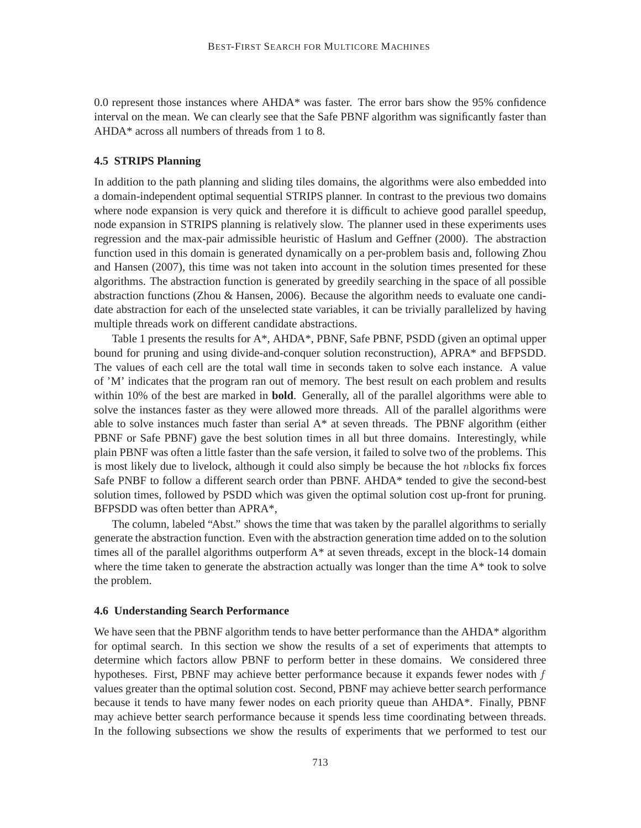0.0 represent those instances where AHDA\* was faster. The error bars show the 95% confidence interval on the mean. We can clearly see that the Safe PBNF algorithm was significantly faster than AHDA\* across all numbers of threads from 1 to 8.

## **4.5 STRIPS Planning**

In addition to the path planning and sliding tiles domains, the algorithms were also embedded into a domain-independent optimal sequential STRIPS planner. In contrast to the previous two domains where node expansion is very quick and therefore it is difficult to achieve good parallel speedup, node expansion in STRIPS planning is relatively slow. The planner used in these experiments uses regression and the max-pair admissible heuristic of Haslum and Geffner (2000). The abstraction function used in this domain is generated dynamically on a per-problem basis and, following Zhou and Hansen (2007), this time was not taken into account in the solution times presented for these algorithms. The abstraction function is generated by greedily searching in the space of all possible abstraction functions (Zhou & Hansen, 2006). Because the algorithm needs to evaluate one candidate abstraction for each of the unselected state variables, it can be trivially parallelized by having multiple threads work on different candidate abstractions.

Table 1 presents the results for A\*, AHDA\*, PBNF, Safe PBNF, PSDD (given an optimal upper bound for pruning and using divide-and-conquer solution reconstruction), APRA\* and BFPSDD. The values of each cell are the total wall time in seconds taken to solve each instance. A value of 'M' indicates that the program ran out of memory. The best result on each problem and results within 10% of the best are marked in **bold**. Generally, all of the parallel algorithms were able to solve the instances faster as they were allowed more threads. All of the parallel algorithms were able to solve instances much faster than serial A\* at seven threads. The PBNF algorithm (either PBNF or Safe PBNF) gave the best solution times in all but three domains. Interestingly, while plain PBNF was often a little faster than the safe version, it failed to solve two of the problems. This is most likely due to livelock, although it could also simply be because the hot nblocks fix forces Safe PNBF to follow a different search order than PBNF. AHDA\* tended to give the second-best solution times, followed by PSDD which was given the optimal solution cost up-front for pruning. BFPSDD was often better than APRA\*,

The column, labeled "Abst." shows the time that was taken by the parallel algorithms to serially generate the abstraction function. Even with the abstraction generation time added on to the solution times all of the parallel algorithms outperform  $A^*$  at seven threads, except in the block-14 domain where the time taken to generate the abstraction actually was longer than the time  $A^*$  took to solve the problem.

### **4.6 Understanding Search Performance**

We have seen that the PBNF algorithm tends to have better performance than the AHDA\* algorithm for optimal search. In this section we show the results of a set of experiments that attempts to determine which factors allow PBNF to perform better in these domains. We considered three hypotheses. First, PBNF may achieve better performance because it expands fewer nodes with  $f$ values greater than the optimal solution cost. Second, PBNF may achieve better search performance because it tends to have many fewer nodes on each priority queue than AHDA\*. Finally, PBNF may achieve better search performance because it spends less time coordinating between threads. In the following subsections we show the results of experiments that we performed to test our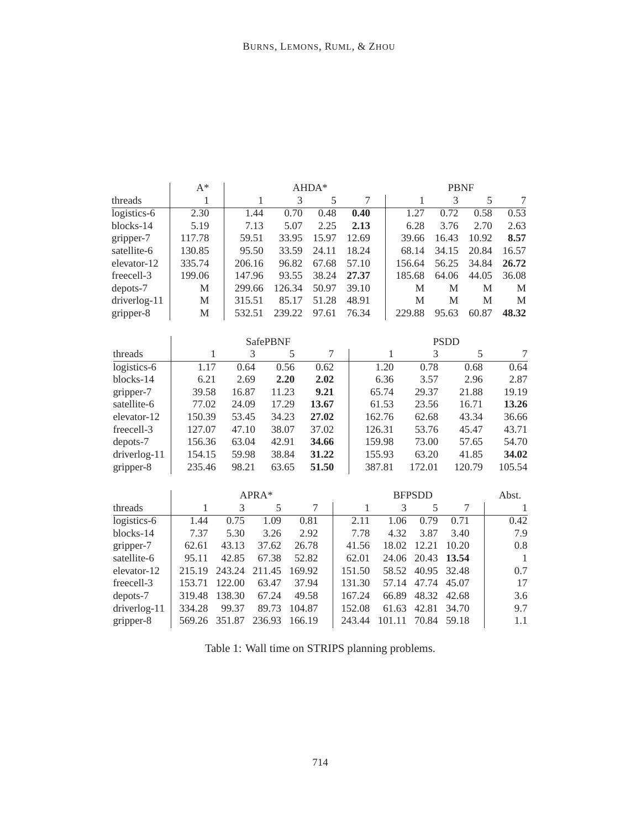|              | $A^*$       |        |                 |        | AHDA*          | <b>PBNF</b> |        |        |               |      |             |        |        |
|--------------|-------------|--------|-----------------|--------|----------------|-------------|--------|--------|---------------|------|-------------|--------|--------|
| threads      | 1           |        | 1               | 3      | 5              |             | 7      |        | $\mathbf{1}$  |      | 3           | 5      | 7      |
| logistics-6  | 2.30        |        | 1.44            | 0.70   | 0.48           |             | 0.40   |        | 1.27          |      | 0.72        | 0.58   | 0.53   |
| blocks-14    | 5.19        |        | 7.13            | 5.07   | 2.25           |             | 2.13   |        | 6.28          |      | 3.76        | 2.70   | 2.63   |
| gripper-7    | 117.78      |        | 59.51           | 33.95  | 15.97          |             | 12.69  |        | 39.66         |      | 16.43       | 10.92  | 8.57   |
| satellite-6  | 130.85      |        | 95.50           | 33.59  | 24.11          |             | 18.24  |        | 68.14         |      | 34.15       | 20.84  | 16.57  |
| elevator-12  | 335.74      |        | 206.16          | 96.82  | 67.68          |             | 57.10  |        | 156.64        |      | 56.25       | 34.84  | 26.72  |
| freecell-3   | 199.06      |        | 147.96          | 93.55  | 38.24          |             | 27.37  |        | 185.68        |      | 64.06       | 44.05  | 36.08  |
| depots-7     | M           |        | 299.66          | 126.34 | 50.97          |             | 39.10  |        | M             |      | M           | M      | M      |
| driverlog-11 | M           | 315.51 |                 | 85.17  | 51.28          |             | 48.91  |        | M             |      | M           | M      | M      |
| gripper-8    | $\mathbf M$ | 532.51 |                 | 239.22 | 97.61          |             | 76.34  |        | 229.88        |      | 95.63       | 60.87  | 48.32  |
|              |             |        |                 |        |                |             |        |        |               |      |             |        |        |
|              |             |        | <b>SafePBNF</b> |        |                |             |        |        |               |      | <b>PSDD</b> |        |        |
| threads      | 1           |        | 3<br>5          |        | 7              |             |        | 1      |               | 3    |             | 5      | 7      |
| logistics-6  | 1.17        | 0.64   |                 | 0.56   | 0.62           |             | 1.20   |        | 0.78          |      | 0.68        |        | 0.64   |
| blocks-14    | 6.21        | 2.69   |                 | 2.20   | 2.02           |             | 6.36   |        |               | 3.57 |             | 2.96   | 2.87   |
| gripper-7    | 39.58       | 16.87  | 11.23           |        | 9.21           |             |        | 65.74  | 29.37         |      |             | 21.88  | 19.19  |
| satellite-6  | 77.02       | 24.09  | 17.29           |        | 13.67          |             |        | 61.53  | 23.56         |      |             | 16.71  | 13.26  |
| elevator-12  | 150.39      | 53.45  | 34.23           |        | 27.02          |             |        | 162.76 | 62.68         |      |             | 43.34  | 36.66  |
| freecell-3   | 127.07      | 47.10  | 38.07           |        | 37.02          |             |        | 126.31 | 53.76         |      |             | 45.47  | 43.71  |
| depots-7     | 156.36      | 63.04  | 42.91           |        | 34.66          |             |        | 159.98 | 73.00         |      |             | 57.65  | 54.70  |
| driverlog-11 | 154.15      | 59.98  | 38.84           |        | 31.22          |             |        | 155.93 | 63.20         |      |             | 41.85  | 34.02  |
| gripper-8    | 235.46      | 98.21  | 63.65           |        | 51.50          |             |        | 387.81 | 172.01        |      |             | 120.79 | 105.54 |
|              |             |        |                 |        |                |             |        |        |               |      |             |        |        |
|              |             |        | APRA*           |        |                |             |        |        | <b>BFPSDD</b> |      |             |        | Abst.  |
| threads      | 1           | 3      | 5               |        | $\overline{7}$ |             | 1      |        | 3             | 5    |             | 7      | 1      |
| logistics-6  | 1.44        | 0.75   | 1.09            |        | 0.81           |             | 2.11   | 1.06   |               | 0.79 | 0.71        |        | 0.42   |
| blocks-14    | 7.37        | 5.30   | 3.26            |        | 2.92           |             | 7.78   | 4.32   |               | 3.87 | 3.40        |        | 7.9    |
| gripper-7    | 62.61       | 43.13  | 37.62           | 26.78  |                |             | 41.56  | 18.02  | 12.21         |      | 10.20       |        | 0.8    |
| satellite-6  | 95.11       | 42.85  | 67.38           | 52.82  |                |             | 62.01  | 24.06  | 20.43         |      | 13.54       |        | 1      |
| elevator-12  | 215.19      | 243.24 | 211.45          | 169.92 |                |             | 151.50 | 58.52  | 40.95         |      | 32.48       |        | 0.7    |
| freecell-3   | 153.71      | 122.00 | 63.47           | 37.94  |                |             | 131.30 | 57.14  | 47.74         |      | 45.07       |        | 17     |
| depots-7     | 319.48      | 138.30 | 67.24           | 49.58  |                |             | 167.24 | 66.89  | 48.32         |      | 42.68       |        | 3.6    |
| driverlog-11 | 334.28      | 99.37  | 89.73           | 104.87 |                |             | 152.08 | 61.63  | 42.81         |      | 34.70       |        | 9.7    |

Table 1: Wall time on STRIPS planning problems.

gripper-8 | 569.26 351.87 236.93 166.19 | 243.44 101.11 70.84 59.18 | 1.1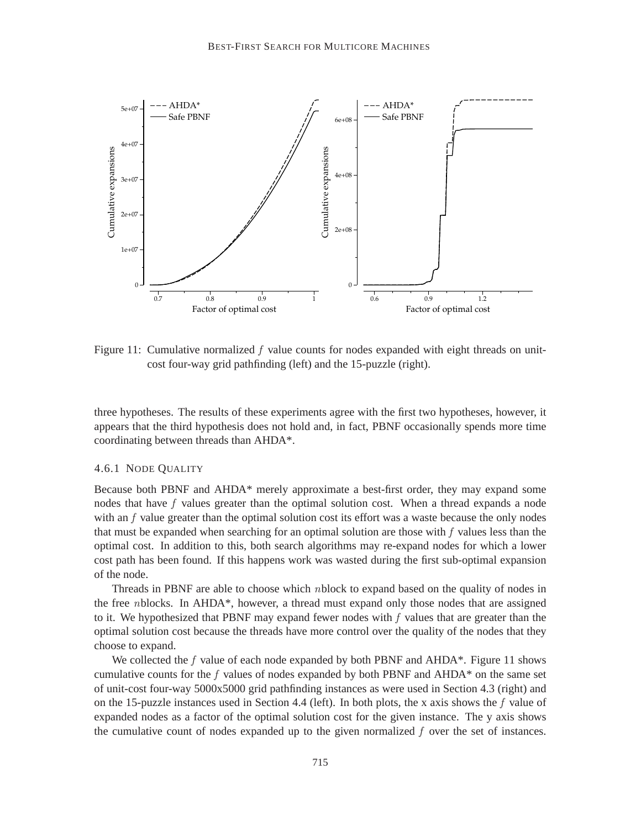

Figure 11: Cumulative normalized  $f$  value counts for nodes expanded with eight threads on unitcost four-way grid pathfinding (left) and the 15-puzzle (right).

three hypotheses. The results of these experiments agree with the first two hypotheses, however, it appears that the third hypothesis does not hold and, in fact, PBNF occasionally spends more time coordinating between threads than AHDA\*.

#### 4.6.1 NODE QUALITY

Because both PBNF and AHDA\* merely approximate a best-first order, they may expand some nodes that have  $f$  values greater than the optimal solution cost. When a thread expands a node with an  $f$  value greater than the optimal solution cost its effort was a waste because the only nodes that must be expanded when searching for an optimal solution are those with  $f$  values less than the optimal cost. In addition to this, both search algorithms may re-expand nodes for which a lower cost path has been found. If this happens work was wasted during the first sub-optimal expansion of the node.

Threads in PBNF are able to choose which nblock to expand based on the quality of nodes in the free nblocks. In AHDA\*, however, a thread must expand only those nodes that are assigned to it. We hypothesized that PBNF may expand fewer nodes with  $f$  values that are greater than the optimal solution cost because the threads have more control over the quality of the nodes that they choose to expand.

We collected the f value of each node expanded by both PBNF and  $AHDA^*$ . Figure 11 shows cumulative counts for the f values of nodes expanded by both PBNF and  $AHDA^*$  on the same set of unit-cost four-way 5000x5000 grid pathfinding instances as were used in Section 4.3 (right) and on the 15-puzzle instances used in Section 4.4 (left). In both plots, the x axis shows the f value of expanded nodes as a factor of the optimal solution cost for the given instance. The y axis shows the cumulative count of nodes expanded up to the given normalized  $f$  over the set of instances.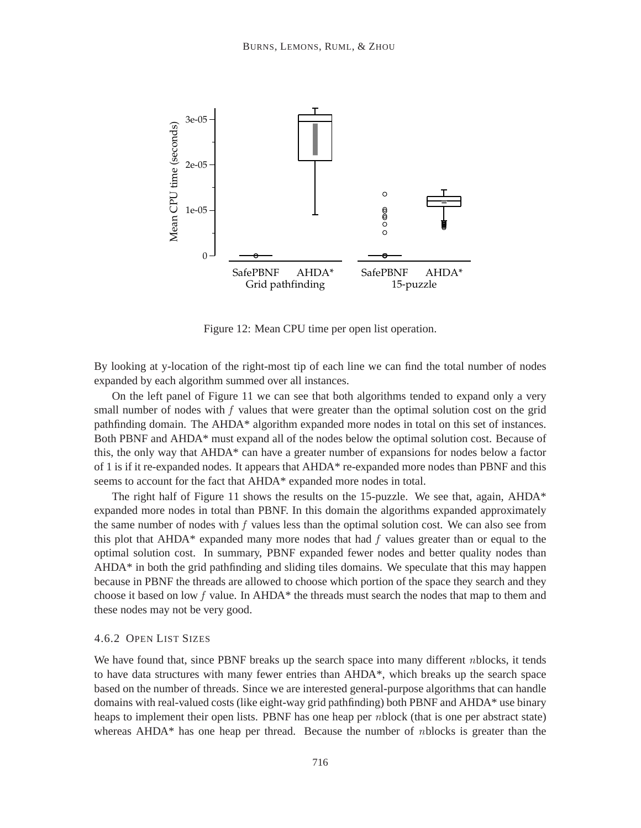

Figure 12: Mean CPU time per open list operation.

By looking at y-location of the right-most tip of each line we can find the total number of nodes expanded by each algorithm summed over all instances.

On the left panel of Figure 11 we can see that both algorithms tended to expand only a very small number of nodes with  $f$  values that were greater than the optimal solution cost on the grid pathfinding domain. The AHDA\* algorithm expanded more nodes in total on this set of instances. Both PBNF and AHDA\* must expand all of the nodes below the optimal solution cost. Because of this, the only way that AHDA\* can have a greater number of expansions for nodes below a factor of 1 is if it re-expanded nodes. It appears that AHDA\* re-expanded more nodes than PBNF and this seems to account for the fact that AHDA\* expanded more nodes in total.

The right half of Figure 11 shows the results on the 15-puzzle. We see that, again,  $AHDA^*$ expanded more nodes in total than PBNF. In this domain the algorithms expanded approximately the same number of nodes with f values less than the optimal solution cost. We can also see from this plot that AHDA\* expanded many more nodes that had  $f$  values greater than or equal to the optimal solution cost. In summary, PBNF expanded fewer nodes and better quality nodes than AHDA\* in both the grid pathfinding and sliding tiles domains. We speculate that this may happen because in PBNF the threads are allowed to choose which portion of the space they search and they choose it based on low f value. In AHDA\* the threads must search the nodes that map to them and these nodes may not be very good.

### 4.6.2 OPEN LIST SIZES

We have found that, since PBNF breaks up the search space into many different *nblocks*, it tends to have data structures with many fewer entries than AHDA\*, which breaks up the search space based on the number of threads. Since we are interested general-purpose algorithms that can handle domains with real-valued costs (like eight-way grid pathfinding) both PBNF and AHDA\* use binary heaps to implement their open lists. PBNF has one heap per nblock (that is one per abstract state) whereas AHDA $*$  has one heap per thread. Because the number of *n*blocks is greater than the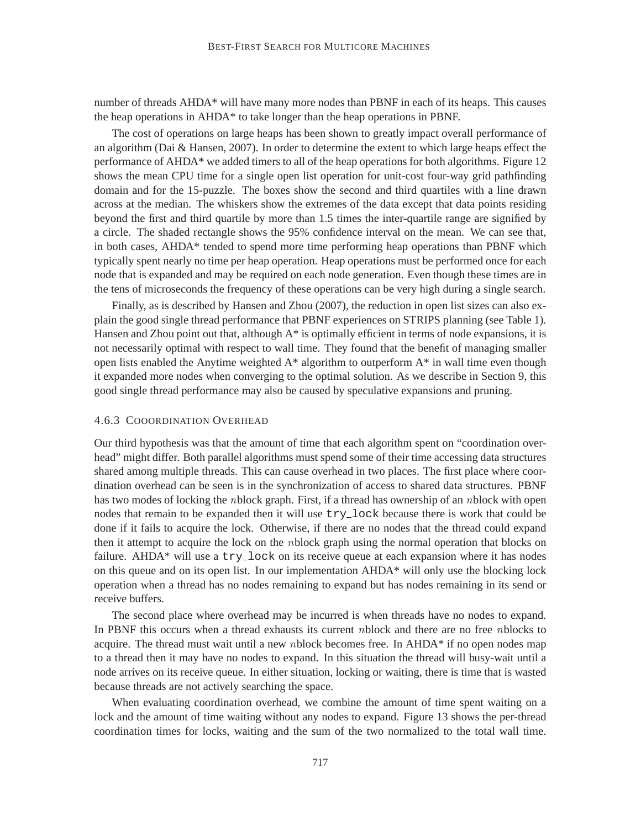number of threads AHDA\* will have many more nodes than PBNF in each of its heaps. This causes the heap operations in AHDA\* to take longer than the heap operations in PBNF.

The cost of operations on large heaps has been shown to greatly impact overall performance of an algorithm (Dai & Hansen, 2007). In order to determine the extent to which large heaps effect the performance of AHDA\* we added timers to all of the heap operations for both algorithms. Figure 12 shows the mean CPU time for a single open list operation for unit-cost four-way grid pathfinding domain and for the 15-puzzle. The boxes show the second and third quartiles with a line drawn across at the median. The whiskers show the extremes of the data except that data points residing beyond the first and third quartile by more than 1.5 times the inter-quartile range are signified by a circle. The shaded rectangle shows the 95% confidence interval on the mean. We can see that, in both cases, AHDA\* tended to spend more time performing heap operations than PBNF which typically spent nearly no time per heap operation. Heap operations must be performed once for each node that is expanded and may be required on each node generation. Even though these times are in the tens of microseconds the frequency of these operations can be very high during a single search.

Finally, as is described by Hansen and Zhou (2007), the reduction in open list sizes can also explain the good single thread performance that PBNF experiences on STRIPS planning (see Table 1). Hansen and Zhou point out that, although  $A^*$  is optimally efficient in terms of node expansions, it is not necessarily optimal with respect to wall time. They found that the benefit of managing smaller open lists enabled the Anytime weighted A\* algorithm to outperform A\* in wall time even though it expanded more nodes when converging to the optimal solution. As we describe in Section 9, this good single thread performance may also be caused by speculative expansions and pruning.

#### 4.6.3 COOORDINATION OVERHEAD

Our third hypothesis was that the amount of time that each algorithm spent on "coordination overhead" might differ. Both parallel algorithms must spend some of their time accessing data structures shared among multiple threads. This can cause overhead in two places. The first place where coordination overhead can be seen is in the synchronization of access to shared data structures. PBNF has two modes of locking the *n*block graph. First, if a thread has ownership of an *n*block with open nodes that remain to be expanded then it will use  $try\_lock$  because there is work that could be done if it fails to acquire the lock. Otherwise, if there are no nodes that the thread could expand then it attempt to acquire the lock on the nblock graph using the normal operation that blocks on failure. AHDA $*$  will use a try-lock on its receive queue at each expansion where it has nodes on this queue and on its open list. In our implementation AHDA\* will only use the blocking lock operation when a thread has no nodes remaining to expand but has nodes remaining in its send or receive buffers.

The second place where overhead may be incurred is when threads have no nodes to expand. In PBNF this occurs when a thread exhausts its current nblock and there are no free nblocks to acquire. The thread must wait until a new nblock becomes free. In AHDA\* if no open nodes map to a thread then it may have no nodes to expand. In this situation the thread will busy-wait until a node arrives on its receive queue. In either situation, locking or waiting, there is time that is wasted because threads are not actively searching the space.

When evaluating coordination overhead, we combine the amount of time spent waiting on a lock and the amount of time waiting without any nodes to expand. Figure 13 shows the per-thread coordination times for locks, waiting and the sum of the two normalized to the total wall time.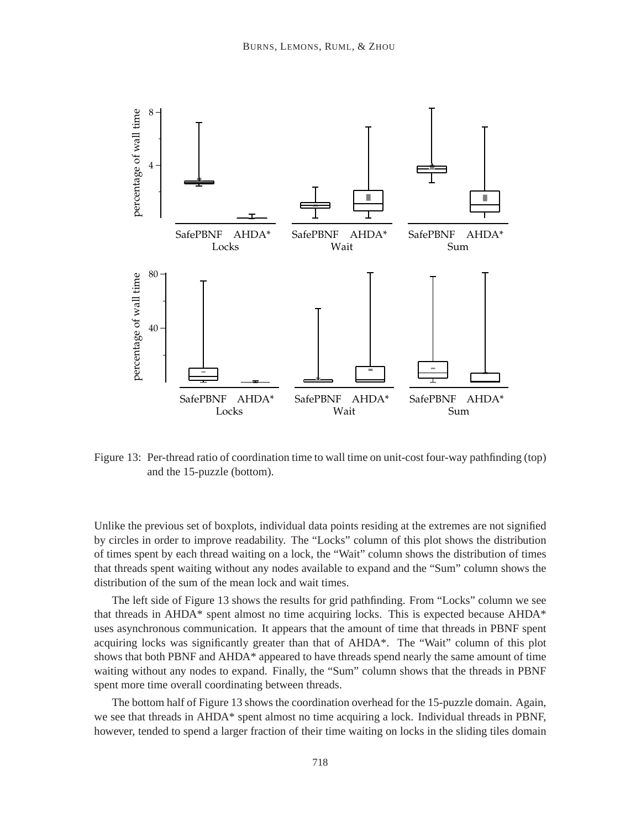

Figure 13: Per-thread ratio of coordination time to wall time on unit-cost four-way pathfinding (top) and the 15-puzzle (bottom).

Unlike the previous set of boxplots, individual data points residing at the extremes are not signified by circles in order to improve readability. The "Locks" column of this plot shows the distribution of times spent by each thread waiting on a lock, the "Wait" column shows the distribution of times that threads spent waiting without any nodes available to expand and the "Sum" column shows the distribution of the sum of the mean lock and wait times.

The left side of Figure 13 shows the results for grid pathfinding. From "Locks" column we see that threads in AHDA\* spent almost no time acquiring locks. This is expected because AHDA\* uses asynchronous communication. It appears that the amount of time that threads in PBNF spent acquiring locks was significantly greater than that of AHDA\*. The "Wait" column of this plot shows that both PBNF and AHDA\* appeared to have threads spend nearly the same amount of time waiting without any nodes to expand. Finally, the "Sum" column shows that the threads in PBNF spent more time overall coordinating between threads.

The bottom half of Figure 13 shows the coordination overhead for the 15-puzzle domain. Again, we see that threads in AHDA\* spent almost no time acquiring a lock. Individual threads in PBNF, however, tended to spend a larger fraction of their time waiting on locks in the sliding tiles domain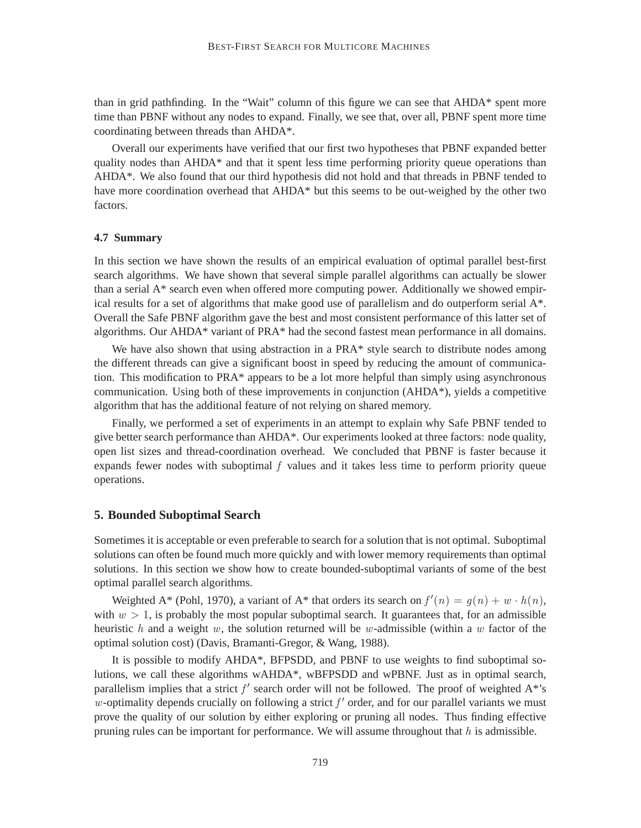than in grid pathfinding. In the "Wait" column of this figure we can see that AHDA\* spent more time than PBNF without any nodes to expand. Finally, we see that, over all, PBNF spent more time coordinating between threads than AHDA\*.

Overall our experiments have verified that our first two hypotheses that PBNF expanded better quality nodes than AHDA\* and that it spent less time performing priority queue operations than AHDA\*. We also found that our third hypothesis did not hold and that threads in PBNF tended to have more coordination overhead that AHDA\* but this seems to be out-weighed by the other two factors.

### **4.7 Summary**

In this section we have shown the results of an empirical evaluation of optimal parallel best-first search algorithms. We have shown that several simple parallel algorithms can actually be slower than a serial A\* search even when offered more computing power. Additionally we showed empirical results for a set of algorithms that make good use of parallelism and do outperform serial A\*. Overall the Safe PBNF algorithm gave the best and most consistent performance of this latter set of algorithms. Our AHDA\* variant of PRA\* had the second fastest mean performance in all domains.

We have also shown that using abstraction in a PRA\* style search to distribute nodes among the different threads can give a significant boost in speed by reducing the amount of communication. This modification to PRA\* appears to be a lot more helpful than simply using asynchronous communication. Using both of these improvements in conjunction (AHDA\*), yields a competitive algorithm that has the additional feature of not relying on shared memory.

Finally, we performed a set of experiments in an attempt to explain why Safe PBNF tended to give better search performance than AHDA\*. Our experiments looked at three factors: node quality, open list sizes and thread-coordination overhead. We concluded that PBNF is faster because it expands fewer nodes with suboptimal  $f$  values and it takes less time to perform priority queue operations.

## **5. Bounded Suboptimal Search**

Sometimes it is acceptable or even preferable to search for a solution that is not optimal. Suboptimal solutions can often be found much more quickly and with lower memory requirements than optimal solutions. In this section we show how to create bounded-suboptimal variants of some of the best optimal parallel search algorithms.

Weighted A\* (Pohl, 1970), a variant of A\* that orders its search on  $f'(n) = g(n) + w \cdot h(n)$ , with  $w > 1$ , is probably the most popular suboptimal search. It guarantees that, for an admissible heuristic h and a weight w, the solution returned will be w-admissible (within a w factor of the optimal solution cost) (Davis, Bramanti-Gregor, & Wang, 1988).

It is possible to modify AHDA\*, BFPSDD, and PBNF to use weights to find suboptimal solutions, we call these algorithms wAHDA\*, wBFPSDD and wPBNF. Just as in optimal search, parallelism implies that a strict  $f'$  search order will not be followed. The proof of weighted  $A^*$ 's w-optimality depends crucially on following a strict  $f'$  order, and for our parallel variants we must prove the quality of our solution by either exploring or pruning all nodes. Thus finding effective pruning rules can be important for performance. We will assume throughout that  $h$  is admissible.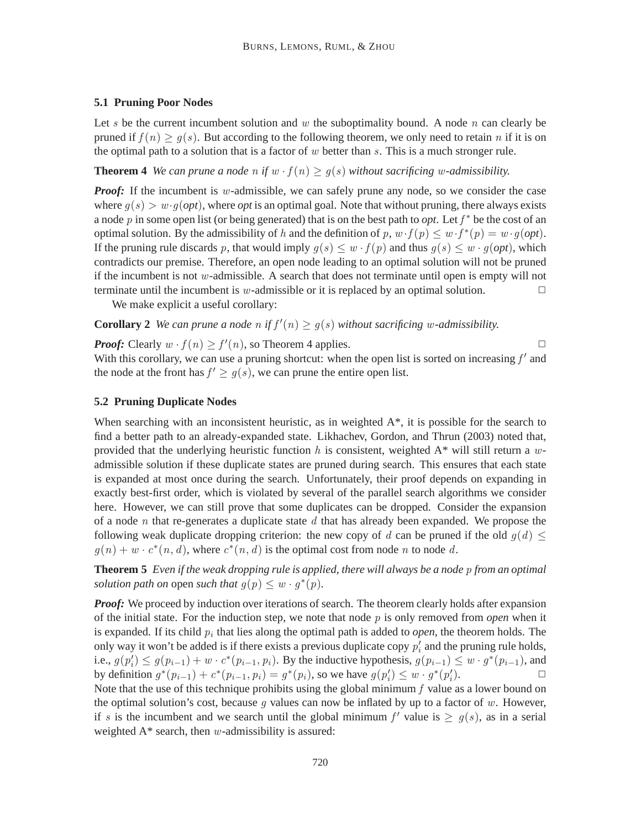### **5.1 Pruning Poor Nodes**

Let s be the current incumbent solution and w the suboptimality bound. A node n can clearly be pruned if  $f(n) \ge g(s)$ . But according to the following theorem, we only need to retain n if it is on the optimal path to a solution that is a factor of  $w$  better than  $s$ . This is a much stronger rule.

## **Theorem 4** *We can prune a node n if*  $w \cdot f(n) \ge g(s)$  *without sacrificing w-admissibility.*

*Proof:* If the incumbent is w-admissible, we can safely prune any node, so we consider the case where  $g(s) > w \cdot g(\rho pt)$ , where  $\rho pt$  is an optimal goal. Note that without pruning, there always exists a node p in some open list (or being generated) that is on the best path to *opt*. Let  $f^*$  be the cost of an optimal solution. By the admissibility of h and the definition of p,  $w \cdot f(p) \leq w \cdot f^*(p) = w \cdot g(opt)$ . If the pruning rule discards p, that would imply  $q(s) \leq w \cdot f(p)$  and thus  $q(s) \leq w \cdot q(opt)$ , which contradicts our premise. Therefore, an open node leading to an optimal solution will not be pruned if the incumbent is not  $w$ -admissible. A search that does not terminate until open is empty will not terminate until the incumbent is w-admissible or it is replaced by an optimal solution.  $\Box$ 

We make explicit a useful corollary:

# **Corollary 2** We can prune a node n if  $f'(n) \ge g(s)$  without sacrificing w-admissibility.

*Proof:* Clearly  $w \cdot f(n) \ge f'(n)$ , so Theorem 4 applies.

With this corollary, we can use a pruning shortcut: when the open list is sorted on increasing  $f'$  and the node at the front has  $f' \ge g(s)$ , we can prune the entire open list.

## **5.2 Pruning Duplicate Nodes**

When searching with an inconsistent heuristic, as in weighted  $A^*$ , it is possible for the search to find a better path to an already-expanded state. Likhachev, Gordon, and Thrun (2003) noted that, provided that the underlying heuristic function h is consistent, weighted  $A^*$  will still return a wadmissible solution if these duplicate states are pruned during search. This ensures that each state is expanded at most once during the search. Unfortunately, their proof depends on expanding in exactly best-first order, which is violated by several of the parallel search algorithms we consider here. However, we can still prove that some duplicates can be dropped. Consider the expansion of a node n that re-generates a duplicate state  $d$  that has already been expanded. We propose the following weak duplicate dropping criterion: the new copy of d can be pruned if the old  $q(d) \leq$  $g(n) + w \cdot c^*(n, d)$ , where  $c^*(n, d)$  is the optimal cost from node n to node d.

**Theorem 5** *Even if the weak dropping rule is applied, there will always be a node* p *from an optimal solution path on* open *such that*  $g(p) \leq w \cdot g^*(p)$ .

*Proof:* We proceed by induction over iterations of search. The theorem clearly holds after expansion of the initial state. For the induction step, we note that node  $p$  is only removed from *open* when it is expanded. If its child  $p_i$  that lies along the optimal path is added to *open*, the theorem holds. The only way it won't be added is if there exists a previous duplicate copy  $p'_i$  and the pruning rule holds, i.e.,  $g(p'_i) \leq g(p_{i-1}) + w \cdot c^*(p_{i-1}, p_i)$ . By the inductive hypothesis,  $g(p_{i-1}) \leq w \cdot g^*(p_{i-1})$ , and by definition  $g^*(p_{i-1}) + c^*(p_{i-1}, p_i) = g^*(p_i)$ , so we have  $g(p'_i) \leq w \cdot g^*(p'_i)$ ).  $\qquad \qquad \Box$ 

Note that the use of this technique prohibits using the global minimum  $f$  value as a lower bound on the optimal solution's cost, because  $g$  values can now be inflated by up to a factor of  $w$ . However, if s is the incumbent and we search until the global minimum  $f'$  value is  $\ge g(s)$ , as in a serial weighted  $A^*$  search, then w-admissibility is assured: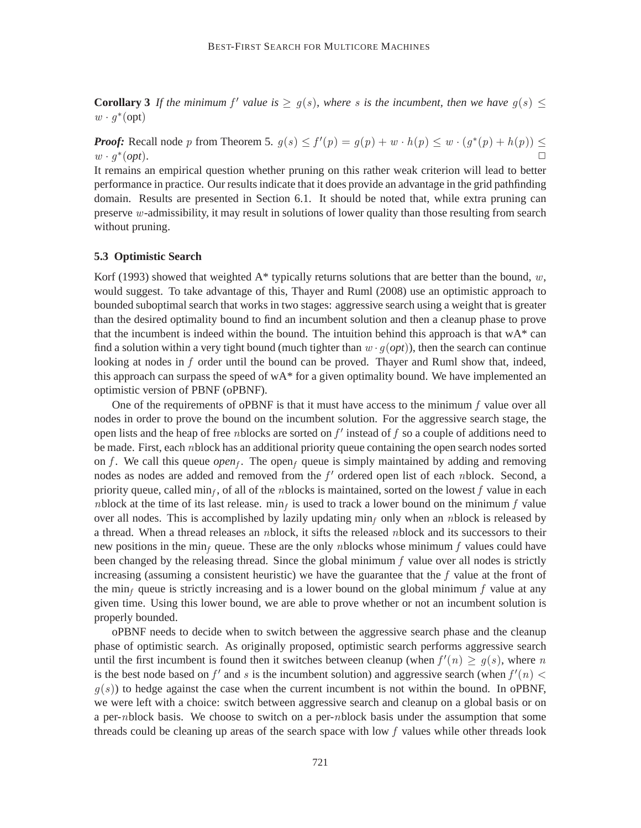**Corollary 3** If the minimum  $f'$  value is  $\geq g(s)$ , where s is the incumbent, then we have  $g(s) \leq$  $w\cdot g^*(\text{opt})$ 

*Proof:* Recall node p from Theorem 5.  $g(s) \le f'(p) = g(p) + w \cdot h(p) \le w \cdot (g^*(p) + h(p)) \le$  $w \cdot g^*$  $(\textit{opt})$ .

It remains an empirical question whether pruning on this rather weak criterion will lead to better performance in practice. Our results indicate that it does provide an advantage in the grid pathfinding domain. Results are presented in Section 6.1. It should be noted that, while extra pruning can preserve w-admissibility, it may result in solutions of lower quality than those resulting from search without pruning.

#### **5.3 Optimistic Search**

Korf (1993) showed that weighted A\* typically returns solutions that are better than the bound, w, would suggest. To take advantage of this, Thayer and Ruml (2008) use an optimistic approach to bounded suboptimal search that works in two stages: aggressive search using a weight that is greater than the desired optimality bound to find an incumbent solution and then a cleanup phase to prove that the incumbent is indeed within the bound. The intuition behind this approach is that  $wA^*$  can find a solution within a very tight bound (much tighter than  $w \cdot q(\rho pt)$ ), then the search can continue looking at nodes in f order until the bound can be proved. Thayer and Ruml show that, indeed, this approach can surpass the speed of  $wA^*$  for a given optimality bound. We have implemented an optimistic version of PBNF (oPBNF).

One of the requirements of oPBNF is that it must have access to the minimum  $f$  value over all nodes in order to prove the bound on the incumbent solution. For the aggressive search stage, the open lists and the heap of free *n*blocks are sorted on  $f'$  instead of  $f$  so a couple of additions need to be made. First, each nblock has an additional priority queue containing the open search nodes sorted on f. We call this queue  $open_f$ . The open<sub>f</sub> queue is simply maintained by adding and removing nodes as nodes are added and removed from the  $f'$  ordered open list of each nblock. Second, a priority queue, called min<sub>f</sub>, of all of the *n*blocks is maintained, sorted on the lowest f value in each *n*block at the time of its last release. min<sub>f</sub> is used to track a lower bound on the minimum f value over all nodes. This is accomplished by lazily updating  $\min_f$  only when an *n*block is released by a thread. When a thread releases an nblock, it sifts the released nblock and its successors to their new positions in the min<sub>f</sub> queue. These are the only nblocks whose minimum f values could have been changed by the releasing thread. Since the global minimum  $f$  value over all nodes is strictly increasing (assuming a consistent heuristic) we have the guarantee that the  $f$  value at the front of the min<sub>f</sub> queue is strictly increasing and is a lower bound on the global minimum f value at any given time. Using this lower bound, we are able to prove whether or not an incumbent solution is properly bounded.

oPBNF needs to decide when to switch between the aggressive search phase and the cleanup phase of optimistic search. As originally proposed, optimistic search performs aggressive search until the first incumbent is found then it switches between cleanup (when  $f'(n) \ge g(s)$ , where n is the best node based on  $f'$  and s is the incumbent solution) and aggressive search (when  $f'(n)$  <  $g(s)$ ) to hedge against the case when the current incumbent is not within the bound. In oPBNF, we were left with a choice: switch between aggressive search and cleanup on a global basis or on a per-nblock basis. We choose to switch on a per-nblock basis under the assumption that some threads could be cleaning up areas of the search space with low  $f$  values while other threads look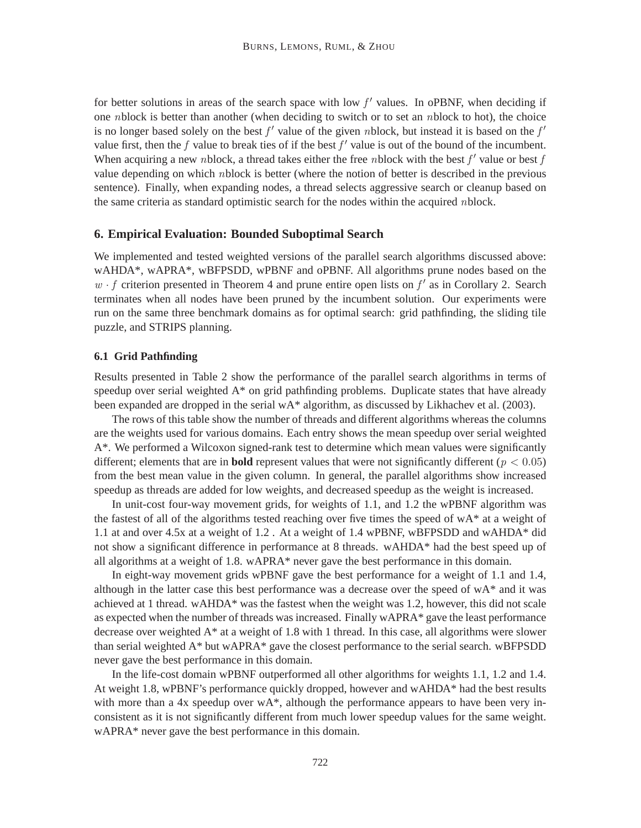for better solutions in areas of the search space with low  $f'$  values. In oPBNF, when deciding if one nblock is better than another (when deciding to switch or to set an nblock to hot), the choice is no longer based solely on the best  $f'$  value of the given nblock, but instead it is based on the  $f'$ value first, then the f value to break ties of if the best  $f'$  value is out of the bound of the incumbent. When acquiring a new nblock, a thread takes either the free nblock with the best  $f'$  value or best  $f$ value depending on which nblock is better (where the notion of better is described in the previous sentence). Finally, when expanding nodes, a thread selects aggressive search or cleanup based on the same criteria as standard optimistic search for the nodes within the acquired nblock.

#### **6. Empirical Evaluation: Bounded Suboptimal Search**

We implemented and tested weighted versions of the parallel search algorithms discussed above: wAHDA\*, wAPRA\*, wBFPSDD, wPBNF and oPBNF. All algorithms prune nodes based on the  $w \cdot f$  criterion presented in Theorem 4 and prune entire open lists on  $f'$  as in Corollary 2. Search terminates when all nodes have been pruned by the incumbent solution. Our experiments were run on the same three benchmark domains as for optimal search: grid pathfinding, the sliding tile puzzle, and STRIPS planning.

#### **6.1 Grid Pathfinding**

Results presented in Table 2 show the performance of the parallel search algorithms in terms of speedup over serial weighted  $A^*$  on grid pathfinding problems. Duplicate states that have already been expanded are dropped in the serial wA\* algorithm, as discussed by Likhachev et al. (2003).

The rows of this table show the number of threads and different algorithms whereas the columns are the weights used for various domains. Each entry shows the mean speedup over serial weighted A\*. We performed a Wilcoxon signed-rank test to determine which mean values were significantly different; elements that are in **bold** represent values that were not significantly different ( $p < 0.05$ ) from the best mean value in the given column. In general, the parallel algorithms show increased speedup as threads are added for low weights, and decreased speedup as the weight is increased.

In unit-cost four-way movement grids, for weights of 1.1, and 1.2 the wPBNF algorithm was the fastest of all of the algorithms tested reaching over five times the speed of wA\* at a weight of 1.1 at and over 4.5x at a weight of 1.2 . At a weight of 1.4 wPBNF, wBFPSDD and wAHDA\* did not show a significant difference in performance at 8 threads. wAHDA\* had the best speed up of all algorithms at a weight of 1.8. wAPRA\* never gave the best performance in this domain.

In eight-way movement grids wPBNF gave the best performance for a weight of 1.1 and 1.4, although in the latter case this best performance was a decrease over the speed of wA\* and it was achieved at 1 thread. wAHDA\* was the fastest when the weight was 1.2, however, this did not scale as expected when the number of threads was increased. Finally wAPRA\* gave the least performance decrease over weighted A\* at a weight of 1.8 with 1 thread. In this case, all algorithms were slower than serial weighted A\* but wAPRA\* gave the closest performance to the serial search. wBFPSDD never gave the best performance in this domain.

In the life-cost domain wPBNF outperformed all other algorithms for weights 1.1, 1.2 and 1.4. At weight 1.8, wPBNF's performance quickly dropped, however and wAHDA\* had the best results with more than a 4x speedup over  $WA^*$ , although the performance appears to have been very inconsistent as it is not significantly different from much lower speedup values for the same weight. wAPRA\* never gave the best performance in this domain.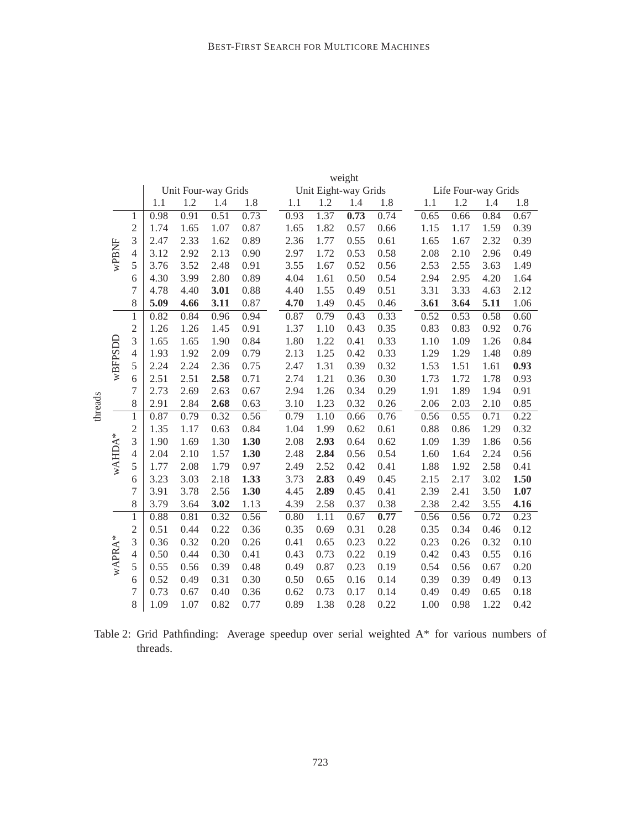|         |         |                | weight |      |                     |      |  |      |      |                      |      |  |      |      |                     |      |
|---------|---------|----------------|--------|------|---------------------|------|--|------|------|----------------------|------|--|------|------|---------------------|------|
|         |         |                |        |      | Unit Four-way Grids |      |  |      |      | Unit Eight-way Grids |      |  |      |      | Life Four-way Grids |      |
|         |         |                | 1.1    | 1.2  | 1.4                 | 1.8  |  | 1.1  | 1.2  | 1.4                  | 1.8  |  | 1.1  | 1.2  | 1.4                 | 1.8  |
|         |         | $\mathbf{1}$   | 0.98   | 0.91 | 0.51                | 0.73 |  | 0.93 | 1.37 | 0.73                 | 0.74 |  | 0.65 | 0.66 | 0.84                | 0.67 |
|         |         | $\overline{c}$ | 1.74   | 1.65 | 1.07                | 0.87 |  | 1.65 | 1.82 | 0.57                 | 0.66 |  | 1.15 | 1.17 | 1.59                | 0.39 |
|         |         | 3              | 2.47   | 2.33 | 1.62                | 0.89 |  | 2.36 | 1.77 | 0.55                 | 0.61 |  | 1.65 | 1.67 | 2.32                | 0.39 |
|         | wPBNF   | $\overline{4}$ | 3.12   | 2.92 | 2.13                | 0.90 |  | 2.97 | 1.72 | 0.53                 | 0.58 |  | 2.08 | 2.10 | 2.96                | 0.49 |
|         |         | 5              | 3.76   | 3.52 | 2.48                | 0.91 |  | 3.55 | 1.67 | 0.52                 | 0.56 |  | 2.53 | 2.55 | 3.63                | 1.49 |
|         |         | 6              | 4.30   | 3.99 | 2.80                | 0.89 |  | 4.04 | 1.61 | 0.50                 | 0.54 |  | 2.94 | 2.95 | 4.20                | 1.64 |
|         |         | 7              | 4.78   | 4.40 | 3.01                | 0.88 |  | 4.40 | 1.55 | 0.49                 | 0.51 |  | 3.31 | 3.33 | 4.63                | 2.12 |
|         |         | 8              | 5.09   | 4.66 | 3.11                | 0.87 |  | 4.70 | 1.49 | 0.45                 | 0.46 |  | 3.61 | 3.64 | 5.11                | 1.06 |
|         |         | $\mathbf{1}$   | 0.82   | 0.84 | 0.96                | 0.94 |  | 0.87 | 0.79 | 0.43                 | 0.33 |  | 0.52 | 0.53 | 0.58                | 0.60 |
|         |         | $\overline{c}$ | 1.26   | 1.26 | 1.45                | 0.91 |  | 1.37 | 1.10 | 0.43                 | 0.35 |  | 0.83 | 0.83 | 0.92                | 0.76 |
|         |         | 3              | 1.65   | 1.65 | 1.90                | 0.84 |  | 1.80 | 1.22 | 0.41                 | 0.33 |  | 1.10 | 1.09 | 1.26                | 0.84 |
|         |         | $\overline{4}$ | 1.93   | 1.92 | 2.09                | 0.79 |  | 2.13 | 1.25 | 0.42                 | 0.33 |  | 1.29 | 1.29 | 1.48                | 0.89 |
|         | wBFPSDD | 5              | 2.24   | 2.24 | 2.36                | 0.75 |  | 2.47 | 1.31 | 0.39                 | 0.32 |  | 1.53 | 1.51 | 1.61                | 0.93 |
|         |         | 6              | 2.51   | 2.51 | 2.58                | 0.71 |  | 2.74 | 1.21 | 0.36                 | 0.30 |  | 1.73 | 1.72 | 1.78                | 0.93 |
|         |         | 7              | 2.73   | 2.69 | 2.63                | 0.67 |  | 2.94 | 1.26 | 0.34                 | 0.29 |  | 1.91 | 1.89 | 1.94                | 0.91 |
| threads |         | 8              | 2.91   | 2.84 | 2.68                | 0.63 |  | 3.10 | 1.23 | 0.32                 | 0.26 |  | 2.06 | 2.03 | 2.10                | 0.85 |
|         |         | $\mathbf{1}$   | 0.87   | 0.79 | 0.32                | 0.56 |  | 0.79 | 1.10 | 0.66                 | 0.76 |  | 0.56 | 0.55 | 0.71                | 0.22 |
|         |         | $\overline{c}$ | 1.35   | 1.17 | 0.63                | 0.84 |  | 1.04 | 1.99 | 0.62                 | 0.61 |  | 0.88 | 0.86 | 1.29                | 0.32 |
|         | wAHDA*  | $\overline{3}$ | 1.90   | 1.69 | 1.30                | 1.30 |  | 2.08 | 2.93 | 0.64                 | 0.62 |  | 1.09 | 1.39 | 1.86                | 0.56 |
|         |         | $\overline{4}$ | 2.04   | 2.10 | 1.57                | 1.30 |  | 2.48 | 2.84 | 0.56                 | 0.54 |  | 1.60 | 1.64 | 2.24                | 0.56 |
|         |         | 5              | 1.77   | 2.08 | 1.79                | 0.97 |  | 2.49 | 2.52 | 0.42                 | 0.41 |  | 1.88 | 1.92 | 2.58                | 0.41 |
|         |         | 6              | 3.23   | 3.03 | 2.18                | 1.33 |  | 3.73 | 2.83 | 0.49                 | 0.45 |  | 2.15 | 2.17 | 3.02                | 1.50 |
|         |         | 7              | 3.91   | 3.78 | 2.56                | 1.30 |  | 4.45 | 2.89 | 0.45                 | 0.41 |  | 2.39 | 2.41 | 3.50                | 1.07 |
|         |         | 8              | 3.79   | 3.64 | 3.02                | 1.13 |  | 4.39 | 2.58 | 0.37                 | 0.38 |  | 2.38 | 2.42 | 3.55                | 4.16 |
|         |         | $\overline{1}$ | 0.88   | 0.81 | 0.32                | 0.56 |  | 0.80 | 1.11 | 0.67                 | 0.77 |  | 0.56 | 0.56 | 0.72                | 0.23 |
|         |         | $\overline{c}$ | 0.51   | 0.44 | 0.22                | 0.36 |  | 0.35 | 0.69 | 0.31                 | 0.28 |  | 0.35 | 0.34 | 0.46                | 0.12 |
|         |         | $\overline{3}$ | 0.36   | 0.32 | 0.20                | 0.26 |  | 0.41 | 0.65 | 0.23                 | 0.22 |  | 0.23 | 0.26 | 0.32                | 0.10 |
|         |         | $\overline{4}$ | 0.50   | 0.44 | 0.30                | 0.41 |  | 0.43 | 0.73 | 0.22                 | 0.19 |  | 0.42 | 0.43 | 0.55                | 0.16 |
|         | wAPRA*  | 5              | 0.55   | 0.56 | 0.39                | 0.48 |  | 0.49 | 0.87 | 0.23                 | 0.19 |  | 0.54 | 0.56 | 0.67                | 0.20 |
|         |         | 6              | 0.52   | 0.49 | 0.31                | 0.30 |  | 0.50 | 0.65 | 0.16                 | 0.14 |  | 0.39 | 0.39 | 0.49                | 0.13 |
|         |         | $\overline{7}$ | 0.73   | 0.67 | 0.40                | 0.36 |  | 0.62 | 0.73 | 0.17                 | 0.14 |  | 0.49 | 0.49 | 0.65                | 0.18 |
|         |         | 8              | 1.09   | 1.07 | 0.82                | 0.77 |  | 0.89 | 1.38 | 0.28                 | 0.22 |  | 1.00 | 0.98 | 1.22                | 0.42 |

Table 2: Grid Pathfinding: Average speedup over serial weighted A\* for various numbers of threads.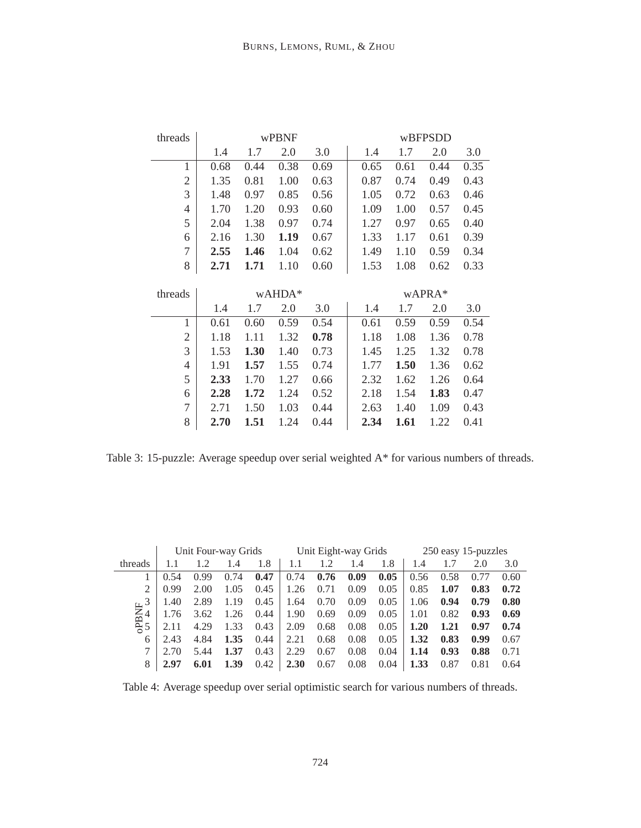| threads        |      |      | wPBNF  |      | wBFPSDD |      |        |      |  |  |
|----------------|------|------|--------|------|---------|------|--------|------|--|--|
|                | 1.4  | 1.7  | 2.0    | 3.0  | 1.4     | 1.7  | 2.0    | 3.0  |  |  |
| $\mathbf{1}$   | 0.68 | 0.44 | 0.38   | 0.69 | 0.65    | 0.61 | 0.44   | 0.35 |  |  |
| $\mathfrak{2}$ | 1.35 | 0.81 | 1.00   | 0.63 | 0.87    | 0.74 | 0.49   | 0.43 |  |  |
| 3              | 1.48 | 0.97 | 0.85   | 0.56 | 1.05    | 0.72 | 0.63   | 0.46 |  |  |
| $\overline{4}$ | 1.70 | 1.20 | 0.93   | 0.60 | 1.09    | 1.00 | 0.57   | 0.45 |  |  |
| 5              | 2.04 | 1.38 | 0.97   | 0.74 | 1.27    | 0.97 | 0.65   | 0.40 |  |  |
| 6              | 2.16 | 1.30 | 1.19   | 0.67 | 1.33    | 1.17 | 0.61   | 0.39 |  |  |
| $\overline{7}$ | 2.55 | 1.46 | 1.04   | 0.62 | 1.49    | 1.10 | 0.59   | 0.34 |  |  |
| 8              | 2.71 | 1.71 | 1.10   | 0.60 | 1.53    | 1.08 | 0.62   | 0.33 |  |  |
|                |      |      |        |      |         |      |        |      |  |  |
|                |      |      |        |      |         |      |        |      |  |  |
| threads        |      |      | wAHDA* |      |         |      | wAPRA* |      |  |  |
|                | 1.4  | 1.7  | 2.0    | 3.0  | 1.4     | 1.7  | 2.0    | 3.0  |  |  |
| $\mathbf{1}$   | 0.61 | 0.60 | 0.59   | 0.54 | 0.61    | 0.59 | 0.59   | 0.54 |  |  |
| $\overline{2}$ | 1.18 | 1.11 | 1.32   | 0.78 | 1.18    | 1.08 | 1.36   | 0.78 |  |  |
| 3              | 1.53 | 1.30 | 1.40   | 0.73 | 1.45    | 1.25 | 1.32   | 0.78 |  |  |
| 4              | 1.91 | 1.57 | 1.55   | 0.74 | 1.77    | 1.50 | 1.36   | 0.62 |  |  |
| 5              | 2.33 | 1.70 | 1.27   | 0.66 | 2.32    | 1.62 | 1.26   | 0.64 |  |  |
| 6              | 2.28 | 1.72 | 1.24   | 0.52 | 2.18    | 1.54 | 1.83   | 0.47 |  |  |
| $\overline{7}$ | 2.71 | 1.50 | 1.03   | 0.44 | 2.63    | 1.40 | 1.09   | 0.43 |  |  |

Table 3: 15-puzzle: Average speedup over serial weighted A\* for various numbers of threads.

|                                                 |      | Unit Four-way Grids |      |      |      | Unit Eight-way Grids |      |      | 250 easy 15-puzzles |      |      |      |  |
|-------------------------------------------------|------|---------------------|------|------|------|----------------------|------|------|---------------------|------|------|------|--|
| threads                                         |      | 1.2                 | 1.4  | 1.8  |      |                      | 1.4  | 1.8  | 1.4                 |      | 2.0  | 3.0  |  |
|                                                 | 0.54 | 0.99                | 0.74 | 0.47 | 0.74 | 0.76                 | 0.09 | 0.05 | 0.56                | 0.58 | 0.77 | 0.60 |  |
|                                                 | 0.99 | 2.00                | 1.05 | 0.45 | 1.26 | 0.71                 | 0.09 | 0.05 | 0.85                | 1.07 | 0.83 | 0.72 |  |
|                                                 | 1.40 | 2.89                | 1.19 | 0.45 | 1.64 | 0.70                 | 0.09 | 0.05 | 1.06                | 0.94 | 0.79 | 0.80 |  |
| $\frac{1}{2}$<br>$\frac{3}{4}$<br>$\frac{3}{5}$ | 1.76 | 3.62                | 1.26 | 0.44 | 1.90 | 0.69                 | 0.09 | 0.05 | 1.01                | 0.82 | 0.93 | 0.69 |  |
|                                                 | 2.11 | 4.29                | 1.33 | 0.43 | 2.09 | 0.68                 | 0.08 | 0.05 | 1.20                | 1.21 | 0.97 | 0.74 |  |
| 6                                               | 2.43 | 4.84                | 1.35 | 0.44 | 2.21 | 0.68                 | 0.08 | 0.05 | 1.32                | 0.83 | 0.99 | 0.67 |  |
|                                                 | 2.70 | 5.44                | 1.37 | 0.43 | 2.29 | 0.67                 | 0.08 | 0.04 | 1.14                | 0.93 | 0.88 | 0.71 |  |
| 8                                               | 2.97 | 6.01                | 1.39 | 0.42 | 2.30 | 0.67                 | 0.08 | 0.04 | 1.33                | 0.87 | 0.81 | 0.64 |  |

Table 4: Average speedup over serial optimistic search for various numbers of threads.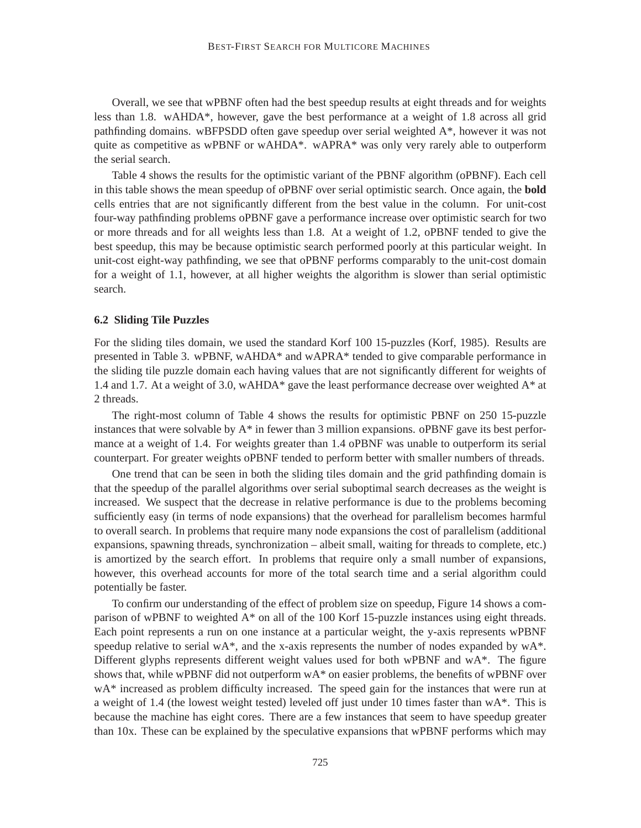Overall, we see that wPBNF often had the best speedup results at eight threads and for weights less than 1.8. wAHDA\*, however, gave the best performance at a weight of 1.8 across all grid pathfinding domains. wBFPSDD often gave speedup over serial weighted A\*, however it was not quite as competitive as wPBNF or wAHDA\*. wAPRA\* was only very rarely able to outperform the serial search.

Table 4 shows the results for the optimistic variant of the PBNF algorithm (oPBNF). Each cell in this table shows the mean speedup of oPBNF over serial optimistic search. Once again, the **bold** cells entries that are not significantly different from the best value in the column. For unit-cost four-way pathfinding problems oPBNF gave a performance increase over optimistic search for two or more threads and for all weights less than 1.8. At a weight of 1.2, oPBNF tended to give the best speedup, this may be because optimistic search performed poorly at this particular weight. In unit-cost eight-way pathfinding, we see that oPBNF performs comparably to the unit-cost domain for a weight of 1.1, however, at all higher weights the algorithm is slower than serial optimistic search.

#### **6.2 Sliding Tile Puzzles**

For the sliding tiles domain, we used the standard Korf 100 15-puzzles (Korf, 1985). Results are presented in Table 3. wPBNF, wAHDA\* and wAPRA\* tended to give comparable performance in the sliding tile puzzle domain each having values that are not significantly different for weights of 1.4 and 1.7. At a weight of 3.0, wAHDA\* gave the least performance decrease over weighted A\* at 2 threads.

The right-most column of Table 4 shows the results for optimistic PBNF on 250 15-puzzle instances that were solvable by A\* in fewer than 3 million expansions. oPBNF gave its best performance at a weight of 1.4. For weights greater than 1.4 oPBNF was unable to outperform its serial counterpart. For greater weights oPBNF tended to perform better with smaller numbers of threads.

One trend that can be seen in both the sliding tiles domain and the grid pathfinding domain is that the speedup of the parallel algorithms over serial suboptimal search decreases as the weight is increased. We suspect that the decrease in relative performance is due to the problems becoming sufficiently easy (in terms of node expansions) that the overhead for parallelism becomes harmful to overall search. In problems that require many node expansions the cost of parallelism (additional expansions, spawning threads, synchronization – albeit small, waiting for threads to complete, etc.) is amortized by the search effort. In problems that require only a small number of expansions, however, this overhead accounts for more of the total search time and a serial algorithm could potentially be faster.

To confirm our understanding of the effect of problem size on speedup, Figure 14 shows a comparison of wPBNF to weighted A\* on all of the 100 Korf 15-puzzle instances using eight threads. Each point represents a run on one instance at a particular weight, the y-axis represents wPBNF speedup relative to serial wA\*, and the x-axis represents the number of nodes expanded by  $wA^*$ . Different glyphs represents different weight values used for both wPBNF and wA\*. The figure shows that, while wPBNF did not outperform wA\* on easier problems, the benefits of wPBNF over wA\* increased as problem difficulty increased. The speed gain for the instances that were run at a weight of 1.4 (the lowest weight tested) leveled off just under 10 times faster than  $wA^*$ . This is because the machine has eight cores. There are a few instances that seem to have speedup greater than 10x. These can be explained by the speculative expansions that wPBNF performs which may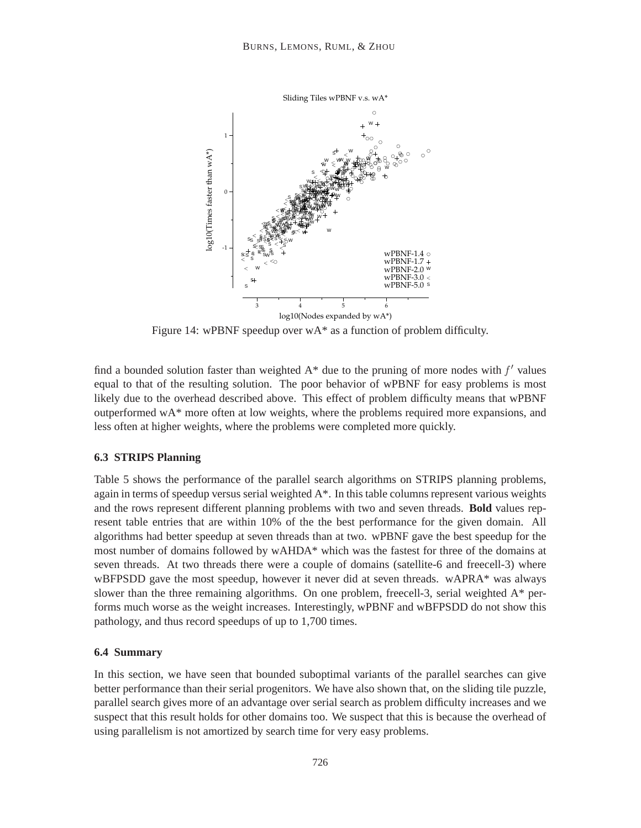

Figure 14: wPBNF speedup over wA\* as a function of problem difficulty.

find a bounded solution faster than weighted  $A^*$  due to the pruning of more nodes with  $f'$  values equal to that of the resulting solution. The poor behavior of wPBNF for easy problems is most likely due to the overhead described above. This effect of problem difficulty means that wPBNF outperformed wA\* more often at low weights, where the problems required more expansions, and less often at higher weights, where the problems were completed more quickly.

## **6.3 STRIPS Planning**

Table 5 shows the performance of the parallel search algorithms on STRIPS planning problems, again in terms of speedup versus serial weighted A\*. In this table columns represent various weights and the rows represent different planning problems with two and seven threads. **Bold** values represent table entries that are within 10% of the the best performance for the given domain. All algorithms had better speedup at seven threads than at two. wPBNF gave the best speedup for the most number of domains followed by wAHDA\* which was the fastest for three of the domains at seven threads. At two threads there were a couple of domains (satellite-6 and freecell-3) where wBFPSDD gave the most speedup, however it never did at seven threads. wAPRA\* was always slower than the three remaining algorithms. On one problem, freecell-3, serial weighted  $A^*$  performs much worse as the weight increases. Interestingly, wPBNF and wBFPSDD do not show this pathology, and thus record speedups of up to 1,700 times.

#### **6.4 Summary**

In this section, we have seen that bounded suboptimal variants of the parallel searches can give better performance than their serial progenitors. We have also shown that, on the sliding tile puzzle, parallel search gives more of an advantage over serial search as problem difficulty increases and we suspect that this result holds for other domains too. We suspect that this is because the overhead of using parallelism is not amortized by search time for very easy problems.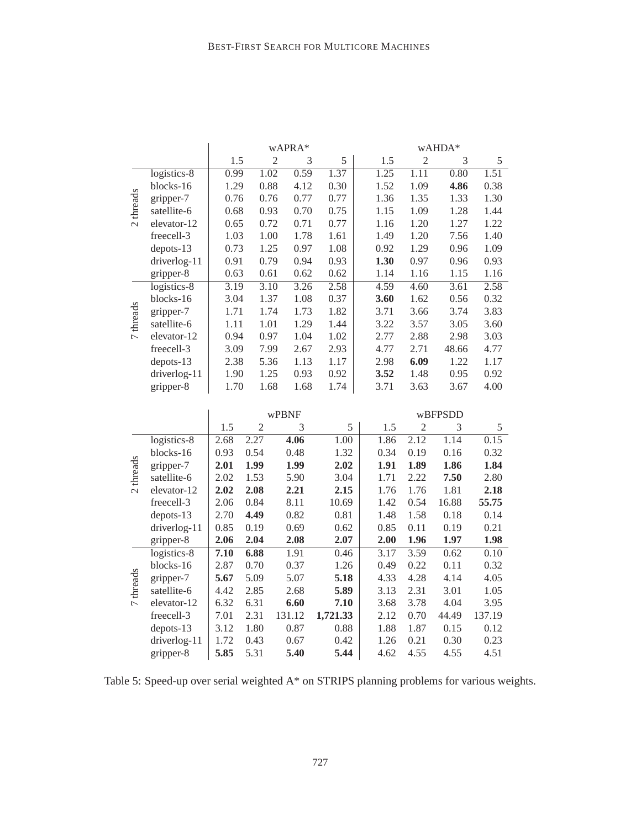|                |              |      |                | wAPRA* |      | wAHDA* |                |       |      |  |  |  |
|----------------|--------------|------|----------------|--------|------|--------|----------------|-------|------|--|--|--|
|                |              | 1.5  | $\overline{2}$ | 3      | 5    | 1.5    | $\overline{2}$ | 3     | 5    |  |  |  |
|                | logistics-8  | 0.99 | 1.02           | 0.59   | 1.37 | 1.25   | 1.11           | 0.80  | 1.51 |  |  |  |
|                | blocks-16    | 1.29 | 0.88           | 4.12   | 0.30 | 1.52   | 1.09           | 4.86  | 0.38 |  |  |  |
|                | gripper-7    | 0.76 | 0.76           | 0.77   | 0.77 | 1.36   | 1.35           | 1.33  | 1.30 |  |  |  |
| threads        | satellite-6  | 0.68 | 0.93           | 0.70   | 0.75 | 1.15   | 1.09           | 1.28  | 1.44 |  |  |  |
| $\sim$         | elevator-12  | 0.65 | 0.72           | 0.71   | 0.77 | 1.16   | 1.20           | 1.27  | 1.22 |  |  |  |
|                | freecell-3   | 1.03 | 1.00           | 1.78   | 1.61 | 1.49   | 1.20           | 7.56  | 1.40 |  |  |  |
|                | $depots-13$  | 0.73 | 1.25           | 0.97   | 1.08 | 0.92   | 1.29           | 0.96  | 1.09 |  |  |  |
|                | driverlog-11 | 0.91 | 0.79           | 0.94   | 0.93 | 1.30   | 0.97           | 0.96  | 0.93 |  |  |  |
|                | gripper-8    | 0.63 | 0.61           | 0.62   | 0.62 | 1.14   | 1.16           | 1.15  | 1.16 |  |  |  |
|                | logistics-8  | 3.19 | 3.10           | 3.26   | 2.58 | 4.59   | 4.60           | 3.61  | 2.58 |  |  |  |
|                | blocks-16    | 3.04 | 1.37           | 1.08   | 0.37 | 3.60   | 1.62           | 0.56  | 0.32 |  |  |  |
| threads        | gripper-7    | 1.71 | 1.74           | 1.73   | 1.82 | 3.71   | 3.66           | 3.74  | 3.83 |  |  |  |
|                | satellite-6  | 1.11 | 1.01           | 1.29   | 1.44 | 3.22   | 3.57           | 3.05  | 3.60 |  |  |  |
| $\overline{ }$ | elevator-12  | 0.94 | 0.97           | 1.04   | 1.02 | 2.77   | 2.88           | 2.98  | 3.03 |  |  |  |
|                | freecell-3   | 3.09 | 7.99           | 2.67   | 2.93 | 4.77   | 2.71           | 48.66 | 4.77 |  |  |  |
|                | $depots-13$  | 2.38 | 5.36           | 1.13   | 1.17 | 2.98   | 6.09           | 1.22  | 1.17 |  |  |  |
|                | driverlog-11 | 1.90 | 1.25           | 0.93   | 0.92 | 3.52   | 1.48           | 0.95  | 0.92 |  |  |  |
|                | gripper-8    | 1.70 | 1.68           | 1.68   | 1.74 | 3.71   | 3.63           | 3.67  | 4.00 |  |  |  |

|                          |              |      |      | wPBNF  |          | wBFPSDD |      |       |        |  |  |
|--------------------------|--------------|------|------|--------|----------|---------|------|-------|--------|--|--|
|                          |              | 1.5  | 2    | 3      | 5        | 1.5     | 2    | 3     | 5      |  |  |
|                          | logistics-8  | 2.68 | 2.27 | 4.06   | 1.00     | 1.86    | 2.12 | 1.14  | 0.15   |  |  |
|                          | blocks-16    | 0.93 | 0.54 | 0.48   | 1.32     | 0.34    | 0.19 | 0.16  | 0.32   |  |  |
| threads                  | gripper-7    | 2.01 | 1.99 | 1.99   | 2.02     | 1.91    | 1.89 | 1.86  | 1.84   |  |  |
|                          | satellite-6  | 2.02 | 1.53 | 5.90   | 3.04     | 1.71    | 2.22 | 7.50  | 2.80   |  |  |
| $\sim$                   | elevator-12  | 2.02 | 2.08 | 2.21   | 2.15     | 1.76    | 1.76 | 1.81  | 2.18   |  |  |
|                          | freecell-3   | 2.06 | 0.84 | 8.11   | 10.69    | 1.42    | 0.54 | 16.88 | 55.75  |  |  |
|                          | $depots-13$  | 2.70 | 4.49 | 0.82   | 0.81     | 1.48    | 1.58 | 0.18  | 0.14   |  |  |
|                          | driverlog-11 | 0.85 | 0.19 | 0.69   | 0.62     | 0.85    | 0.11 | 0.19  | 0.21   |  |  |
|                          | gripper-8    | 2.06 | 2.04 | 2.08   | 2.07     | 2.00    | 1.96 | 1.97  | 1.98   |  |  |
|                          | logistics-8  | 7.10 | 6.88 | 1.91   | 0.46     | 3.17    | 3.59 | 0.62  | 0.10   |  |  |
|                          | blocks-16    | 2.87 | 0.70 | 0.37   | 1.26     | 0.49    | 0.22 | 0.11  | 0.32   |  |  |
|                          | gripper-7    | 5.67 | 5.09 | 5.07   | 5.18     | 4.33    | 4.28 | 4.14  | 4.05   |  |  |
| threads                  | satellite-6  | 4.42 | 2.85 | 2.68   | 5.89     | 3.13    | 2.31 | 3.01  | 1.05   |  |  |
| $\overline{\phantom{0}}$ | elevator-12  | 6.32 | 6.31 | 6.60   | 7.10     | 3.68    | 3.78 | 4.04  | 3.95   |  |  |
|                          | freecell-3   | 7.01 | 2.31 | 131.12 | 1,721.33 | 2.12    | 0.70 | 44.49 | 137.19 |  |  |
|                          | $depots-13$  | 3.12 | 1.80 | 0.87   | 0.88     | 1.88    | 1.87 | 0.15  | 0.12   |  |  |
|                          | driverlog-11 | 1.72 | 0.43 | 0.67   | 0.42     | 1.26    | 0.21 | 0.30  | 0.23   |  |  |
|                          | gripper-8    | 5.85 | 5.31 | 5.40   | 5.44     | 4.62    | 4.55 | 4.55  | 4.51   |  |  |

Table 5: Speed-up over serial weighted A\* on STRIPS planning problems for various weights.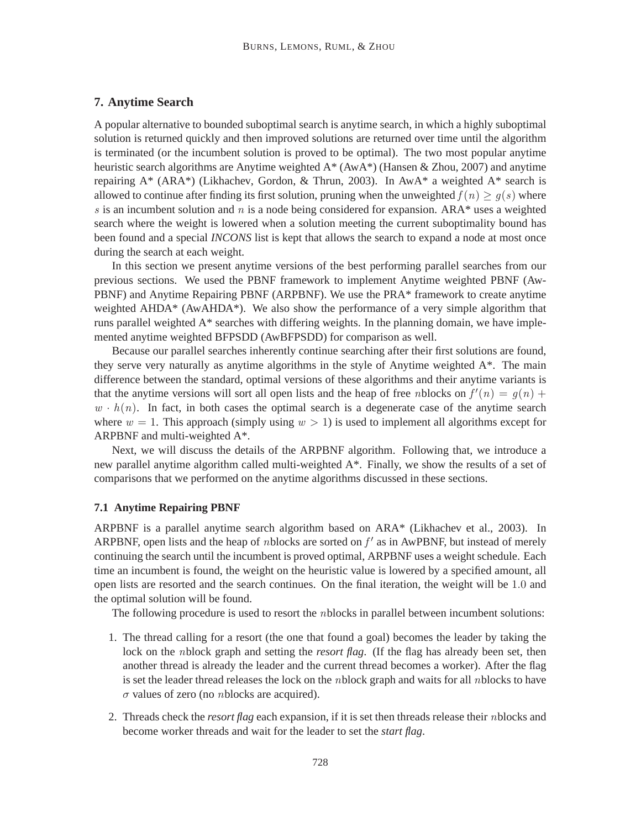# **7. Anytime Search**

A popular alternative to bounded suboptimal search is anytime search, in which a highly suboptimal solution is returned quickly and then improved solutions are returned over time until the algorithm is terminated (or the incumbent solution is proved to be optimal). The two most popular anytime heuristic search algorithms are Anytime weighted A\* (AwA\*) (Hansen & Zhou, 2007) and anytime repairing  $A^*$  (ARA\*) (Likhachev, Gordon, & Thrun, 2003). In AwA\* a weighted  $A^*$  search is allowed to continue after finding its first solution, pruning when the unweighted  $f(n) \geq g(s)$  where s is an incumbent solution and n is a node being considered for expansion. ARA\* uses a weighted search where the weight is lowered when a solution meeting the current suboptimality bound has been found and a special *INCONS* list is kept that allows the search to expand a node at most once during the search at each weight.

In this section we present anytime versions of the best performing parallel searches from our previous sections. We used the PBNF framework to implement Anytime weighted PBNF (Aw-PBNF) and Anytime Repairing PBNF (ARPBNF). We use the PRA\* framework to create anytime weighted AHDA\* (AwAHDA\*). We also show the performance of a very simple algorithm that runs parallel weighted A\* searches with differing weights. In the planning domain, we have implemented anytime weighted BFPSDD (AwBFPSDD) for comparison as well.

Because our parallel searches inherently continue searching after their first solutions are found, they serve very naturally as anytime algorithms in the style of Anytime weighted A\*. The main difference between the standard, optimal versions of these algorithms and their anytime variants is that the anytime versions will sort all open lists and the heap of free *n*blocks on  $f'(n) = g(n) +$  $w \cdot h(n)$ . In fact, in both cases the optimal search is a degenerate case of the anytime search where  $w = 1$ . This approach (simply using  $w > 1$ ) is used to implement all algorithms except for ARPBNF and multi-weighted A\*.

Next, we will discuss the details of the ARPBNF algorithm. Following that, we introduce a new parallel anytime algorithm called multi-weighted A\*. Finally, we show the results of a set of comparisons that we performed on the anytime algorithms discussed in these sections.

#### **7.1 Anytime Repairing PBNF**

ARPBNF is a parallel anytime search algorithm based on ARA\* (Likhachev et al., 2003). In ARPBNF, open lists and the heap of *n*blocks are sorted on  $f'$  as in AwPBNF, but instead of merely continuing the search until the incumbent is proved optimal, ARPBNF uses a weight schedule. Each time an incumbent is found, the weight on the heuristic value is lowered by a specified amount, all open lists are resorted and the search continues. On the final iteration, the weight will be 1.0 and the optimal solution will be found.

The following procedure is used to resort the *n*blocks in parallel between incumbent solutions:

- 1. The thread calling for a resort (the one that found a goal) becomes the leader by taking the lock on the *n*block graph and setting the *resort flag*. (If the flag has already been set, then another thread is already the leader and the current thread becomes a worker). After the flag is set the leader thread releases the lock on the *n*block graph and waits for all *n*blocks to have  $\sigma$  values of zero (no *n*blocks are acquired).
- 2. Threads check the *resort flag* each expansion, if it is set then threads release their nblocks and become worker threads and wait for the leader to set the *start flag*.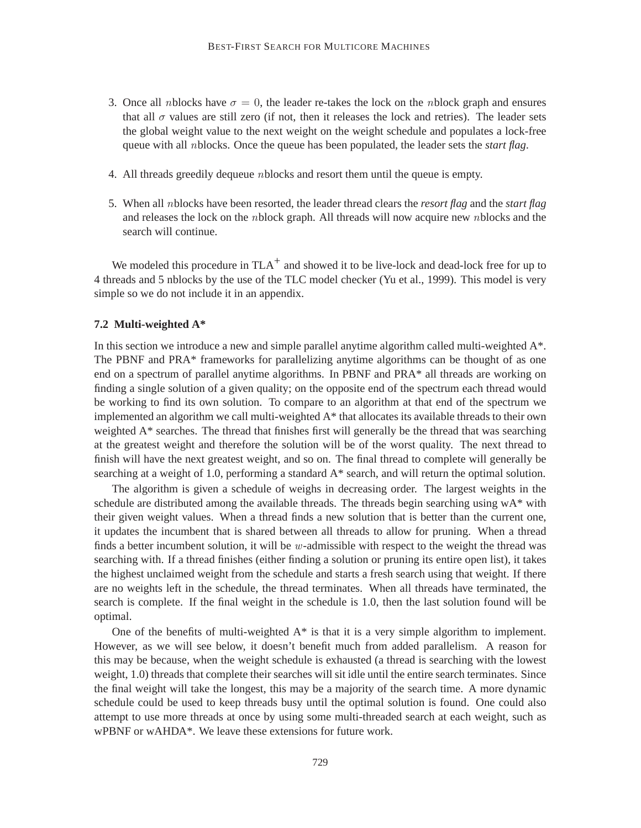- 3. Once all nblocks have  $\sigma = 0$ , the leader re-takes the lock on the nblock graph and ensures that all  $\sigma$  values are still zero (if not, then it releases the lock and retries). The leader sets the global weight value to the next weight on the weight schedule and populates a lock-free queue with all nblocks. Once the queue has been populated, the leader sets the *start flag*.
- 4. All threads greedily dequeue nblocks and resort them until the queue is empty.
- 5. When all nblocks have been resorted, the leader thread clears the *resort flag* and the *start flag* and releases the lock on the nblock graph. All threads will now acquire new nblocks and the search will continue.

We modeled this procedure in  $TLA^+$  and showed it to be live-lock and dead-lock free for up to 4 threads and 5 nblocks by the use of the TLC model checker (Yu et al., 1999). This model is very simple so we do not include it in an appendix.

#### **7.2 Multi-weighted A\***

In this section we introduce a new and simple parallel anytime algorithm called multi-weighted A\*. The PBNF and PRA\* frameworks for parallelizing anytime algorithms can be thought of as one end on a spectrum of parallel anytime algorithms. In PBNF and PRA\* all threads are working on finding a single solution of a given quality; on the opposite end of the spectrum each thread would be working to find its own solution. To compare to an algorithm at that end of the spectrum we implemented an algorithm we call multi-weighted A\* that allocates its available threads to their own weighted A\* searches. The thread that finishes first will generally be the thread that was searching at the greatest weight and therefore the solution will be of the worst quality. The next thread to finish will have the next greatest weight, and so on. The final thread to complete will generally be searching at a weight of 1.0, performing a standard  $A^*$  search, and will return the optimal solution.

The algorithm is given a schedule of weighs in decreasing order. The largest weights in the schedule are distributed among the available threads. The threads begin searching using  $wA^*$  with their given weight values. When a thread finds a new solution that is better than the current one, it updates the incumbent that is shared between all threads to allow for pruning. When a thread finds a better incumbent solution, it will be  $w$ -admissible with respect to the weight the thread was searching with. If a thread finishes (either finding a solution or pruning its entire open list), it takes the highest unclaimed weight from the schedule and starts a fresh search using that weight. If there are no weights left in the schedule, the thread terminates. When all threads have terminated, the search is complete. If the final weight in the schedule is 1.0, then the last solution found will be optimal.

One of the benefits of multi-weighted  $A^*$  is that it is a very simple algorithm to implement. However, as we will see below, it doesn't benefit much from added parallelism. A reason for this may be because, when the weight schedule is exhausted (a thread is searching with the lowest weight, 1.0) threads that complete their searches will sit idle until the entire search terminates. Since the final weight will take the longest, this may be a majority of the search time. A more dynamic schedule could be used to keep threads busy until the optimal solution is found. One could also attempt to use more threads at once by using some multi-threaded search at each weight, such as wPBNF or wAHDA\*. We leave these extensions for future work.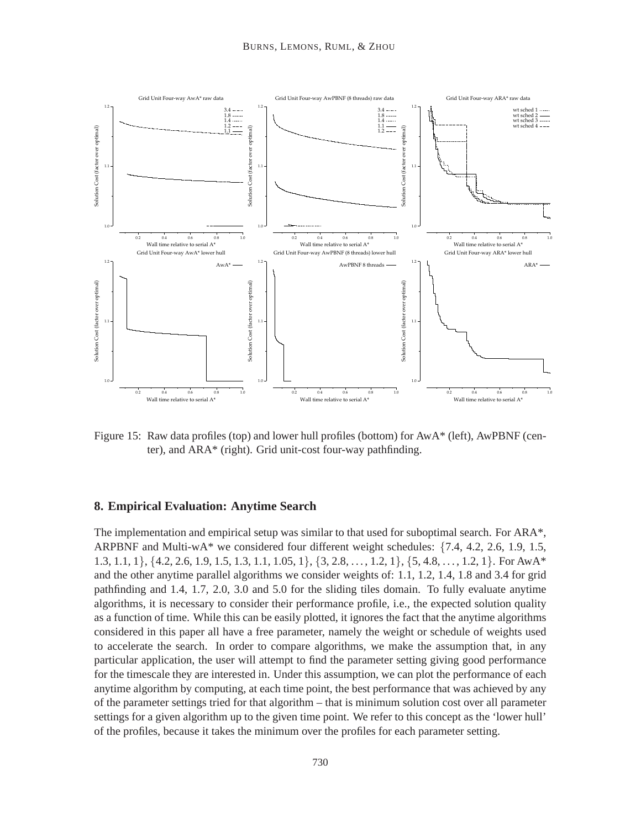

Figure 15: Raw data profiles (top) and lower hull profiles (bottom) for AwA\* (left), AwPBNF (center), and ARA\* (right). Grid unit-cost four-way pathfinding.

# **8. Empirical Evaluation: Anytime Search**

The implementation and empirical setup was similar to that used for suboptimal search. For ARA\*, ARPBNF and Multi-wA\* we considered four different weight schedules: {7.4, 4.2, 2.6, 1.9, 1.5, 1.3, 1.1, 1},  $\{4.2, 2.6, 1.9, 1.5, 1.3, 1.1, 1.05, 1\}$ ,  $\{3, 2.8, \ldots, 1.2, 1\}$ ,  $\{5, 4.8, \ldots, 1.2, 1\}$ . For AwA\* and the other anytime parallel algorithms we consider weights of: 1.1, 1.2, 1.4, 1.8 and 3.4 for grid pathfinding and 1.4, 1.7, 2.0, 3.0 and 5.0 for the sliding tiles domain. To fully evaluate anytime algorithms, it is necessary to consider their performance profile, i.e., the expected solution quality as a function of time. While this can be easily plotted, it ignores the fact that the anytime algorithms considered in this paper all have a free parameter, namely the weight or schedule of weights used to accelerate the search. In order to compare algorithms, we make the assumption that, in any particular application, the user will attempt to find the parameter setting giving good performance for the timescale they are interested in. Under this assumption, we can plot the performance of each anytime algorithm by computing, at each time point, the best performance that was achieved by any of the parameter settings tried for that algorithm – that is minimum solution cost over all parameter settings for a given algorithm up to the given time point. We refer to this concept as the 'lower hull' of the profiles, because it takes the minimum over the profiles for each parameter setting.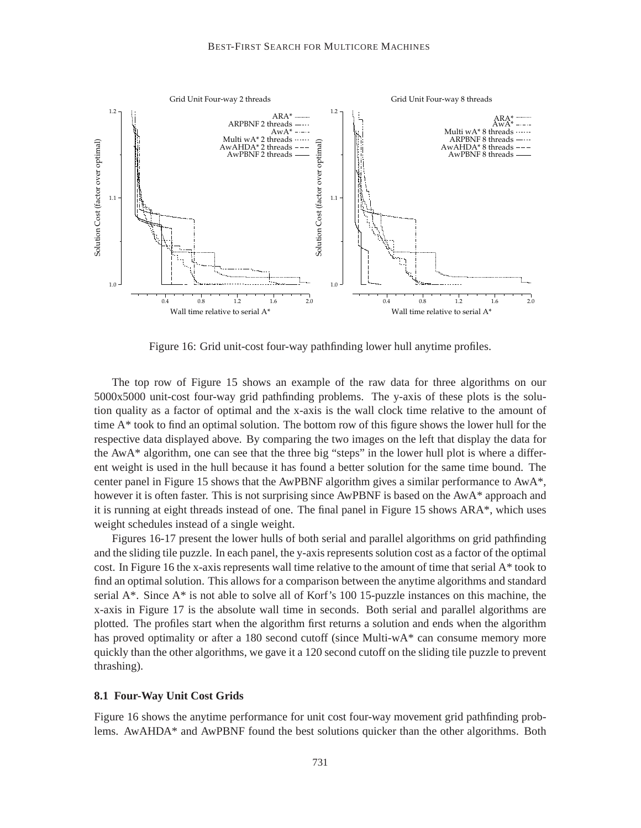

Figure 16: Grid unit-cost four-way pathfinding lower hull anytime profiles.

The top row of Figure 15 shows an example of the raw data for three algorithms on our 5000x5000 unit-cost four-way grid pathfinding problems. The y-axis of these plots is the solution quality as a factor of optimal and the x-axis is the wall clock time relative to the amount of time A\* took to find an optimal solution. The bottom row of this figure shows the lower hull for the respective data displayed above. By comparing the two images on the left that display the data for the AwA\* algorithm, one can see that the three big "steps" in the lower hull plot is where a different weight is used in the hull because it has found a better solution for the same time bound. The center panel in Figure 15 shows that the AwPBNF algorithm gives a similar performance to AwA\*, however it is often faster. This is not surprising since AwPBNF is based on the AwA\* approach and it is running at eight threads instead of one. The final panel in Figure 15 shows ARA\*, which uses weight schedules instead of a single weight.

Figures 16-17 present the lower hulls of both serial and parallel algorithms on grid pathfinding and the sliding tile puzzle. In each panel, the y-axis represents solution cost as a factor of the optimal cost. In Figure 16 the x-axis represents wall time relative to the amount of time that serial A\* took to find an optimal solution. This allows for a comparison between the anytime algorithms and standard serial A\*. Since A\* is not able to solve all of Korf's 100 15-puzzle instances on this machine, the x-axis in Figure 17 is the absolute wall time in seconds. Both serial and parallel algorithms are plotted. The profiles start when the algorithm first returns a solution and ends when the algorithm has proved optimality or after a 180 second cutoff (since Multi-wA\* can consume memory more quickly than the other algorithms, we gave it a 120 second cutoff on the sliding tile puzzle to prevent thrashing).

#### **8.1 Four-Way Unit Cost Grids**

Figure 16 shows the anytime performance for unit cost four-way movement grid pathfinding problems. AwAHDA\* and AwPBNF found the best solutions quicker than the other algorithms. Both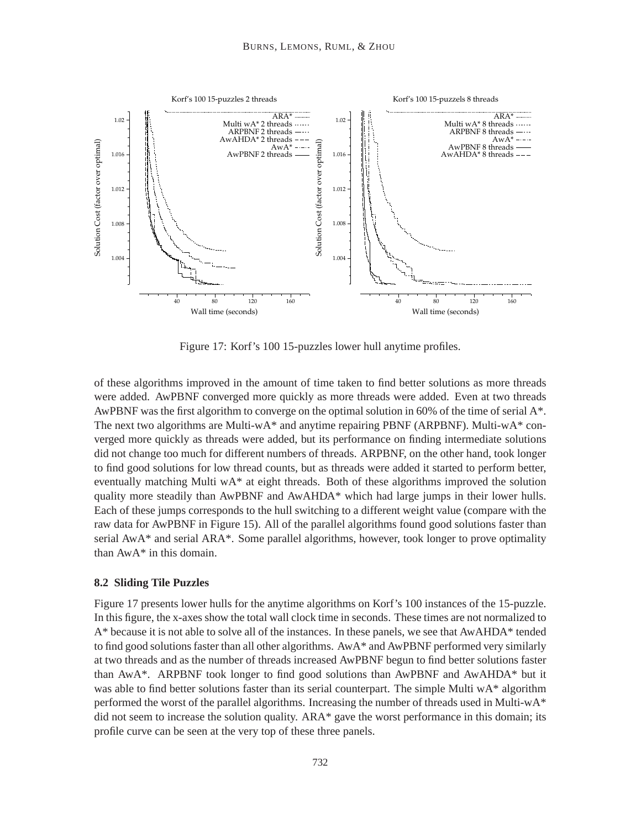

Figure 17: Korf's 100 15-puzzles lower hull anytime profiles.

of these algorithms improved in the amount of time taken to find better solutions as more threads were added. AwPBNF converged more quickly as more threads were added. Even at two threads AwPBNF was the first algorithm to converge on the optimal solution in 60% of the time of serial A\*. The next two algorithms are Multi-wA\* and anytime repairing PBNF (ARPBNF). Multi-wA\* converged more quickly as threads were added, but its performance on finding intermediate solutions did not change too much for different numbers of threads. ARPBNF, on the other hand, took longer to find good solutions for low thread counts, but as threads were added it started to perform better, eventually matching Multi wA\* at eight threads. Both of these algorithms improved the solution quality more steadily than AwPBNF and AwAHDA\* which had large jumps in their lower hulls. Each of these jumps corresponds to the hull switching to a different weight value (compare with the raw data for AwPBNF in Figure 15). All of the parallel algorithms found good solutions faster than serial AwA\* and serial ARA\*. Some parallel algorithms, however, took longer to prove optimality than AwA\* in this domain.

#### **8.2 Sliding Tile Puzzles**

Figure 17 presents lower hulls for the anytime algorithms on Korf's 100 instances of the 15-puzzle. In this figure, the x-axes show the total wall clock time in seconds. These times are not normalized to A\* because it is not able to solve all of the instances. In these panels, we see that AwAHDA\* tended to find good solutions faster than all other algorithms. AwA\* and AwPBNF performed very similarly at two threads and as the number of threads increased AwPBNF begun to find better solutions faster than AwA\*. ARPBNF took longer to find good solutions than AwPBNF and AwAHDA\* but it was able to find better solutions faster than its serial counterpart. The simple Multi wA\* algorithm performed the worst of the parallel algorithms. Increasing the number of threads used in Multi-w $A^*$ did not seem to increase the solution quality. ARA\* gave the worst performance in this domain; its profile curve can be seen at the very top of these three panels.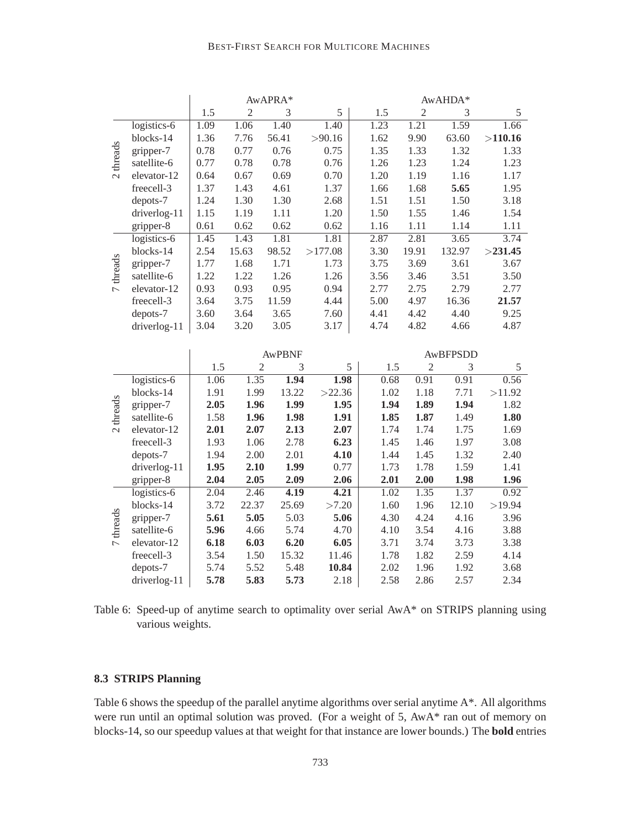## BEST-FIRST SEARCH FOR MULTICORE MACHINES

|                          |              |      |       | AwAPRA* |         |      | AwAHDA*        |        |            |
|--------------------------|--------------|------|-------|---------|---------|------|----------------|--------|------------|
|                          |              | 1.5  | 2     | 3       | 5       | 1.5  | $\overline{2}$ | 3      | 5          |
|                          | logistics-6  | 1.09 | 1.06  | 1.40    | 1.40    | 1.23 | 1.21           | 1.59   | 1.66       |
|                          | blocks-14    | 1.36 | 7.76  | 56.41   | >90.16  | 1.62 | 9.90           | 63.60  | >110.16    |
| threads                  | gripper-7    | 0.78 | 0.77  | 0.76    | 0.75    | 1.35 | 1.33           | 1.32   | 1.33       |
|                          | satellite-6  | 0.77 | 0.78  | 0.78    | 0.76    | 1.26 | 1.23           | 1.24   | 1.23       |
| $\sim$                   | elevator-12  | 0.64 | 0.67  | 0.69    | 0.70    | 1.20 | 1.19           | 1.16   | 1.17       |
|                          | freecell-3   | 1.37 | 1.43  | 4.61    | 1.37    | 1.66 | 1.68           | 5.65   | 1.95       |
|                          | depots-7     | 1.24 | 1.30  | 1.30    | 2.68    | 1.51 | 1.51           | 1.50   | 3.18       |
|                          | driverlog-11 | 1.15 | 1.19  | 1.11    | 1.20    | 1.50 | 1.55           | 1.46   | 1.54       |
|                          | gripper-8    | 0.61 | 0.62  | 0.62    | 0.62    | 1.16 | 1.11           | 1.14   | 1.11       |
|                          | logistics-6  | 1.45 | 1.43  | 1.81    | 1.81    | 2.87 | 2.81           | 3.65   | 3.74       |
|                          | blocks-14    | 2.54 | 15.63 | 98.52   | >177.08 | 3.30 | 19.91          | 132.97 | $>$ 231.45 |
| threads                  | gripper-7    | 1.77 | 1.68  | 1.71    | 1.73    | 3.75 | 3.69           | 3.61   | 3.67       |
|                          | satellite-6  | 1.22 | 1.22  | 1.26    | 1.26    | 3.56 | 3.46           | 3.51   | 3.50       |
| $\overline{\phantom{0}}$ | elevator-12  | 0.93 | 0.93  | 0.95    | 0.94    | 2.77 | 2.75           | 2.79   | 2.77       |
|                          | freecell-3   | 3.64 | 3.75  | 11.59   | 4.44    | 5.00 | 4.97           | 16.36  | 21.57      |
|                          | depots-7     | 3.60 | 3.64  | 3.65    | 7.60    | 4.41 | 4.42           | 4.40   | 9.25       |
|                          | driverlog-11 | 3.04 | 3.20  | 3.05    | 3.17    | 4.74 | 4.82           | 4.66   | 4.87       |

|                   |              |      |       | <b>AWPBNF</b> |        | AwBFPSDD |                |       |        |  |  |
|-------------------|--------------|------|-------|---------------|--------|----------|----------------|-------|--------|--|--|
|                   |              | 1.5  | 2     | 3             | 5      | 1.5      | $\overline{2}$ | 3     | 5      |  |  |
|                   | logistics-6  | 1.06 | 1.35  | 1.94          | 1.98   | 0.68     | 0.91           | 0.91  | 0.56   |  |  |
|                   | blocks-14    | 1.91 | 1.99  | 13.22         | >22.36 | 1.02     | 1.18           | 7.71  | >11.92 |  |  |
| threads<br>$\sim$ | gripper-7    | 2.05 | 1.96  | 1.99          | 1.95   | 1.94     | 1.89           | 1.94  | 1.82   |  |  |
|                   | satellite-6  | 1.58 | 1.96  | 1.98          | 1.91   | 1.85     | 1.87           | 1.49  | 1.80   |  |  |
|                   | elevator-12  | 2.01 | 2.07  | 2.13          | 2.07   | 1.74     | 1.74           | 1.75  | 1.69   |  |  |
|                   | freecell-3   | 1.93 | 1.06  | 2.78          | 6.23   | 1.45     | 1.46           | 1.97  | 3.08   |  |  |
|                   | depots-7     | 1.94 | 2.00  | 2.01          | 4.10   | 1.44     | 1.45           | 1.32  | 2.40   |  |  |
|                   | driverlog-11 | 1.95 | 2.10  | 1.99          | 0.77   | 1.73     | 1.78           | 1.59  | 1.41   |  |  |
|                   | gripper-8    | 2.04 | 2.05  | 2.09          | 2.06   | 2.01     | 2.00           | 1.98  | 1.96   |  |  |
|                   | logistics-6  | 2.04 | 2.46  | 4.19          | 4.21   | 1.02     | 1.35           | 1.37  | 0.92   |  |  |
|                   | blocks-14    | 3.72 | 22.37 | 25.69         | >7.20  | 1.60     | 1.96           | 12.10 | >19.94 |  |  |
| threads           | gripper-7    | 5.61 | 5.05  | 5.03          | 5.06   | 4.30     | 4.24           | 4.16  | 3.96   |  |  |
|                   | satellite-6  | 5.96 | 4.66  | 5.74          | 4.70   | 4.10     | 3.54           | 4.16  | 3.88   |  |  |
| $\overline{ }$    | elevator-12  | 6.18 | 6.03  | 6.20          | 6.05   | 3.71     | 3.74           | 3.73  | 3.38   |  |  |
|                   | freecell-3   | 3.54 | 1.50  | 15.32         | 11.46  | 1.78     | 1.82           | 2.59  | 4.14   |  |  |
|                   | depots-7     | 5.74 | 5.52  | 5.48          | 10.84  | 2.02     | 1.96           | 1.92  | 3.68   |  |  |
|                   | driverlog-11 | 5.78 | 5.83  | 5.73          | 2.18   | 2.58     | 2.86           | 2.57  | 2.34   |  |  |

Table 6: Speed-up of anytime search to optimality over serial AwA\* on STRIPS planning using various weights.

# **8.3 STRIPS Planning**

Table 6 shows the speedup of the parallel anytime algorithms over serial anytime A\*. All algorithms were run until an optimal solution was proved. (For a weight of 5, AwA\* ran out of memory on blocks-14, so our speedup values at that weight for that instance are lower bounds.) The **bold** entries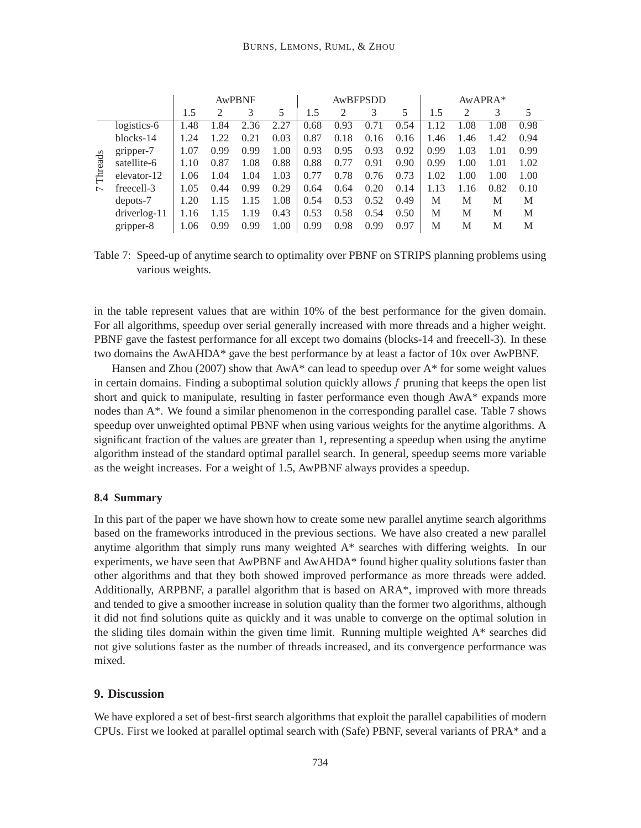|                |                | AwPBNF |      |      |      | AwBFPSDD |               |      |      | AwAPRA* |      |      |      |
|----------------|----------------|--------|------|------|------|----------|---------------|------|------|---------|------|------|------|
|                |                | 1.5    |      | 3    | 5    | 1.5      | $\mathcal{D}$ | 3    | 5    | 1.5     | 2    | 3    | 5    |
|                | logistics-6    | 1.48   | 1.84 | 2.36 | 2.27 | 0.68     | 0.93          | 0.71 | 0.54 | 1.12    | 1.08 | 1.08 | 0.98 |
|                | blocks-14      | 1.24   | 122  | 0.21 | 0.03 | 0.87     | 0.18          | 0.16 | 0.16 | 1.46    | 1.46 | 1.42 | 0.94 |
| Threads        | gripper-7      | 1.07   | 0.99 | 0.99 | 1.00 | 0.93     | 0.95          | 0.93 | 0.92 | 0.99    | 1.03 | 1.01 | 0.99 |
|                | satellite-6    | 1.10   | 0.87 | 1.08 | 0.88 | 0.88     | 0.77          | 0.91 | 0.90 | 0.99    | 1.00 | 1.01 | 1.02 |
|                | elevator-12    | 1.06   | 1.04 | 1.04 | 1.03 | 0.77     | 0.78          | 0.76 | 0.73 | 1.02    | 1.00 | 1.00 | 1.00 |
| $\overline{ }$ | freecell-3     | 1.05   | 0.44 | 0.99 | 0.29 | 0.64     | 0.64          | 0.20 | 0.14 | 1.13    | 1.16 | 0.82 | 0.10 |
|                | depots-7       | 1.20   | 1.15 | 1.15 | 1.08 | 0.54     | 0.53          | 0.52 | 0.49 | M       | M    | M    | M    |
|                | $driverlog-11$ | 1.16   |      | 1.19 | 0.43 | 0.53     | 0.58          | 0.54 | 0.50 | M       | M    | M    | M    |
|                | gripper-8      | 1.06   | 0.99 | 0.99 | 1.00 | 0.99     | 0.98          | 0.99 | 0.97 | M       | M    | M    | M    |

Table 7: Speed-up of anytime search to optimality over PBNF on STRIPS planning problems using various weights.

in the table represent values that are within 10% of the best performance for the given domain. For all algorithms, speedup over serial generally increased with more threads and a higher weight. PBNF gave the fastest performance for all except two domains (blocks-14 and freecell-3). In these two domains the AwAHDA\* gave the best performance by at least a factor of 10x over AwPBNF.

Hansen and Zhou (2007) show that  $A^*$  can lead to speedup over  $A^*$  for some weight values in certain domains. Finding a suboptimal solution quickly allows f pruning that keeps the open list short and quick to manipulate, resulting in faster performance even though AwA\* expands more nodes than  $A^*$ . We found a similar phenomenon in the corresponding parallel case. Table 7 shows speedup over unweighted optimal PBNF when using various weights for the anytime algorithms. A significant fraction of the values are greater than 1, representing a speedup when using the anytime algorithm instead of the standard optimal parallel search. In general, speedup seems more variable as the weight increases. For a weight of 1.5, AwPBNF always provides a speedup.

## **8.4 Summary**

In this part of the paper we have shown how to create some new parallel anytime search algorithms based on the frameworks introduced in the previous sections. We have also created a new parallel anytime algorithm that simply runs many weighted A\* searches with differing weights. In our experiments, we have seen that AwPBNF and AwAHDA\* found higher quality solutions faster than other algorithms and that they both showed improved performance as more threads were added. Additionally, ARPBNF, a parallel algorithm that is based on ARA\*, improved with more threads and tended to give a smoother increase in solution quality than the former two algorithms, although it did not find solutions quite as quickly and it was unable to converge on the optimal solution in the sliding tiles domain within the given time limit. Running multiple weighted A\* searches did not give solutions faster as the number of threads increased, and its convergence performance was mixed.

## **9. Discussion**

We have explored a set of best-first search algorithms that exploit the parallel capabilities of modern CPUs. First we looked at parallel optimal search with (Safe) PBNF, several variants of PRA\* and a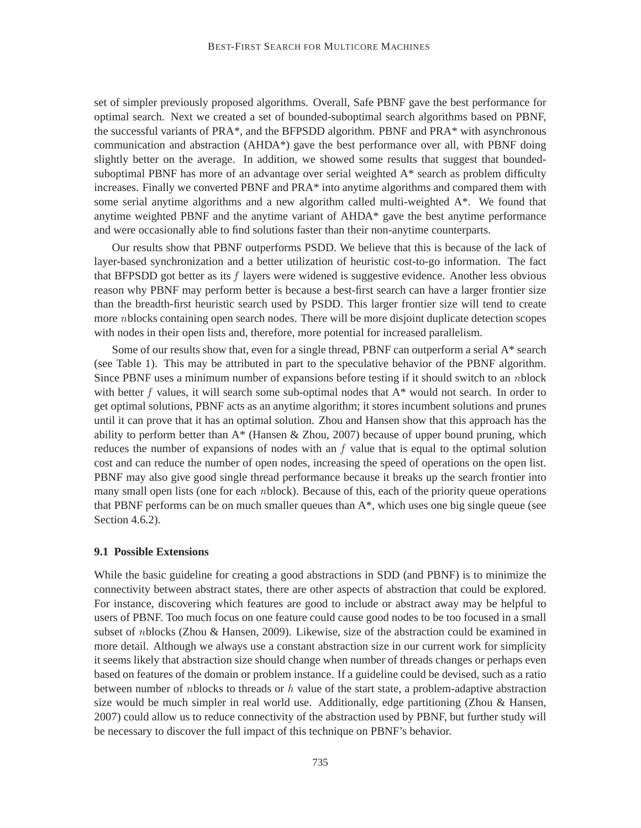set of simpler previously proposed algorithms. Overall, Safe PBNF gave the best performance for optimal search. Next we created a set of bounded-suboptimal search algorithms based on PBNF, the successful variants of PRA\*, and the BFPSDD algorithm. PBNF and PRA\* with asynchronous communication and abstraction (AHDA\*) gave the best performance over all, with PBNF doing slightly better on the average. In addition, we showed some results that suggest that boundedsuboptimal PBNF has more of an advantage over serial weighted A\* search as problem difficulty increases. Finally we converted PBNF and PRA\* into anytime algorithms and compared them with some serial anytime algorithms and a new algorithm called multi-weighted A\*. We found that anytime weighted PBNF and the anytime variant of AHDA\* gave the best anytime performance and were occasionally able to find solutions faster than their non-anytime counterparts.

Our results show that PBNF outperforms PSDD. We believe that this is because of the lack of layer-based synchronization and a better utilization of heuristic cost-to-go information. The fact that BFPSDD got better as its  $f$  layers were widened is suggestive evidence. Another less obvious reason why PBNF may perform better is because a best-first search can have a larger frontier size than the breadth-first heuristic search used by PSDD. This larger frontier size will tend to create more *n*blocks containing open search nodes. There will be more disjoint duplicate detection scopes with nodes in their open lists and, therefore, more potential for increased parallelism.

Some of our results show that, even for a single thread, PBNF can outperform a serial  $A^*$  search (see Table 1). This may be attributed in part to the speculative behavior of the PBNF algorithm. Since PBNF uses a minimum number of expansions before testing if it should switch to an nblock with better f values, it will search some sub-optimal nodes that  $A^*$  would not search. In order to get optimal solutions, PBNF acts as an anytime algorithm; it stores incumbent solutions and prunes until it can prove that it has an optimal solution. Zhou and Hansen show that this approach has the ability to perform better than  $A^*$  (Hansen & Zhou, 2007) because of upper bound pruning, which reduces the number of expansions of nodes with an  $f$  value that is equal to the optimal solution cost and can reduce the number of open nodes, increasing the speed of operations on the open list. PBNF may also give good single thread performance because it breaks up the search frontier into many small open lists (one for each nblock). Because of this, each of the priority queue operations that PBNF performs can be on much smaller queues than A\*, which uses one big single queue (see Section 4.6.2).

#### **9.1 Possible Extensions**

While the basic guideline for creating a good abstractions in SDD (and PBNF) is to minimize the connectivity between abstract states, there are other aspects of abstraction that could be explored. For instance, discovering which features are good to include or abstract away may be helpful to users of PBNF. Too much focus on one feature could cause good nodes to be too focused in a small subset of nblocks (Zhou & Hansen, 2009). Likewise, size of the abstraction could be examined in more detail. Although we always use a constant abstraction size in our current work for simplicity it seems likely that abstraction size should change when number of threads changes or perhaps even based on features of the domain or problem instance. If a guideline could be devised, such as a ratio between number of *n*blocks to threads or  $h$  value of the start state, a problem-adaptive abstraction size would be much simpler in real world use. Additionally, edge partitioning (Zhou & Hansen, 2007) could allow us to reduce connectivity of the abstraction used by PBNF, but further study will be necessary to discover the full impact of this technique on PBNF's behavior.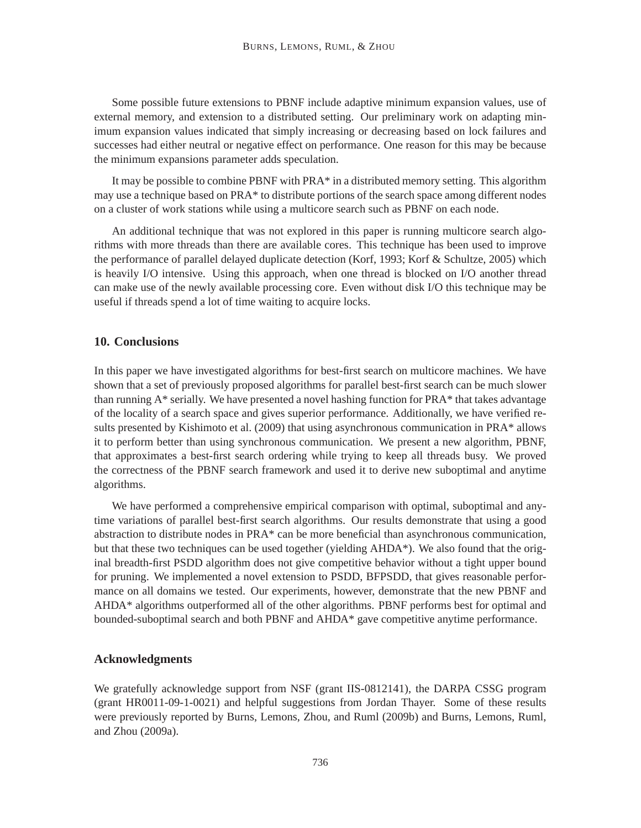Some possible future extensions to PBNF include adaptive minimum expansion values, use of external memory, and extension to a distributed setting. Our preliminary work on adapting minimum expansion values indicated that simply increasing or decreasing based on lock failures and successes had either neutral or negative effect on performance. One reason for this may be because the minimum expansions parameter adds speculation.

It may be possible to combine PBNF with PRA\* in a distributed memory setting. This algorithm may use a technique based on PRA\* to distribute portions of the search space among different nodes on a cluster of work stations while using a multicore search such as PBNF on each node.

An additional technique that was not explored in this paper is running multicore search algorithms with more threads than there are available cores. This technique has been used to improve the performance of parallel delayed duplicate detection (Korf, 1993; Korf & Schultze, 2005) which is heavily I/O intensive. Using this approach, when one thread is blocked on I/O another thread can make use of the newly available processing core. Even without disk I/O this technique may be useful if threads spend a lot of time waiting to acquire locks.

## **10. Conclusions**

In this paper we have investigated algorithms for best-first search on multicore machines. We have shown that a set of previously proposed algorithms for parallel best-first search can be much slower than running A\* serially. We have presented a novel hashing function for PRA\* that takes advantage of the locality of a search space and gives superior performance. Additionally, we have verified results presented by Kishimoto et al. (2009) that using asynchronous communication in PRA\* allows it to perform better than using synchronous communication. We present a new algorithm, PBNF, that approximates a best-first search ordering while trying to keep all threads busy. We proved the correctness of the PBNF search framework and used it to derive new suboptimal and anytime algorithms.

We have performed a comprehensive empirical comparison with optimal, suboptimal and anytime variations of parallel best-first search algorithms. Our results demonstrate that using a good abstraction to distribute nodes in PRA\* can be more beneficial than asynchronous communication, but that these two techniques can be used together (yielding AHDA\*). We also found that the original breadth-first PSDD algorithm does not give competitive behavior without a tight upper bound for pruning. We implemented a novel extension to PSDD, BFPSDD, that gives reasonable performance on all domains we tested. Our experiments, however, demonstrate that the new PBNF and AHDA\* algorithms outperformed all of the other algorithms. PBNF performs best for optimal and bounded-suboptimal search and both PBNF and AHDA\* gave competitive anytime performance.

## **Acknowledgments**

We gratefully acknowledge support from NSF (grant IIS-0812141), the DARPA CSSG program (grant HR0011-09-1-0021) and helpful suggestions from Jordan Thayer. Some of these results were previously reported by Burns, Lemons, Zhou, and Ruml (2009b) and Burns, Lemons, Ruml, and Zhou (2009a).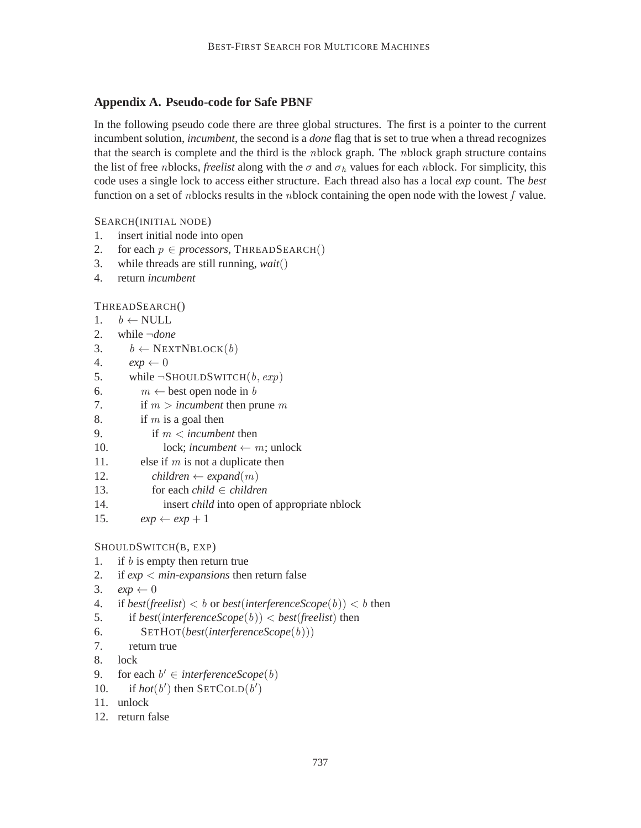# **Appendix A. Pseudo-code for Safe PBNF**

In the following pseudo code there are three global structures. The first is a pointer to the current incumbent solution, *incumbent*, the second is a *done* flag that is set to true when a thread recognizes that the search is complete and the third is the *n*block graph. The *nblock* graph structure contains the list of free *n*blocks, *freelist* along with the  $\sigma$  and  $\sigma_h$  values for each *n*block. For simplicity, this code uses a single lock to access either structure. Each thread also has a local *exp* count. The *best* function on a set of *n*blocks results in the *nblock* containing the open node with the lowest  $f$  value.

SEARCH(INITIAL NODE)

- 1. insert initial node into open
- 2. for each  $p \in processors$ , THREADSEARCH()
- 3. while threads are still running, *wait*()
- 4. return *incumbent*

THREADSEARCH()

```
1. b \leftarrow \text{NULL}
```

```
2. while \neg done<br>3 h \leftarrow \text{NEX}
```

```
3. b \leftarrow \text{NEXTNBlock}(b)<br>4. \exp \leftarrow 0
```
4.  $exp \leftarrow 0$ <br>5. while  $\neg S$ 

5. while  $\neg$ SHOULDSWITCH(*b*, *exp*)<br>6.  $m \leftarrow$  best open node in *b* 

- 6.  $m \leftarrow$  best open node in *b*<br>7. if *m > incumbent* then pr
- if  $m > incumbent$  then prune  $m$
- 8. if  $m$  is a goal then
- 9. if m < *incumbent* then
- 10. lock; *incumbent*  $\leftarrow$  *m*; unlock<br>11. else if *m* is not a duplicate then
- else if  $m$  is not a duplicate then
- 12. *children*  $\leftarrow$  *expand*(*m*)<br>13. **for each** *child*  $\in$  *children*
- 13. for each *child*  $\in$  *children*<br>14. insert *child* into open o
- insert *child* into open of appropriate nblock
- 15.  $exp \leftarrow exp + 1$

# SHOULDSWITCH(B, EXP)

- 1. if  $b$  is empty then return true
- 2. if *exp* < *min-expansions* then return false
- 3.  $exp \leftarrow 0$

```
4. if best(freelist) < b or best(interferenceScope(b)) < b then
```
- 5. if *best*(*interferenceScope*(b)) < *best*(*freelist*) then
- 6. SETHOT(*best*(*interferenceScope*(b)))
- 7. return true
- 8. lock
- 9. for each  $b' \in \text{interferenceScope}(b)$
- 10. if  $hot(b')$  then SETCOLD $(b')$
- 11. unlock
- 12. return false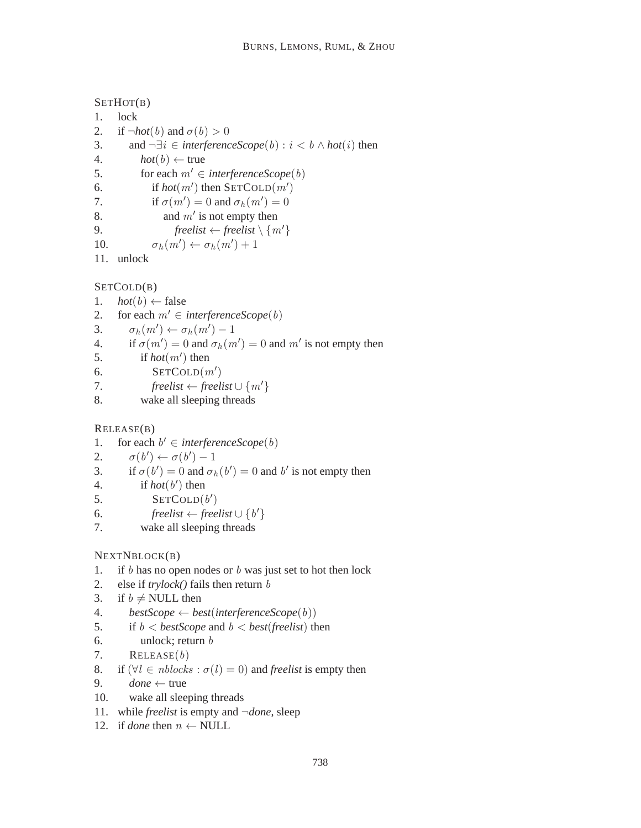```
SETHOT(B)
1. lock
2. if \neg hot(b) and \sigma(b) > 0<br>3. and \neg \exists i \in interference3. and \neg \exists i \in \text{interferenceScope}(b) : i < b \land \text{hot}(i) then 4. \text{hot}(b) \leftarrow \text{true}4. hot(b) \leftarrow true<br>5. for each m' \in5. for each m' \in interferenceScope(b)<br>6. if hot(m') then SETCOLD(m')6. if hot(m') then SETCOLD(m')7. if \sigma(m') = 0 and \sigma_h(m') = 08. and m' is not empty then
9. freelist \leftarrow freelist \setminus \{m'\}<br>10. \sigma_b(m') \leftarrow \sigma_b(m') + 110. \sigma_h(m') \leftarrow \sigma_h(m') + 111. unlock
```

```
SETCOLD(B)
```
- 1.  $hot(b) \leftarrow false$ <br>2. for each  $m' \in \mathbb{R}$
- 2. for each  $m' \in interferenceScope(b)$ <br>3.  $\sigma_h(m') \leftarrow \sigma_h(m') 1$
- 3.  $\sigma_h(m') \leftarrow \sigma_h(m') 1$
- 4. if  $\sigma(m') = 0$  and  $\sigma_h(m') = 0$  and m' is not empty then
- 5. if  $hot(m')$  then
- 6. SETCOLD $(m')$
- 7. *freelist* ← *freelist*  $\cup$  { $m'$ }<br>8. wake all sleeping threads
- wake all sleeping threads

```
RELEASE(B)
```
- 1. for each  $b' \in interferenceScope(b)$
- 2.  $\sigma(b') \leftarrow \sigma(b') 1$
- 3. if  $\sigma(b') = 0$  and  $\sigma_h(b') = 0$  and b' is not empty then
- 4. if  $hot(b')$  then
- 5. SETCOLD $(b')$
- 6. *freelist*  $\leftarrow$  *freelist*  $\cup$  {*b'*}
- 7. wake all sleeping threads

# NEXTNBLOCK(B)

- 1. if  $b$  has no open nodes or  $b$  was just set to hot then lock
- 2. else if *trylock()* fails then return b
- 3. if  $b \neq \text{NULL}$  then<br>4. bestScope  $\leftarrow$  be
- 4. *bestScope*  $\leftarrow$  *best*(*interferenceScope*(*b*))<br>5. if *b*  $\lt$  *bestScope* and *b*  $\lt$  *best*(*freelist*) th
- if  $b <$  *bestScope* and  $b <$  *best*(*freelist*) then
- 6. unlock; return b
- 7.  $RELEASE(b)$
- 8. if  $(\forall l \in nblocks : \sigma(l) = 0)$  and *freelist* is empty then<br>9. *done* ← true
- 9.  $done \leftarrow true$ <br>10. wake all slee
- wake all sleeping threads
- 11. while *freelist* is empty and ¬*done*, sleep
- 12. if *done* then  $n \leftarrow \text{NULL}$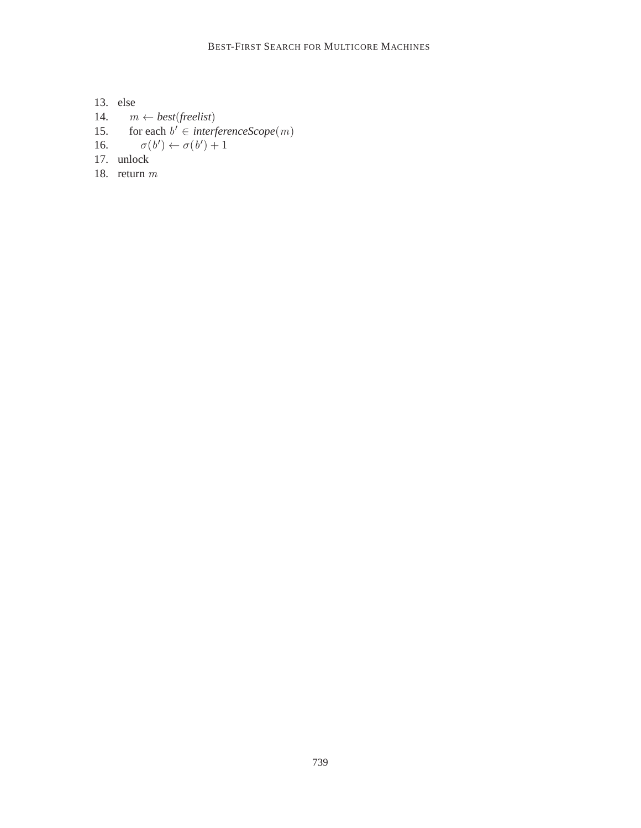13. else 14.  $m \leftarrow best(freelist)$ 15. for each  $b' \in interferenceScope(m)$ 16.  $\sigma(b') \leftarrow \sigma(b') + 1$ 17. unlock

18. return m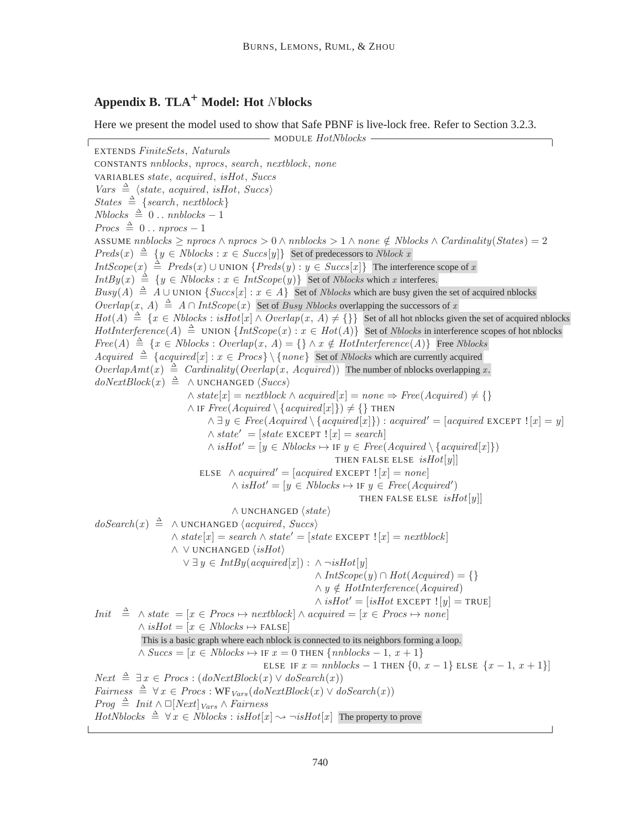# **Appendix B. TLA+ Model: Hot** N **blocks**

Here we present the model used to show that Safe PBNF is live-lock free. Refer to Section 3.2.3.

- MODULE HotNblocks -EXTENDS FiniteSets, Naturals CONSTANTS nnblocks, nprocs, search, nextblock, none VARIABLES state, acquired, isHot, Succs  $Vars \triangleq \langle state, acquired, isHot, Success \rangle$  $States \triangleq {\{search, nextblock\}}$  $Nblocks \triangleq 0$ ...  $nnblocks - 1$  $Process \triangleq 0$ ...  $nprocs - 1$ ASSUME nnblocks  $\geq$  nprocs  $\land$  nprocs  $> 0 \land$  nnblocks  $> 1 \land$  none  $\notin$  Nblocks  $\land$  Cardinality(States) = 2  $Preds(x) \triangleq \{y \in Nblocks : x \in Success[y]\}$  Set of predecessors to Nblock x  $IntScope(x) \triangleq Preds(x) \cup UNION\{Preds(y) : y \in Success[x]\}$  The interference scope of x  $IntBy(x) \triangleq \{y \in Nblocks : x \in IntScope(y)\}$  Set of Nblocks which x interferes.  $Busy(A) \triangleq A \cup$  UNION  $\{Succs[x] : x \in A\}$  Set of *Nblocks* which are busy given the set of acquired nblocks  $Overlap(x, A) \triangleq A \cap IntScope(x)$  Set of Busy Nblocks overlapping the successors of x  $Hot(A) \triangleq \{x \in Nblocks : isHot[x] \wedge Overlap(x, A) \neq \{\}\}$  Set of all hot nblocks given the set of acquired nblocks  $HotInterference(A) \triangleq$  UNION  $\{IntScope(x) : x \in Hot(A)\}$  Set of *Nblocks* in interference scopes of hot nblocks  $Free(A) \triangleq \{x \in Nblocks : Overlap(x, A) = \{\}\wedge x \notin HotInterference(A)\}$  Free Nblocks Acquired  $\triangleq$  {acquired[x] :  $x \in Procs$ } \{none} Set of Nblocks which are currently acquired  $OverlapAmt(x) \triangleq \text{Cardinality}(Overlap(x, \text{Acquired}))$  The number of nblocks overlapping x.  $doNextBlock(x) \triangleq \land UNCHANGED \langle Success \rangle$  $\land state[x] = nextblock \land acquired[x] = none \Rightarrow Free(Acquired) \neq {\{\}}$  $\wedge$  IF  $Free(Acquired \setminus \{acquired[x]\}) \neq {\}$  THEN  $\land \exists y \in Free(Acquired \setminus \{acquired[x]\}) : acquired' = [acquired] EXCEPT : [x] = y]$  $\wedge state' = [state \, EXCEPT \, ![x] = search]$  $\wedge$  isHot' =  $[y \in \text{Nblocks} \mapsto \text{IF } y \in \text{Free}(\text{Acquired} \setminus \{\text{acquired}[x]\})$ THEN FALSE ELSE  $isHot[y]$ ELSE  $\land \text{ acquired'} = [\text{ acquired EXCEPT} : [x] = \text{none}]$  $\wedge$  isHot' = [y ∈ Nblocks  $\mapsto$  IF y ∈ Free(Acquired') THEN FALSE ELSE  $isHot[y]$  $\land$  UNCHANGED  $\langle state \rangle$  $doSearch(x) \triangleq \land UNCHANGED \langle acquired, Success \rangle$  $\wedge state[x] = search \wedge state' = [state \text{ EXCEPT} \cdot [x] = nextblock]$  $\land \lor$  UNCHANGED  $\langle$ *isHot* $\rangle$  $\vee \exists y \in IntBy(\text{acquired}[x]): \wedge \neg \text{isHot}[y])$  $\wedge IntScope(y) \cap Hot(Acquired) = \{\}$  $\land y \notin HotInterference(Acquired)$  $\wedge$  isHot' = [isHot EXCEPT ![y] = TRUE] *Init*  $\stackrel{\Delta}{=} \wedge state = [x \in Procs \mapsto nextblock] \wedge acquired = [x \in Procs \mapsto none]$  $\wedge$  isHot =  $[x \in \text{Nblocks} \mapsto \text{FALSE}]$ This is a basic graph where each nblock is connected to its neighbors forming a loop.  $\land$   $Success = [x \in Nblocks \mapsto \text{IF } x = 0 \text{ THEN } \{nnblocks - 1, x + 1\}$ ELSE IF  $x = nnblocks - 1$  THEN  $\{0, x - 1\}$  ELSE  $\{x - 1, x + 1\}$  $Next \triangleq \exists x \in Procs : (doNextBlock(x) \vee doSearch(x))$ *Fairness*  $\triangleq$   $\forall x \in Procs : WF<sub>Vars</sub>(doNextBlock(x) ∨ doSearch(x))$ *Prog*  $\triangleq$  *Init* ∧ □[*Next*]<sub>*Vars*</sub> ∧ *Fairness*  $HotN blocks \triangleq \forall x \in Nblocks : isHot[x] \rightarrow \neg isHot[x]$  The property to prove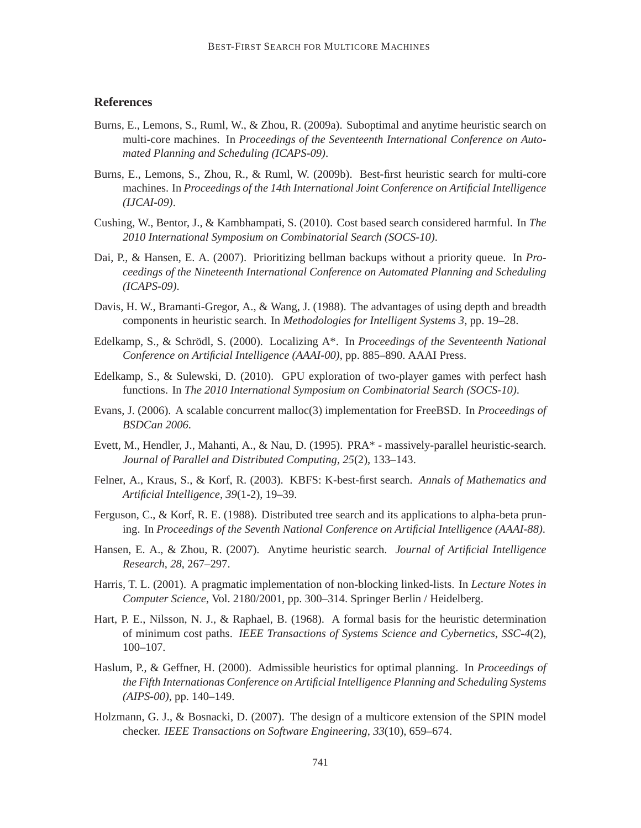# **References**

- Burns, E., Lemons, S., Ruml, W., & Zhou, R. (2009a). Suboptimal and anytime heuristic search on multi-core machines. In *Proceedings of the Seventeenth International Conference on Automated Planning and Scheduling (ICAPS-09)*.
- Burns, E., Lemons, S., Zhou, R., & Ruml, W. (2009b). Best-first heuristic search for multi-core machines. In *Proceedings of the 14th International Joint Conference on Artificial Intelligence (IJCAI-09)*.
- Cushing, W., Bentor, J., & Kambhampati, S. (2010). Cost based search considered harmful. In *The 2010 International Symposium on Combinatorial Search (SOCS-10)*.
- Dai, P., & Hansen, E. A. (2007). Prioritizing bellman backups without a priority queue. In *Proceedings of the Nineteenth International Conference on Automated Planning and Scheduling (ICAPS-09)*.
- Davis, H. W., Bramanti-Gregor, A., & Wang, J. (1988). The advantages of using depth and breadth components in heuristic search. In *Methodologies for Intelligent Systems 3*, pp. 19–28.
- Edelkamp, S., & Schrödl, S. (2000). Localizing A<sup>\*</sup>. In *Proceedings of the Seventeenth National Conference on Artificial Intelligence (AAAI-00)*, pp. 885–890. AAAI Press.
- Edelkamp, S., & Sulewski, D. (2010). GPU exploration of two-player games with perfect hash functions. In *The 2010 International Symposium on Combinatorial Search (SOCS-10)*.
- Evans, J. (2006). A scalable concurrent malloc(3) implementation for FreeBSD. In *Proceedings of BSDCan 2006*.
- Evett, M., Hendler, J., Mahanti, A., & Nau, D. (1995). PRA\* massively-parallel heuristic-search. *Journal of Parallel and Distributed Computing*, *25*(2), 133–143.
- Felner, A., Kraus, S., & Korf, R. (2003). KBFS: K-best-first search. *Annals of Mathematics and Artificial Intelligence*, *39*(1-2), 19–39.
- Ferguson, C., & Korf, R. E. (1988). Distributed tree search and its applications to alpha-beta pruning. In *Proceedings of the Seventh National Conference on Artificial Intelligence (AAAI-88)*.
- Hansen, E. A., & Zhou, R. (2007). Anytime heuristic search. *Journal of Artificial Intelligence Research*, *28*, 267–297.
- Harris, T. L. (2001). A pragmatic implementation of non-blocking linked-lists. In *Lecture Notes in Computer Science*, Vol. 2180/2001, pp. 300–314. Springer Berlin / Heidelberg.
- Hart, P. E., Nilsson, N. J., & Raphael, B. (1968). A formal basis for the heuristic determination of minimum cost paths. *IEEE Transactions of Systems Science and Cybernetics*, *SSC-4*(2), 100–107.
- Haslum, P., & Geffner, H. (2000). Admissible heuristics for optimal planning. In *Proceedings of the Fifth Internationas Conference on Artificial Intelligence Planning and Scheduling Systems (AIPS-00)*, pp. 140–149.
- Holzmann, G. J., & Bosnacki, D. (2007). The design of a multicore extension of the SPIN model checker. *IEEE Transactions on Software Engineering*, *33*(10), 659–674.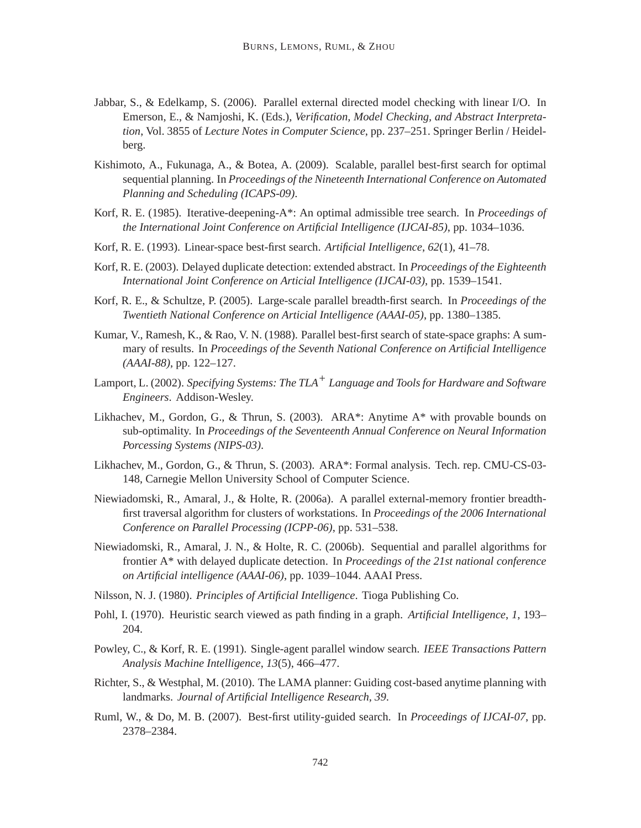- Jabbar, S., & Edelkamp, S. (2006). Parallel external directed model checking with linear I/O. In Emerson, E., & Namjoshi, K. (Eds.), *Verification, Model Checking, and Abstract Interpretation*, Vol. 3855 of *Lecture Notes in Computer Science*, pp. 237–251. Springer Berlin / Heidelberg.
- Kishimoto, A., Fukunaga, A., & Botea, A. (2009). Scalable, parallel best-first search for optimal sequential planning. In *Proceedings of the Nineteenth International Conference on Automated Planning and Scheduling (ICAPS-09)*.
- Korf, R. E. (1985). Iterative-deepening-A\*: An optimal admissible tree search. In *Proceedings of the International Joint Conference on Artificial Intelligence (IJCAI-85)*, pp. 1034–1036.
- Korf, R. E. (1993). Linear-space best-first search. *Artificial Intelligence*, *62*(1), 41–78.
- Korf, R. E. (2003). Delayed duplicate detection: extended abstract. In *Proceedings of the Eighteenth International Joint Conference on Articial Intelligence (IJCAI-03)*, pp. 1539–1541.
- Korf, R. E., & Schultze, P. (2005). Large-scale parallel breadth-first search. In *Proceedings of the Twentieth National Conference on Articial Intelligence (AAAI-05)*, pp. 1380–1385.
- Kumar, V., Ramesh, K., & Rao, V. N. (1988). Parallel best-first search of state-space graphs: A summary of results. In *Proceedings of the Seventh National Conference on Artificial Intelligence (AAAI-88)*, pp. 122–127.
- Lamport, L. (2002). *Specifying Systems: The TLA+ Language and Tools for Hardware and Software Engineers*. Addison-Wesley.
- Likhachev, M., Gordon, G., & Thrun, S. (2003). ARA\*: Anytime A\* with provable bounds on sub-optimality. In *Proceedings of the Seventeenth Annual Conference on Neural Information Porcessing Systems (NIPS-03)*.
- Likhachev, M., Gordon, G., & Thrun, S. (2003). ARA\*: Formal analysis. Tech. rep. CMU-CS-03- 148, Carnegie Mellon University School of Computer Science.
- Niewiadomski, R., Amaral, J., & Holte, R. (2006a). A parallel external-memory frontier breadthfirst traversal algorithm for clusters of workstations. In *Proceedings of the 2006 International Conference on Parallel Processing (ICPP-06)*, pp. 531–538.
- Niewiadomski, R., Amaral, J. N., & Holte, R. C. (2006b). Sequential and parallel algorithms for frontier A\* with delayed duplicate detection. In *Proceedings of the 21st national conference on Artificial intelligence (AAAI-06)*, pp. 1039–1044. AAAI Press.
- Nilsson, N. J. (1980). *Principles of Artificial Intelligence*. Tioga Publishing Co.
- Pohl, I. (1970). Heuristic search viewed as path finding in a graph. *Artificial Intelligence*, *1*, 193– 204.
- Powley, C., & Korf, R. E. (1991). Single-agent parallel window search. *IEEE Transactions Pattern Analysis Machine Intelligence*, *13*(5), 466–477.
- Richter, S., & Westphal, M. (2010). The LAMA planner: Guiding cost-based anytime planning with landmarks. *Journal of Artificial Intelligence Research*, *39*.
- Ruml, W., & Do, M. B. (2007). Best-first utility-guided search. In *Proceedings of IJCAI-07*, pp. 2378–2384.